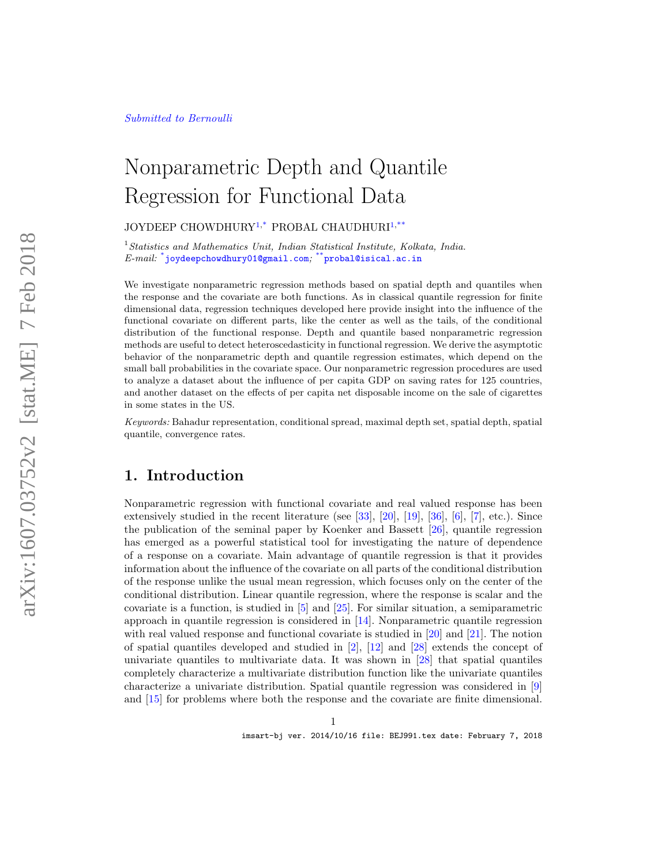## Nonparametric Depth and Quantile Regression for Functional Data

JOYDEEP CHOWDHURY<sup>1,\*</sup> PROBAL CHAUDHURI<sup>1,\*\*</sup>

 $1$ Statistics and Mathematics Unit, Indian Statistical Institute, Kolkata, India.  $\emph{E-mail:}$  \*joydeepchowdhury01@gmail.com; \*\*probal@isical.ac.in

We investigate nonparametric regression methods based on spatial depth and quantiles when the response and the covariate are both functions. As in classical quantile regression for finite dimensional data, regression techniques developed here provide insight into the influence of the functional covariate on different parts, like the center as well as the tails, of the conditional distribution of the functional response. Depth and quantile based nonparametric regression methods are useful to detect heteroscedasticity in functional regression. We derive the asymptotic behavior of the nonparametric depth and quantile regression estimates, which depend on the small ball probabilities in the covariate space. Our nonparametric regression procedures are used to analyze a dataset about the influence of per capita GDP on saving rates for 125 countries, and another dataset on the effects of per capita net disposable income on the sale of cigarettes in some states in the US.

Keywords: Bahadur representation, conditional spread, maximal depth set, spatial depth, spatial quantile, convergence rates.

## 1. Introduction

Nonparametric regression with functional covariate and real valued response has been extensively studied in the recent literature (see [33], [20], [19], [36], [6], [7], etc.). Since the publication of the seminal paper by Koenker and Bassett [26], quantile regression has emerged as a powerful statistical tool for investigating the nature of dependence of a response on a covariate. Main advantage of quantile regression is that it provides information about the influence of the covariate on all parts of the conditional distribution of the response unlike the usual mean regression, which focuses only on the center of the conditional distribution. Linear quantile regression, where the response is scalar and the covariate is a function, is studied in [5] and [25]. For similar situation, a semiparametric approach in quantile regression is considered in [14]. Nonparametric quantile regression with real valued response and functional covariate is studied in [20] and [21]. The notion of spatial quantiles developed and studied in [2], [12] and [28] extends the concept of univariate quantiles to multivariate data. It was shown in [28] that spatial quantiles completely characterize a multivariate distribution function like the univariate quantiles characterize a univariate distribution. Spatial quantile regression was considered in [9] and [15] for problems where both the response and the covariate are finite dimensional.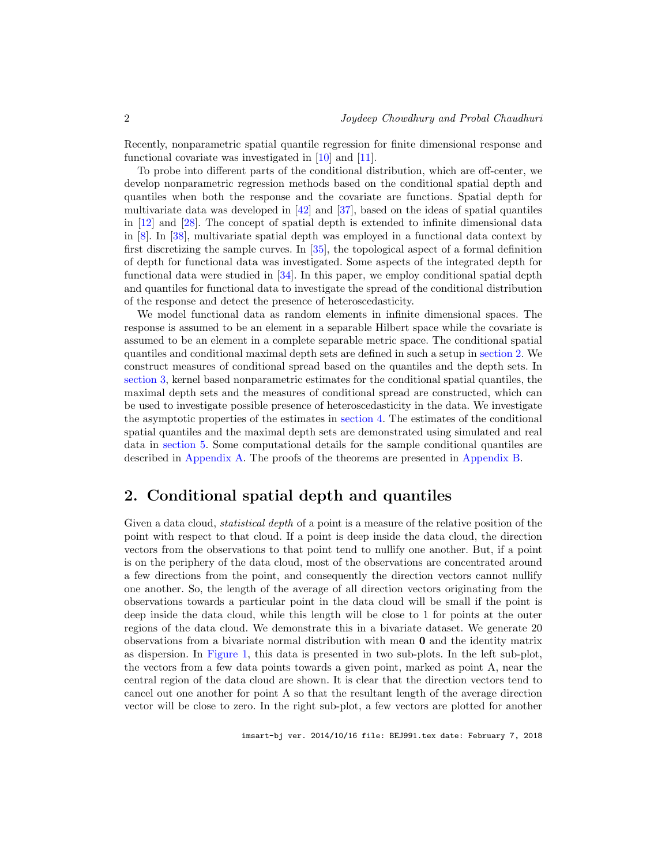Recently, nonparametric spatial quantile regression for finite dimensional response and functional covariate was investigated in [10] and [11].

To probe into different parts of the conditional distribution, which are off-center, we develop nonparametric regression methods based on the conditional spatial depth and quantiles when both the response and the covariate are functions. Spatial depth for multivariate data was developed in  $[42]$  and  $[37]$ , based on the ideas of spatial quantiles in [12] and [28]. The concept of spatial depth is extended to infinite dimensional data in [8]. In [38], multivariate spatial depth was employed in a functional data context by first discretizing the sample curves. In [35], the topological aspect of a formal definition of depth for functional data was investigated. Some aspects of the integrated depth for functional data were studied in [34]. In this paper, we employ conditional spatial depth and quantiles for functional data to investigate the spread of the conditional distribution of the response and detect the presence of heteroscedasticity.

We model functional data as random elements in infinite dimensional spaces. The response is assumed to be an element in a separable Hilbert space while the covariate is assumed to be an element in a complete separable metric space. The conditional spatial quantiles and conditional maximal depth sets are defined in such a setup in section 2. We construct measures of conditional spread based on the quantiles and the depth sets. In section 3, kernel based nonparametric estimates for the conditional spatial quantiles, the maximal depth sets and the measures of conditional spread are constructed, which can be used to investigate possible presence of heteroscedasticity in the data. We investigate the asymptotic properties of the estimates in section 4. The estimates of the conditional spatial quantiles and the maximal depth sets are demonstrated using simulated and real data in section 5. Some computational details for the sample conditional quantiles are described in Appendix A. The proofs of the theorems are presented in Appendix B.

## 2. Conditional spatial depth and quantiles

Given a data cloud, *statistical depth* of a point is a measure of the relative position of the point with respect to that cloud. If a point is deep inside the data cloud, the direction vectors from the observations to that point tend to nullify one another. But, if a point is on the periphery of the data cloud, most of the observations are concentrated around a few directions from the point, and consequently the direction vectors cannot nullify one another. So, the length of the average of all direction vectors originating from the observations towards a particular point in the data cloud will be small if the point is deep inside the data cloud, while this length will be close to 1 for points at the outer regions of the data cloud. We demonstrate this in a bivariate dataset. We generate 20 observations from a bivariate normal distribution with mean 0 and the identity matrix as dispersion. In Figure 1, this data is presented in two sub-plots. In the left sub-plot, the vectors from a few data points towards a given point, marked as point A, near the central region of the data cloud are shown. It is clear that the direction vectors tend to cancel out one another for point A so that the resultant length of the average direction vector will be close to zero. In the right sub-plot, a few vectors are plotted for another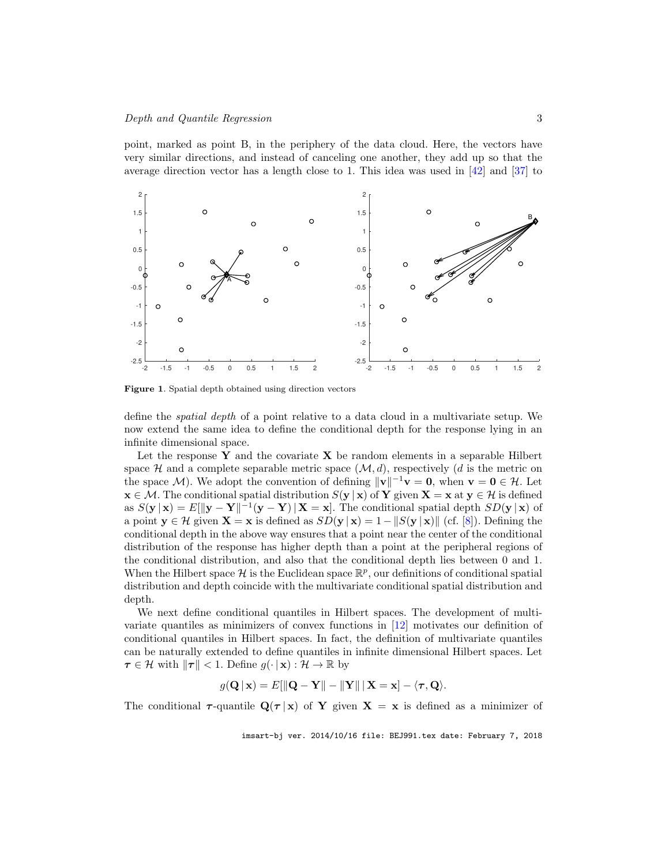point, marked as point B, in the periphery of the data cloud. Here, the vectors have very similar directions, and instead of canceling one another, they add up so that the average direction vector has a length close to 1. This idea was used in  $[42]$  and  $[37]$  to



Figure 1. Spatial depth obtained using direction vectors

define the spatial depth of a point relative to a data cloud in a multivariate setup. We now extend the same idea to define the conditional depth for the response lying in an infinite dimensional space.

Let the response  $Y$  and the covariate  $X$  be random elements in a separable Hilbert space  $\mathcal H$  and a complete separable metric space  $(\mathcal M, d)$ , respectively (d is the metric on the space M). We adopt the convention of defining  $\|\mathbf{v}\|^{-1}\mathbf{v} = \mathbf{0}$ , when  $\mathbf{v} = \mathbf{0} \in \mathcal{H}$ . Let  $\mathbf{x} \in \mathcal{M}$ . The conditional spatial distribution  $S(\mathbf{y} | \mathbf{x})$  of Y given  $\mathbf{X} = \mathbf{x}$  at  $\mathbf{y} \in \mathcal{H}$  is defined as  $S(\mathbf{y} \mid \mathbf{x}) = E[\|\mathbf{y} - \mathbf{Y}\|]^{-1}(\mathbf{y} - \mathbf{Y}) \mid \mathbf{X} = \mathbf{x}].$  The conditional spatial depth  $SD(\mathbf{y} \mid \mathbf{x})$  of a point  $y \in \mathcal{H}$  given  $\mathbf{X} = \mathbf{x}$  is defined as  $SD(y | \mathbf{x}) = 1 - ||S(y | \mathbf{x})||$  (cf. [8]). Defining the conditional depth in the above way ensures that a point near the center of the conditional distribution of the response has higher depth than a point at the peripheral regions of the conditional distribution, and also that the conditional depth lies between 0 and 1. When the Hilbert space  $\mathcal H$  is the Euclidean space  $\mathbb R^p$ , our definitions of conditional spatial distribution and depth coincide with the multivariate conditional spatial distribution and depth.

We next define conditional quantiles in Hilbert spaces. The development of multivariate quantiles as minimizers of convex functions in [12] motivates our definition of conditional quantiles in Hilbert spaces. In fact, the definition of multivariate quantiles can be naturally extended to define quantiles in infinite dimensional Hilbert spaces. Let  $\tau \in \mathcal{H}$  with  $\|\tau\| < 1$ . Define  $g(\cdot \mid \mathbf{x}) : \mathcal{H} \to \mathbb{R}$  by

$$
g(\mathbf{Q} \mid \mathbf{x}) = E[\|\mathbf{Q} - \mathbf{Y}\| - \|\mathbf{Y}\| \,|\, \mathbf{X} = \mathbf{x}] - \langle \boldsymbol{\tau}, \mathbf{Q} \rangle.
$$

The conditional  $\tau$ -quantile  $\mathbf{Q}(\tau | \mathbf{x})$  of Y given  $\mathbf{X} = \mathbf{x}$  is defined as a minimizer of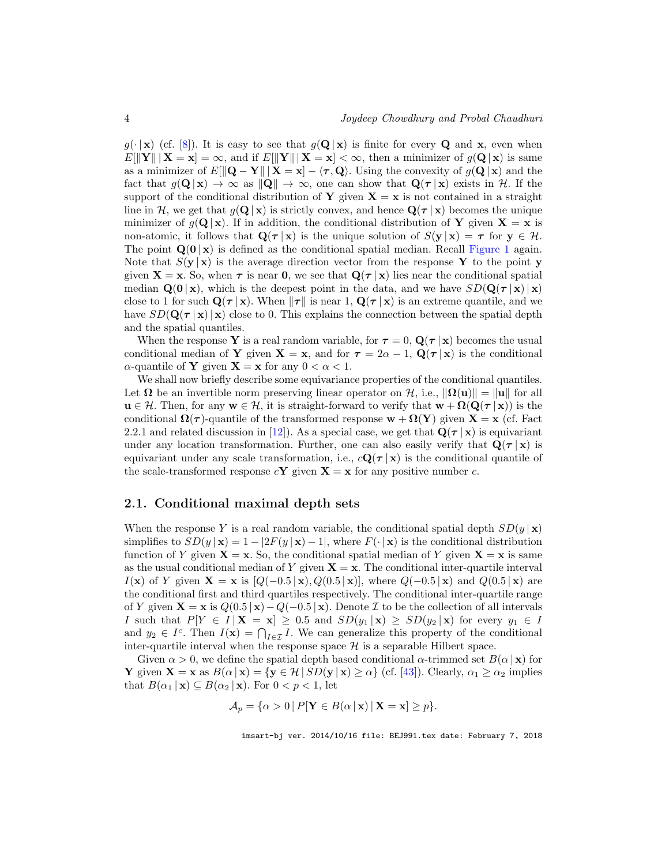$g(\cdot | \mathbf{x})$  (cf. [8]). It is easy to see that  $g(\mathbf{Q} | \mathbf{x})$  is finite for every **Q** and **x**, even when  $E[\|\mathbf{Y}\| \mid \mathbf{X} = \mathbf{x}] = \infty$ , and if  $E[\|\mathbf{Y}\| \mid \mathbf{X} = \mathbf{x}] < \infty$ , then a minimizer of  $q(\mathbf{Q} | \mathbf{x})$  is same as a minimizer of  $E[\Vert \mathbf{Q} - \mathbf{Y} \Vert \mathbf{X} = \mathbf{x}] - \langle \tau, \mathbf{Q} \rangle$ . Using the convexity of  $g(\mathbf{Q} \vert \mathbf{x})$  and the fact that  $g(\mathbf{Q} | \mathbf{x}) \to \infty$  as  $\|\mathbf{Q}\| \to \infty$ , one can show that  $\mathbf{Q}(\tau | \mathbf{x})$  exists in H. If the support of the conditional distribution of Y given  $X = x$  is not contained in a straight line in H, we get that  $g(\mathbf{Q}|\mathbf{x})$  is strictly convex, and hence  $\mathbf{Q}(\tau|\mathbf{x})$  becomes the unique minimizer of  $g(\mathbf{Q} | \mathbf{x})$ . If in addition, the conditional distribution of Y given  $\mathbf{X} = \mathbf{x}$  is non-atomic, it follows that  $\mathbf{Q}(\tau | \mathbf{x})$  is the unique solution of  $S(\mathbf{v} | \mathbf{x}) = \tau$  for  $\mathbf{v} \in \mathcal{H}$ . The point  $Q(0|x)$  is defined as the conditional spatial median. Recall Figure 1 again. Note that  $S(\mathbf{y} | \mathbf{x})$  is the average direction vector from the response Y to the point y given  $X = x$ . So, when  $\tau$  is near 0, we see that  $Q(\tau | x)$  lies near the conditional spatial median  $\mathbf{Q}(\mathbf{0} | \mathbf{x})$ , which is the deepest point in the data, and we have  $SD(\mathbf{Q}(\tau | \mathbf{x}) | \mathbf{x})$ close to 1 for such  $\mathbf{Q}(\tau | \mathbf{x})$ . When  $\|\tau\|$  is near 1,  $\mathbf{Q}(\tau | \mathbf{x})$  is an extreme quantile, and we have  $SD(\mathbf{Q}(\tau | \mathbf{x}) | \mathbf{x})$  close to 0. This explains the connection between the spatial depth and the spatial quantiles.

When the response Y is a real random variable, for  $\tau = 0$ ,  $\mathbf{Q}(\tau | \mathbf{x})$  becomes the usual conditional median of Y given  $X = x$ , and for  $\tau = 2\alpha - 1$ ,  $Q(\tau | x)$  is the conditional  $\alpha$ -quantile of **Y** given **X** = **x** for any  $0 < \alpha < 1$ .

We shall now briefly describe some equivariance properties of the conditional quantiles. Let  $\Omega$  be an invertible norm preserving linear operator on H, i.e.,  $\|\Omega(u)\| = \|u\|$  for all  $u \in \mathcal{H}$ . Then, for any  $w \in \mathcal{H}$ , it is straight-forward to verify that  $w + \Omega(Q(\tau | x))$  is the conditional  $\Omega(\tau)$ -quantile of the transformed response  $w + \Omega(Y)$  given  $X = x$  (cf. Fact 2.2.1 and related discussion in [12]). As a special case, we get that  $\mathbf{Q}(\tau | \mathbf{x})$  is equivariant under any location transformation. Further, one can also easily verify that  $\mathbf{Q}(\tau | \mathbf{x})$  is equivariant under any scale transformation, i.e.,  $c\mathbf{Q}(\tau | \mathbf{x})$  is the conditional quantile of the scale-transformed response  $c\mathbf{Y}$  given  $\mathbf{X} = \mathbf{x}$  for any positive number c.

#### 2.1. Conditional maximal depth sets

When the response Y is a real random variable, the conditional spatial depth  $SD(y | x)$ simplifies to  $SD(y | \mathbf{x}) = 1 - |2F(y | \mathbf{x}) - 1|$ , where  $F(\cdot | \mathbf{x})$  is the conditional distribution function of Y given  $X = x$ . So, the conditional spatial median of Y given  $X = x$  is same as the usual conditional median of Y given  $X = x$ . The conditional inter-quartile interval  $I(\mathbf{x})$  of Y given  $\mathbf{X} = \mathbf{x}$  is  $[Q(-0.5 \mid \mathbf{x}), Q(0.5 \mid \mathbf{x})]$ , where  $Q(-0.5 \mid \mathbf{x})$  and  $Q(0.5 \mid \mathbf{x})$  are the conditional first and third quartiles respectively. The conditional inter-quartile range of Y given  $\mathbf{X} = \mathbf{x}$  is  $Q(0.5 \mid \mathbf{x}) - Q(-0.5 \mid \mathbf{x})$ . Denote  $\mathcal I$  to be the collection of all intervals I such that  $P[Y \in I \mid \mathbf{X} = \mathbf{x}] \geq 0.5$  and  $SD(y_1 \mid \mathbf{x}) \geq SD(y_2 \mid \mathbf{x})$  for every  $y_1 \in I$ and  $y_2 \in I^c$ . Then  $I(\mathbf{x}) = \bigcap_{I \in \mathcal{I}} I$ . We can generalize this property of the conditional inter-quartile interval when the response space  $\mathcal H$  is a separable Hilbert space.

Given  $\alpha > 0$ , we define the spatial depth based conditional  $\alpha$ -trimmed set  $B(\alpha | \mathbf{x})$  for **Y** given  $\mathbf{X} = \mathbf{x}$  as  $B(\alpha | \mathbf{x}) = {\mathbf{y} \in \mathcal{H} | SD(\mathbf{y} | \mathbf{x}) \geq \alpha}$  (cf. [43]). Clearly,  $\alpha_1 \geq \alpha_2$  implies that  $B(\alpha_1 | \mathbf{x}) \subseteq B(\alpha_2 | \mathbf{x})$ . For  $0 < p < 1$ , let

$$
\mathcal{A}_p = \{ \alpha > 0 \, | \, P[\mathbf{Y} \in B(\alpha \, | \, \mathbf{x}) \, | \, \mathbf{X} = \mathbf{x}] \geq p \}.
$$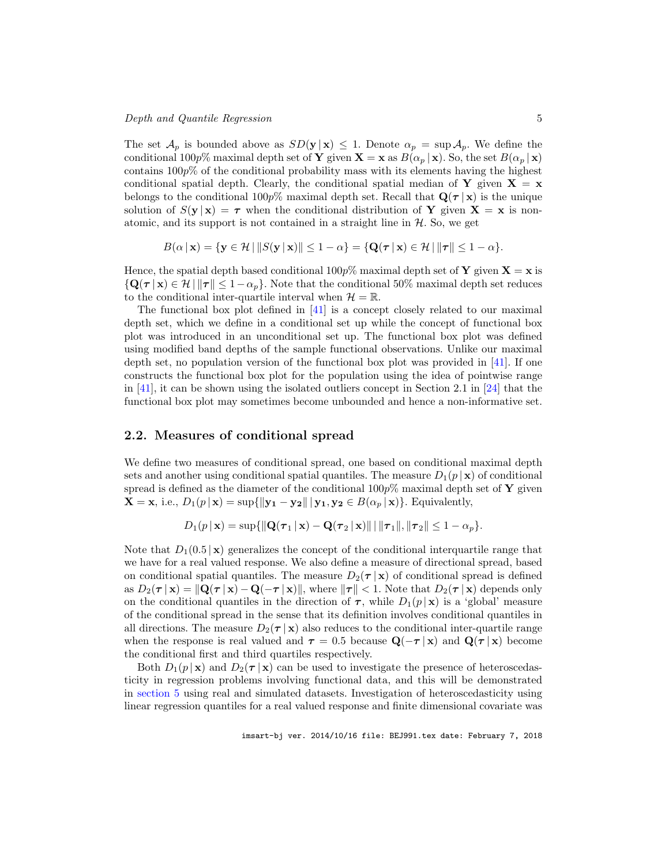#### Depth and Quantile Regression 5

The set  $\mathcal{A}_p$  is bounded above as  $SD(\mathbf{y} \mid \mathbf{x}) \leq 1$ . Denote  $\alpha_p = \sup \mathcal{A}_p$ . We define the conditional 100p% maximal depth set of Y given  $\mathbf{X} = \mathbf{x}$  as  $B(\alpha_p | \mathbf{x})$ . So, the set  $B(\alpha_p | \mathbf{x})$ contains  $100p\%$  of the conditional probability mass with its elements having the highest conditional spatial depth. Clearly, the conditional spatial median of Y given  $X = x$ belongs to the conditional 100p% maximal depth set. Recall that  $\mathbf{Q}(\tau | \mathbf{x})$  is the unique solution of  $S(\mathbf{y} | \mathbf{x}) = \tau$  when the conditional distribution of Y given  $\mathbf{X} = \mathbf{x}$  is nonatomic, and its support is not contained in a straight line in  $H$ . So, we get

$$
B(\alpha \mid \mathbf{x}) = \{ \mathbf{y} \in \mathcal{H} \mid \|S(\mathbf{y} \mid \mathbf{x})\| \leq 1 - \alpha \} = \{ \mathbf{Q}(\boldsymbol{\tau} \mid \mathbf{x}) \in \mathcal{H} \mid \|\boldsymbol{\tau}\| \leq 1 - \alpha \}.
$$

Hence, the spatial depth based conditional 100p% maximal depth set of **Y** given  $X = x$  is  ${\mathbf Q}(\tau | \mathbf{x}) \in \mathcal{H} \|\tau\| \leq 1-\alpha_p$ . Note that the conditional 50% maximal depth set reduces to the conditional inter-quartile interval when  $\mathcal{H} = \mathbb{R}$ .

The functional box plot defined in  $[41]$  is a concept closely related to our maximal depth set, which we define in a conditional set up while the concept of functional box plot was introduced in an unconditional set up. The functional box plot was defined using modified band depths of the sample functional observations. Unlike our maximal depth set, no population version of the functional box plot was provided in [41]. If one constructs the functional box plot for the population using the idea of pointwise range in [41], it can be shown using the isolated outliers concept in Section 2.1 in [24] that the functional box plot may sometimes become unbounded and hence a non-informative set.

#### 2.2. Measures of conditional spread

We define two measures of conditional spread, one based on conditional maximal depth sets and another using conditional spatial quantiles. The measure  $D_1(p \mid \mathbf{x})$  of conditional spread is defined as the diameter of the conditional  $100p\%$  maximal depth set of Y given  $\mathbf{X} = \mathbf{x}$ , i.e.,  $D_1(p \mid \mathbf{x}) = \sup \{ ||\mathbf{y_1} - \mathbf{y_2}|| \mid \mathbf{y_1}, \mathbf{y_2} \in B(\alpha_p \mid \mathbf{x}) \}.$  Equivalently,

$$
D_1(p \,|\, \mathbf{x}) = \sup \{ \| \mathbf{Q}(\boldsymbol{\tau}_1 \,|\, \mathbf{x}) - \mathbf{Q}(\boldsymbol{\tau}_2 \,|\, \mathbf{x}) \| \,|\, \|\boldsymbol{\tau}_1\|, \|\boldsymbol{\tau}_2\| \leq 1 - \alpha_p \}.
$$

Note that  $D_1(0.5 \mid \mathbf{x})$  generalizes the concept of the conditional interquartile range that we have for a real valued response. We also define a measure of directional spread, based on conditional spatial quantiles. The measure  $D_2(\tau | \mathbf{x})$  of conditional spread is defined as  $D_2(\tau | \mathbf{x}) = ||\mathbf{Q}(\tau | \mathbf{x}) - \mathbf{Q}(-\tau | \mathbf{x})||$ , where  $||\tau|| < 1$ . Note that  $D_2(\tau | \mathbf{x})$  depends only on the conditional quantiles in the direction of  $\tau$ , while  $D_1(p | \mathbf{x})$  is a 'global' measure of the conditional spread in the sense that its definition involves conditional quantiles in all directions. The measure  $D_2(\tau | \mathbf{x})$  also reduces to the conditional inter-quartile range when the response is real valued and  $\tau = 0.5$  because  $\mathbf{Q}(-\tau | \mathbf{x})$  and  $\mathbf{Q}(\tau | \mathbf{x})$  become the conditional first and third quartiles respectively.

Both  $D_1(p \mid \mathbf{x})$  and  $D_2(\tau \mid \mathbf{x})$  can be used to investigate the presence of heteroscedasticity in regression problems involving functional data, and this will be demonstrated in section 5 using real and simulated datasets. Investigation of heteroscedasticity using linear regression quantiles for a real valued response and finite dimensional covariate was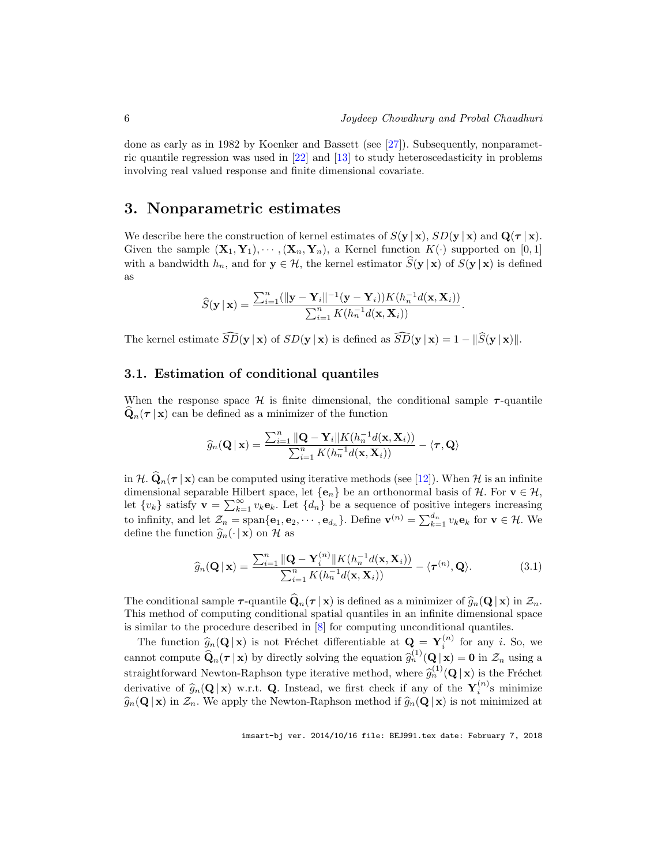done as early as in 1982 by Koenker and Bassett (see [27]). Subsequently, nonparametric quantile regression was used in [22] and [13] to study heteroscedasticity in problems involving real valued response and finite dimensional covariate.

## 3. Nonparametric estimates

We describe here the construction of kernel estimates of  $S(\mathbf{y} \mid \mathbf{x})$ ,  $SD(\mathbf{y} \mid \mathbf{x})$  and  $Q(\tau | \mathbf{x})$ . Given the sample  $(X_1, Y_1), \cdots, (X_n, Y_n)$ , a Kernel function  $K(\cdot)$  supported on [0, 1] with a bandwidth  $h_n$ , and for  $y \in H$ , the kernel estimator  $\hat{S}(y | x)$  of  $S(y | x)$  is defined as

$$
\widehat{S}(\mathbf{y} \mid \mathbf{x}) = \frac{\sum_{i=1}^{n} (||\mathbf{y} - \mathbf{Y}_i||^{-1}(\mathbf{y} - \mathbf{Y}_i)) K(h_n^{-1}d(\mathbf{x}, \mathbf{X}_i))}{\sum_{i=1}^{n} K(h_n^{-1}d(\mathbf{x}, \mathbf{X}_i))}.
$$

The kernel estimate  $\widehat{SD}(\mathbf{y} | \mathbf{x})$  of  $SD(\mathbf{y} | \mathbf{x})$  is defined as  $\widehat{SD}(\mathbf{y} | \mathbf{x}) = 1 - ||\widehat{S}(\mathbf{y} | \mathbf{x})||$ .

#### 3.1. Estimation of conditional quantiles

When the response space  $\mathcal{H}$  is finite dimensional, the conditional sample  $\tau$ -quantile  $\mathbf{Q}_n(\tau | \mathbf{x})$  can be defined as a minimizer of the function

$$
\widehat{g}_n(\mathbf{Q} \,|\, \mathbf{x}) = \frac{\sum_{i=1}^n \|\mathbf{Q} - \mathbf{Y}_i\| K(h_n^{-1} d(\mathbf{x}, \mathbf{X}_i))}{\sum_{i=1}^n K(h_n^{-1} d(\mathbf{x}, \mathbf{X}_i))} - \langle \boldsymbol{\tau}, \mathbf{Q} \rangle
$$

in H.  $\hat{\mathbf{Q}}_n(\tau | \mathbf{x})$  can be computed using iterative methods (see [12]). When H is an infinite dimensional separable Hilbert space, let  ${e_n}$  be an orthonormal basis of H. For  $v \in H$ , let  $\{v_k\}$  satisfy  $\mathbf{v} = \sum_{k=1}^{\infty} v_k \mathbf{e}_k$ . Let  $\{d_n\}$  be a sequence of positive integers increasing to infinity, and let  $\mathcal{Z}_n = \text{span}\{\mathbf{e}_1, \mathbf{e}_2, \cdots, \mathbf{e}_{d_n}\}.$  Define  $\mathbf{v}^{(n)} = \sum_{k=1}^{d_n} v_k \mathbf{e}_k$  for  $\mathbf{v} \in \mathcal{H}.$  We define the function  $\widehat{g}_n(\cdot | \mathbf{x})$  on H as

$$
\widehat{g}_n(\mathbf{Q} \mid \mathbf{x}) = \frac{\sum_{i=1}^n \|\mathbf{Q} - \mathbf{Y}_i^{(n)}\| K(h_n^{-1}d(\mathbf{x}, \mathbf{X}_i))}{\sum_{i=1}^n K(h_n^{-1}d(\mathbf{x}, \mathbf{X}_i))} - \langle \boldsymbol{\tau}^{(n)}, \mathbf{Q} \rangle. \tag{3.1}
$$

The conditional sample  $\tau$ -quantile  $\widehat{\mathbf{Q}}_n(\tau | \mathbf{x})$  is defined as a minimizer of  $\widehat{g}_n(\mathbf{Q} | \mathbf{x})$  in  $\mathcal{Z}_n$ . This method of computing conditional spatial quantiles in an infinite dimensional space is similar to the procedure described in [8] for computing unconditional quantiles.

The function  $\hat{g}_n(\mathbf{Q} | \mathbf{x})$  is not Fréchet differentiable at  $\mathbf{Q} = \mathbf{Y}_i^{(n)}$  for any *i*. So, we cannot compute  $\widehat{\mathbf{Q}}_n(\tau | \mathbf{x})$  by directly solving the equation  $\widehat{g}_n^{(1)}(\mathbf{Q} | \mathbf{x}) = \mathbf{0}$  in  $\mathcal{Z}_n$  using a straightforward Newton-Raphson type iterative method, where  $\hat{g}_n^{(1)}(\mathbf{Q} | \mathbf{x})$  is the Fréchet derivative of  $\hat{g}_n(\mathbf{Q} | \mathbf{x})$  w.r.t. **Q**. Instead, we first check if any of the  $\mathbf{Y}_i^{(n)}$ s minimize  $\widehat{g}_n(\mathbf{Q} | \mathbf{x})$  in  $\mathcal{Z}_n$ . We apply the Newton-Raphson method if  $\widehat{g}_n(\mathbf{Q} | \mathbf{x})$  is not minimized at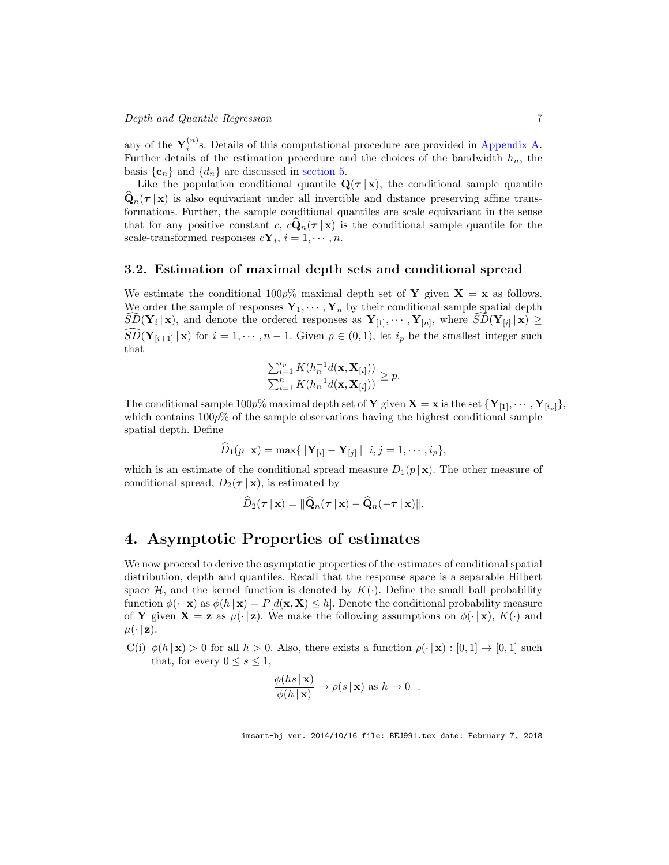any of the  $Y_i^{(n)}$ s. Details of this computational procedure are provided in Appendix A. Further details of the estimation procedure and the choices of the bandwidth  $h_n$ , the basis  $\{e_n\}$  and  $\{d_n\}$  are discussed in section 5.

Like the population conditional quantile  $\mathbf{Q}(\tau | \mathbf{x})$ , the conditional sample quantile  $\mathbf{Q}_n(\tau | \mathbf{x})$  is also equivariant under all invertible and distance preserving affine transformations. Further, the sample conditional quantiles are scale equivariant in the sense that for any positive constant c,  $c\mathbf{Q}_n(\tau | \mathbf{x})$  is the conditional sample quantile for the scale-transformed responses  $c\mathbf{Y}_i$ ,  $i = 1, \cdots, n$ .

#### 3.2. Estimation of maximal depth sets and conditional spread

We estimate the conditional 100p% maximal depth set of Y given  $X = x$  as follows. We order the sample of responses  $Y_1, \dots, Y_n$  by their conditional sample spatial depth  $SD(\mathbf{Y}_i | \mathbf{x})$ , and denote the ordered responses as  $\mathbf{Y}_{[1]}, \dots, \mathbf{Y}_{[n]}$ , where  $SD(\mathbf{Y}_{[i]} | \mathbf{x}) \geq$  $\widehat{SD}(\mathbf{Y}_{[i+1]} | \mathbf{x})$  for  $i = 1, \dots, n-1$ . Given  $p \in (0,1)$ , let  $i_p$  be the smallest integer such that

$$
\frac{\sum_{i=1}^{i_p}K(h_n^{-1}d(\mathbf{x},\mathbf{X}_{[i]}))}{\sum_{i=1}^nK(h_n^{-1}d(\mathbf{x},\mathbf{X}_{[i]}))} \geq p.
$$

The conditional sample 100p% maximal depth set of **Y** given  $\mathbf{X} = \mathbf{x}$  is the set  $\{Y_{[1]}, \cdots, Y_{[i_p]}\},\$ which contains  $100p\%$  of the sample observations having the highest conditional sample spatial depth. Define

$$
\widehat{D}_1(p \,|\, \mathbf{x}) = \max\{\|\mathbf{Y}_{[i]} - \mathbf{Y}_{[j]}\|\,|\, i,j=1,\cdots,i_p\},\
$$

which is an estimate of the conditional spread measure  $D_1(p \mid \mathbf{x})$ . The other measure of conditional spread,  $D_2(\tau | \mathbf{x})$ , is estimated by

$$
\widehat{D}_2(\boldsymbol{\tau} \,|\, \mathbf{x}) = \|\widehat{\mathbf{Q}}_n(\boldsymbol{\tau} \,|\, \mathbf{x}) - \widehat{\mathbf{Q}}_n(-\boldsymbol{\tau} \,|\, \mathbf{x})\|.
$$

## 4. Asymptotic Properties of estimates

We now proceed to derive the asymptotic properties of the estimates of conditional spatial distribution, depth and quantiles. Recall that the response space is a separable Hilbert space  $\mathcal{H}$ , and the kernel function is denoted by  $K(\cdot)$ . Define the small ball probability function  $\phi(\cdot | \mathbf{x})$  as  $\phi(h | \mathbf{x}) = P[d(\mathbf{x}, \mathbf{X}) \leq h]$ . Denote the conditional probability measure of **Y** given  $X = z$  as  $\mu(\cdot | z)$ . We make the following assumptions on  $\phi(\cdot | x)$ ,  $K(\cdot)$  and  $\mu(\cdot | \mathbf{z}).$ 

C(i)  $\phi(h | \mathbf{x}) > 0$  for all  $h > 0$ . Also, there exists a function  $\rho(\cdot | \mathbf{x}) : [0,1] \to [0,1]$  such that, for every  $0 \leq s \leq 1$ ,

$$
\frac{\phi(hs \mid \mathbf{x})}{\phi(h \mid \mathbf{x})} \to \rho(s \mid \mathbf{x}) \text{ as } h \to 0^+.
$$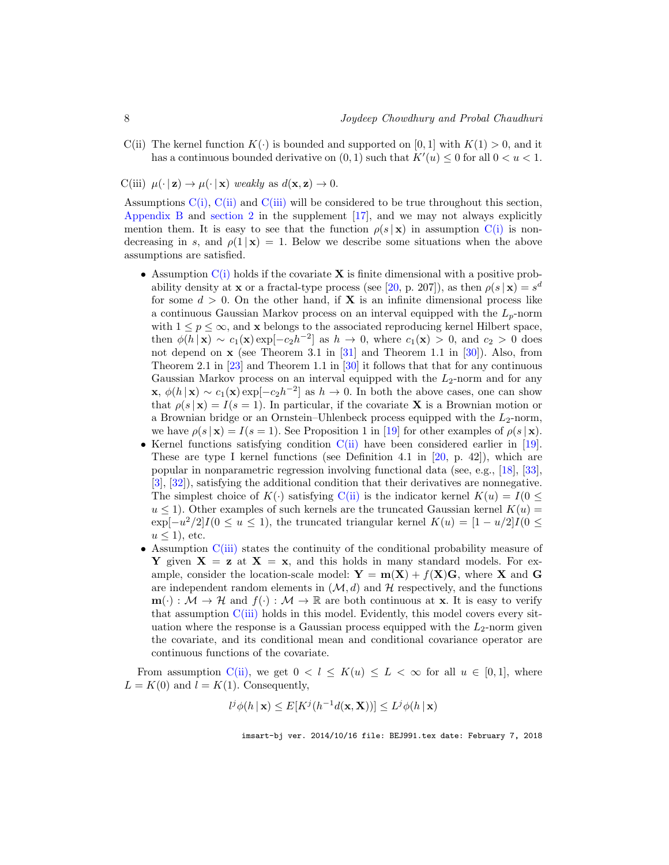C(ii) The kernel function  $K(\cdot)$  is bounded and supported on [0, 1] with  $K(1) > 0$ , and it has a continuous bounded derivative on  $(0, 1)$  such that  $K'(u) \leq 0$  for all  $0 < u < 1$ .

C(iii)  $\mu(\cdot | \mathbf{z}) \to \mu(\cdot | \mathbf{x})$  weakly as  $d(\mathbf{x}, \mathbf{z}) \to 0$ .

Assumptions  $C(i)$ ,  $C(i)$  and  $C(iii)$  will be considered to be true throughout this section, Appendix B and section 2 in the supplement [17], and we may not always explicitly mention them. It is easy to see that the function  $\rho(s | x)$  in assumption C(i) is nondecreasing in s, and  $\rho(1|\mathbf{x}) = 1$ . Below we describe some situations when the above assumptions are satisfied.

- Assumption  $C(i)$  holds if the covariate **X** is finite dimensional with a positive probability density at **x** or a fractal-type process (see [20, p. 207]), as then  $\rho(s | \mathbf{x}) = s^d$ for some  $d > 0$ . On the other hand, if **X** is an infinite dimensional process like a continuous Gaussian Markov process on an interval equipped with the  $L_p$ -norm with  $1 \leq p \leq \infty$ , and **x** belongs to the associated reproducing kernel Hilbert space, then  $\phi(h \mid \mathbf{x}) \sim c_1(\mathbf{x}) \exp[-c_2 h^{-2}]$  as  $h \to 0$ , where  $c_1(\mathbf{x}) > 0$ , and  $c_2 > 0$  does not depend on  $x$  (see Theorem 3.1 in [31] and Theorem 1.1 in [30]). Also, from Theorem 2.1 in [23] and Theorem 1.1 in [30] it follows that that for any continuous Gaussian Markov process on an interval equipped with the  $L_2$ -norm and for any  $\mathbf{x}, \phi(h|\mathbf{x}) \sim c_1(\mathbf{x}) \exp[-c_2 h^{-2}]$  as  $h \to 0$ . In both the above cases, one can show that  $\rho(s|\mathbf{x}) = I(s = 1)$ . In particular, if the covariate **X** is a Brownian motion or a Brownian bridge or an Ornstein–Uhlenbeck process equipped with the  $L_2$ -norm, we have  $\rho(s | \mathbf{x}) = I(s = 1)$ . See Proposition 1 in [19] for other examples of  $\rho(s | \mathbf{x})$ .
- Kernel functions satisfying condition C(ii) have been considered earlier in [19]. These are type I kernel functions (see Definition 4.1 in  $[20, p. 42]$ ), which are popular in nonparametric regression involving functional data (see, e.g., [18], [33], [3], [32]), satisfying the additional condition that their derivatives are nonnegative. The simplest choice of  $K(\cdot)$  satisfying C(ii) is the indicator kernel  $K(u) = I(0 \leq$  $u \leq 1$ ). Other examples of such kernels are the truncated Gaussian kernel  $K(u)$  $\exp[-u^2/2]I(0 \le u \le 1)$ , the truncated triangular kernel  $K(u) = [1 - u/2]I(0 \le$  $u \leq 1$ , etc.
- Assumption C(iii) states the continuity of the conditional probability measure of Y given  $X = z$  at  $X = x$ , and this holds in many standard models. For example, consider the location-scale model:  $\mathbf{Y} = \mathbf{m}(\mathbf{X}) + f(\mathbf{X})\mathbf{G}$ , where **X** and **G** are independent random elements in  $(M, d)$  and H respectively, and the functions  $\mathbf{m}(\cdot): \mathcal{M} \to \mathcal{H}$  and  $f(\cdot): \mathcal{M} \to \mathbb{R}$  are both continuous at **x**. It is easy to verify that assumption C(iii) holds in this model. Evidently, this model covers every situation where the response is a Gaussian process equipped with the  $L_2$ -norm given the covariate, and its conditional mean and conditional covariance operator are continuous functions of the covariate.

From assumption C(ii), we get  $0 < l \le K(u) \le L < \infty$  for all  $u \in [0,1]$ , where  $L = K(0)$  and  $l = K(1)$ . Consequently,

$$
l^{j}\phi(h \mid \mathbf{x}) \leq E[K^{j}(h^{-1}d(\mathbf{x}, \mathbf{X}))] \leq L^{j}\phi(h \mid \mathbf{x})
$$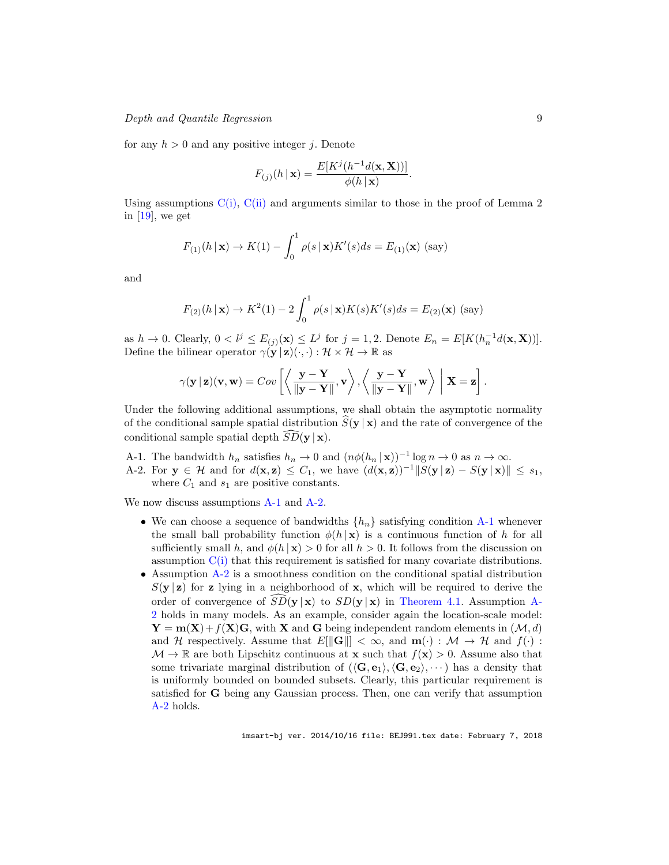Depth and Quantile Regression 9

for any  $h > 0$  and any positive integer j. Denote

$$
F_{(j)}(h \mid \mathbf{x}) = \frac{E[K^{j}(h^{-1}d(\mathbf{x}, \mathbf{X}))]}{\phi(h \mid \mathbf{x})}.
$$

Using assumptions  $C(i)$ ,  $C(i)$  and arguments similar to those in the proof of Lemma 2 in  $[19]$ , we get

$$
F_{(1)}(h \mid \mathbf{x}) \to K(1) - \int_0^1 \rho(s \mid \mathbf{x}) K'(s) ds = E_{(1)}(\mathbf{x}) \text{ (say)}
$$

and

$$
F_{(2)}(h \mid \mathbf{x}) \to K^2(1) - 2 \int_0^1 \rho(s \mid \mathbf{x}) K(s) K'(s) ds = E_{(2)}(\mathbf{x}) \text{ (say)}
$$

as  $h \to 0$ . Clearly,  $0 < l^j \le E_{(j)}(\mathbf{x}) \le L^j$  for  $j = 1, 2$ . Denote  $E_n = E[K(h_n^{-1}d(\mathbf{x}, \mathbf{X}))]$ . Define the bilinear operator  $\gamma(\mathbf{y} | \mathbf{z})(\cdot, \cdot) : \mathcal{H} \times \mathcal{H} \to \mathbb{R}$  as

$$
\gamma(\mathbf{y} | \mathbf{z})(\mathbf{v}, \mathbf{w}) = Cov\left[\left\langle \frac{\mathbf{y} - \mathbf{Y}}{\|\mathbf{y} - \mathbf{Y}\|}, \mathbf{v} \right\rangle, \left\langle \frac{\mathbf{y} - \mathbf{Y}}{\|\mathbf{y} - \mathbf{Y}\|}, \mathbf{w} \right\rangle \middle| \mathbf{X} = \mathbf{z}\right].
$$

Under the following additional assumptions, we shall obtain the asymptotic normality of the conditional sample spatial distribution  $S(y | x)$  and the rate of convergence of the conditional sample spatial depth  $SD(y | x)$ .

- A-1. The bandwidth  $h_n$  satisfies  $h_n \to 0$  and  $(n\phi(h_n | \mathbf{x}))^{-1} \log n \to 0$  as  $n \to \infty$ .
- A-2. For  $y \in \mathcal{H}$  and for  $d(x, z) \leq C_1$ , we have  $(d(x, z))^{-1}||S(y | z) S(y | x)|| \leq s_1$ , where  $C_1$  and  $s_1$  are positive constants.

We now discuss assumptions A-1 and A-2.

- We can choose a sequence of bandwidths  ${h_n}$  satisfying condition A-1 whenever the small ball probability function  $\phi(h|\mathbf{x})$  is a continuous function of h for all sufficiently small h, and  $\phi(h | \mathbf{x}) > 0$  for all  $h > 0$ . It follows from the discussion on assumption C(i) that this requirement is satisfied for many covariate distributions.
- Assumption A-2 is a smoothness condition on the conditional spatial distribution  $S(y \mid z)$  for z lying in a neighborhood of x, which will be required to derive the order of convergence of  $\overline{SD}(\mathbf{y} \mid \mathbf{x})$  to  $SD(\mathbf{y} \mid \mathbf{x})$  in Theorem 4.1. Assumption A-2 holds in many models. As an example, consider again the location-scale model:  $\mathbf{Y} = \mathbf{m}(\mathbf{X}) + f(\mathbf{X})\mathbf{G}$ , with **X** and **G** being independent random elements in  $(\mathcal{M}, d)$ and H respectively. Assume that  $E\|\mathbf{G}\| < \infty$ , and  $\mathbf{m}(\cdot) : \mathcal{M} \to \mathcal{H}$  and  $f(\cdot)$ :  $\mathcal{M} \to \mathbb{R}$  are both Lipschitz continuous at **x** such that  $f(\mathbf{x}) > 0$ . Assume also that some trivariate marginal distribution of  $(\langle \mathbf{G}, \mathbf{e}_1 \rangle, \langle \mathbf{G}, \mathbf{e}_2 \rangle, \cdots)$  has a density that is uniformly bounded on bounded subsets. Clearly, this particular requirement is satisfied for G being any Gaussian process. Then, one can verify that assumption A-2 holds.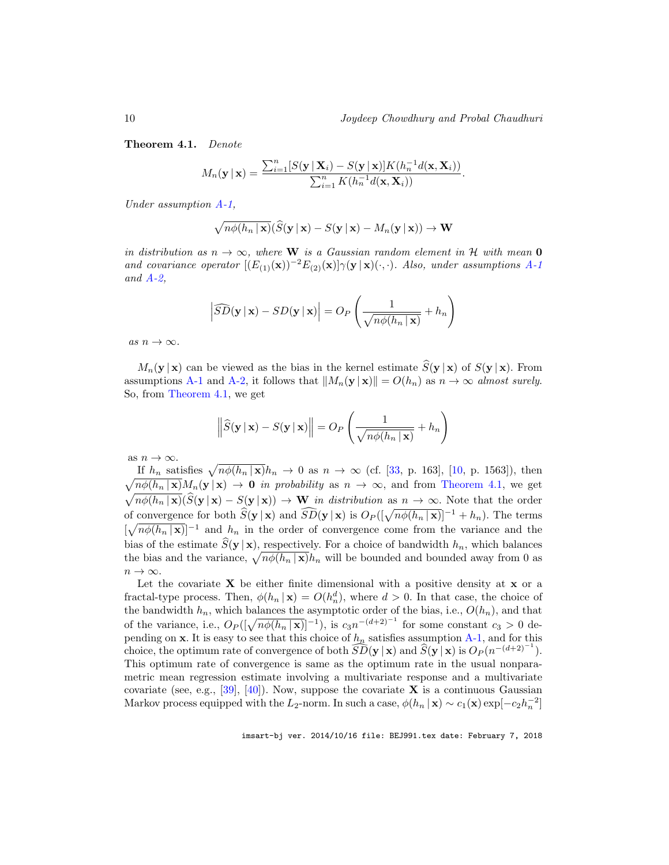Theorem 4.1. Denote

$$
M_n(\mathbf{y} \mid \mathbf{x}) = \frac{\sum_{i=1}^n [S(\mathbf{y} \mid \mathbf{X}_i) - S(\mathbf{y} \mid \mathbf{x})] K(h_n^{-1} d(\mathbf{x}, \mathbf{X}_i))}{\sum_{i=1}^n K(h_n^{-1} d(\mathbf{x}, \mathbf{X}_i))}.
$$

Under assumption A-1,

$$
\sqrt{n\phi(h_n \,|\, \mathbf{x})}(\widehat{S}(\mathbf{y} \,|\, \mathbf{x}) - S(\mathbf{y} \,|\, \mathbf{x}) - M_n(\mathbf{y} \,|\, \mathbf{x})) \to \mathbf{W}
$$

in distribution as  $n \to \infty$ , where W is a Gaussian random element in H with mean 0 and covariance operator  $[(E_{(1)}(\mathbf{x}))^{-2}E_{(2)}(\mathbf{x})]\gamma(\mathbf{y}|\mathbf{x})(\cdot,\cdot)$ . Also, under assumptions A-1 and  $A-2$ ,

$$
\left| \widehat{SD}(\mathbf{y} \mid \mathbf{x}) - SD(\mathbf{y} \mid \mathbf{x}) \right| = O_P\left(\frac{1}{\sqrt{n\phi(h_n \mid \mathbf{x})}} + h_n\right)
$$

as  $n \to \infty$ .

 $M_n(\mathbf{y} \mid \mathbf{x})$  can be viewed as the bias in the kernel estimate  $\hat{S}(\mathbf{y} \mid \mathbf{x})$  of  $S(\mathbf{y} \mid \mathbf{x})$ . From assumptions A-1 and A-2, it follows that  $||M_n(\mathbf{y} \mid \mathbf{x})|| = O(h_n)$  as  $n \to \infty$  almost surely. So, from Theorem 4.1, we get

$$
\left\|\widehat{S}(\mathbf{y} \mid \mathbf{x}) - S(\mathbf{y} \mid \mathbf{x})\right\| = O_P\left(\frac{1}{\sqrt{n\phi(h_n \mid \mathbf{x})}} + h_n\right)
$$

as  $n \to \infty$ .

If  $h_n$  satisfies  $\sqrt{n\phi(h_n | \mathbf{x})}h_n \to 0$  as  $n \to \infty$  (cf. [33, p. 163], [10, p. 1563]), then  $\sqrt{n\phi(h_n \mid \mathbf{x})}M_n(\mathbf{y} \mid \mathbf{x}) \to \mathbf{0}$  in probability as  $n \to \infty$ , and from Theorem 4.1, we get  $\sqrt{n\phi(h_n|\mathbf{x})}(\widehat{S}(\mathbf{y}|\mathbf{x})-S(\mathbf{y}|\mathbf{x})) \rightarrow \mathbf{W}$  in distribution as  $n \rightarrow \infty$ . Note that the order of convergence for both  $\widehat{S}(\mathbf{y} | \mathbf{x})$  and  $\widehat{SD}(\mathbf{y} | \mathbf{x})$  is  $O_P([\sqrt{n\phi(h_n | \mathbf{x}})]^{-1} + h_n)$ . The terms  $\left[\sqrt{n\phi(h_n \mid \mathbf{x})}\right]^{-1}$  and  $h_n$  in the order of convergence come from the variance and the bias of the estimate  $\widehat{S}(\mathbf{y} | \mathbf{x})$ , respectively. For a choice of bandwidth  $h_n$ , which balances the bias and the variance,  $\sqrt{n\phi(h_n | \mathbf{x})}h_n$  will be bounded and bounded away from 0 as  $n \to \infty$ .

Let the covariate  $X$  be either finite dimensional with a positive density at  $x$  or a fractal-type process. Then,  $\phi(h_n | \mathbf{x}) = O(h_n^d)$ , where  $d > 0$ . In that case, the choice of the bandwidth  $h_n$ , which balances the asymptotic order of the bias, i.e.,  $O(h_n)$ , and that of the variance, i.e.,  $O_P(\sqrt{n\phi(h_n|\mathbf{x})})^{-1})$ , is  $c_3n^{-(d+2)^{-1}}$  for some constant  $c_3 > 0$  depending on x. It is easy to see that this choice of  $h_n$  satisfies assumption A-1, and for this choice, the optimum rate of convergence of both  $\widehat{SD}(\mathbf{y} | \mathbf{x})$  and  $\widehat{S}(\mathbf{y} | \mathbf{x})$  is  $O_P(n^{-(d+2)^{-1}})$ . This optimum rate of convergence is same as the optimum rate in the usual nonparametric mean regression estimate involving a multivariate response and a multivariate covariate (see, e.g., [39], [40]). Now, suppose the covariate  $X$  is a continuous Gaussian Markov process equipped with the L<sub>2</sub>-norm. In such a case,  $\phi(h_n | \mathbf{x}) \sim c_1(\mathbf{x}) \exp[-c_2 h_n^{-2}]$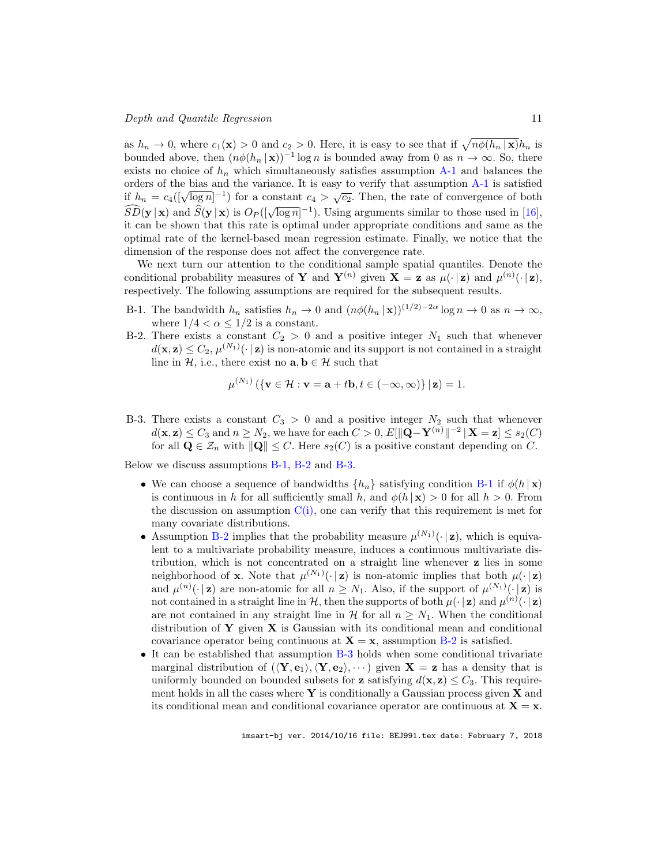as  $h_n \to 0$ , where  $c_1(\mathbf{x}) > 0$  and  $c_2 > 0$ . Here, it is easy to see that if  $\sqrt{n\phi(h_n|\mathbf{x})}h_n$  is bounded above, then  $(n\phi(h_n \mid \mathbf{x}))^{-1}$  log n is bounded away from 0 as  $n \to \infty$ . So, there exists no choice of  $h_n$  which simultaneously satisfies assumption  $A-1$  and balances the orders of the bias and the variance. It is easy to verify that assumption A-1 is satisfied if  $h_n = c_4(\sqrt{\log n})^{-1}$  for a constant  $c_4 > \sqrt{c_2}$ . Then, the rate of convergence of both  $\widehat{SD}(\mathbf{y} | \mathbf{x})$  and  $\widehat{S}(\mathbf{y} | \mathbf{x})$  is  $O_P((\sqrt{\log n})^{-1})$ . Using arguments similar to those used in [16], it can be shown that this rate is optimal under appropriate conditions and same as the optimal rate of the kernel-based mean regression estimate. Finally, we notice that the dimension of the response does not affect the convergence rate.

We next turn our attention to the conditional sample spatial quantiles. Denote the conditional probability measures of Y and  $Y^{(n)}$  given  $X = z$  as  $\mu(\cdot | z)$  and  $\mu^{(n)}(\cdot | z)$ , respectively. The following assumptions are required for the subsequent results.

- B-1. The bandwidth  $h_n$  satisfies  $h_n \to 0$  and  $\left(n\phi(h_n \mid \mathbf{x})\right)^{(1/2)-2\alpha} \log n \to 0$  as  $n \to \infty$ , where  $1/4 < \alpha \leq 1/2$  is a constant.
- B-2. There exists a constant  $C_2 > 0$  and a positive integer  $N_1$  such that whenever  $d(\mathbf{x}, \mathbf{z}) \leq C_2$ ,  $\mu^{(N_1)}(\cdot | \mathbf{z})$  is non-atomic and its support is not contained in a straight line in  $H$ , i.e., there exist no  $\mathbf{a}, \mathbf{b} \in \mathcal{H}$  such that

$$
\mu^{(N_1)}\left(\{\mathbf{v}\in\mathcal{H}:\mathbf{v}=\mathbf{a}+t\mathbf{b},t\in(-\infty,\infty)\}\,|\,\mathbf{z}\right)=1.
$$

B-3. There exists a constant  $C_3 > 0$  and a positive integer  $N_2$  such that whenever  $d(\mathbf{x}, \mathbf{z}) \leq C_3$  and  $n \geq N_2$ , we have for each  $C > 0$ ,  $E[\|\mathbf{Q} - \mathbf{Y}^{(n)}\|^{-2} | \mathbf{X} = \mathbf{z}] \leq s_2(C)$ for all  $\mathbf{Q} \in \mathcal{Z}_n$  with  $\|\mathbf{Q}\| \leq C$ . Here  $s_2(C)$  is a positive constant depending on C.

Below we discuss assumptions B-1, B-2 and B-3.

 $(32)$ 

- We can choose a sequence of bandwidths  $\{h_n\}$  satisfying condition B-1 if  $\phi(h \mid \mathbf{x})$ is continuous in h for all sufficiently small h, and  $\phi(h | \mathbf{x}) > 0$  for all  $h > 0$ . From the discussion on assumption  $C(i)$ , one can verify that this requirement is met for many covariate distributions.
- Assumption B-2 implies that the probability measure  $\mu^{(N_1)}(\cdot | \mathbf{z})$ , which is equivalent to a multivariate probability measure, induces a continuous multivariate distribution, which is not concentrated on a straight line whenever z lies in some neighborhood of **x**. Note that  $\mu^{(N_1)}(\cdot | \mathbf{z})$  is non-atomic implies that both  $\mu(\cdot | \mathbf{z})$ and  $\mu^{(n)}(\cdot | \mathbf{z})$  are non-atomic for all  $n \geq N_1$ . Also, if the support of  $\mu^{(N_1)}(\cdot | \mathbf{z})$  is not contained in a straight line in  $H$ , then the supports of both  $\mu(\cdot | z)$  and  $\mu^{(n)}(\cdot | z)$ are not contained in any straight line in  $\mathcal H$  for all  $n \geq N_1$ . When the conditional distribution of Y given  $X$  is Gaussian with its conditional mean and conditional covariance operator being continuous at  $X = x$ , assumption B-2 is satisfied.
- It can be established that assumption B-3 holds when some conditional trivariate marginal distribution of  $(\langle \mathbf{Y}, \mathbf{e}_1 \rangle, \langle \mathbf{Y}, \mathbf{e}_2 \rangle, \cdots)$  given  $\mathbf{X} = \mathbf{z}$  has a density that is uniformly bounded on bounded subsets for **z** satisfying  $d(\mathbf{x}, \mathbf{z}) \leq C_3$ . This requirement holds in all the cases where  $\bf{Y}$  is conditionally a Gaussian process given  $\bf{X}$  and its conditional mean and conditional covariance operator are continuous at  $X = x$ .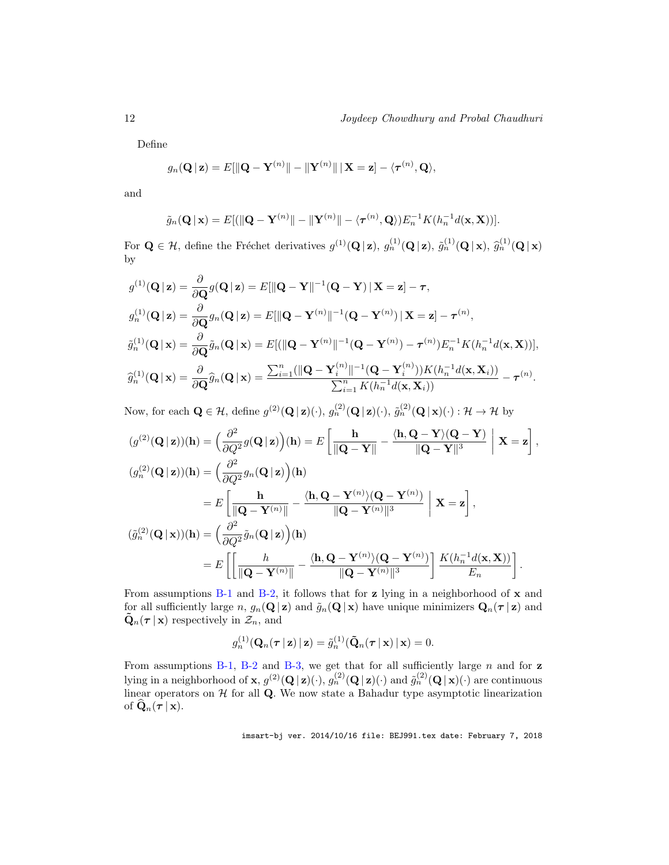Define

$$
g_n(\mathbf{Q} \,|\, \mathbf{z}) = E[\|\mathbf{Q} - \mathbf{Y}^{(n)}\| - \|\mathbf{Y}^{(n)}\| \,|\, \mathbf{X} = \mathbf{z}] - \langle \boldsymbol{\tau}^{(n)}, \mathbf{Q} \rangle,
$$

and

$$
\tilde{g}_n(\mathbf{Q} \mid \mathbf{x}) = E[(\Vert \mathbf{Q} - \mathbf{Y}^{(n)} \Vert - \Vert \mathbf{Y}^{(n)} \Vert - \langle \boldsymbol{\tau}^{(n)}, \mathbf{Q} \rangle) E_n^{-1} K(h_n^{-1} d(\mathbf{x}, \mathbf{X}))].
$$

For  $\mathbf{Q} \in \mathcal{H}$ , define the Fréchet derivatives  $g^{(1)}(\mathbf{Q} | \mathbf{z})$ ,  $g^{(1)}_n(\mathbf{Q} | \mathbf{z})$ ,  $\tilde{g}^{(1)}_n(\mathbf{Q} | \mathbf{x})$ ,  $\tilde{g}^{(1)}_n(\mathbf{Q} | \mathbf{x})$ by

$$
g^{(1)}(\mathbf{Q}|\mathbf{z}) = \frac{\partial}{\partial \mathbf{Q}} g(\mathbf{Q}|\mathbf{z}) = E[\|\mathbf{Q} - \mathbf{Y}\|^{-1}(\mathbf{Q} - \mathbf{Y})|\mathbf{X} = \mathbf{z}] - \tau,
$$
  
\n
$$
g_n^{(1)}(\mathbf{Q}|\mathbf{z}) = \frac{\partial}{\partial \mathbf{Q}} g_n(\mathbf{Q}|\mathbf{z}) = E[\|\mathbf{Q} - \mathbf{Y}^{(n)}\|^{-1}(\mathbf{Q} - \mathbf{Y}^{(n)})|\mathbf{X} = \mathbf{z}] - \tau^{(n)},
$$
  
\n
$$
\tilde{g}_n^{(1)}(\mathbf{Q}|\mathbf{x}) = \frac{\partial}{\partial \mathbf{Q}} \tilde{g}_n(\mathbf{Q}|\mathbf{x}) = E[(\|\mathbf{Q} - \mathbf{Y}^{(n)}\|^{-1}(\mathbf{Q} - \mathbf{Y}^{(n)}) - \tau^{(n)})E_n^{-1}K(h_n^{-1}d(\mathbf{x}, \mathbf{X}))],
$$
  
\n
$$
\tilde{g}_n^{(1)}(\mathbf{Q}|\mathbf{x}) = \frac{\partial}{\partial \mathbf{Q}} \tilde{g}_n(\mathbf{Q}|\mathbf{x}) = \frac{\sum_{i=1}^n (\|\mathbf{Q} - \mathbf{Y}_i^{(n)}\|^{-1}(\mathbf{Q} - \mathbf{Y}_i^{(n)}))K(h_n^{-1}d(\mathbf{x}, \mathbf{X}_i))}{\sum_{i=1}^n K(h_n^{-1}d(\mathbf{x}, \mathbf{X}_i))} - \tau^{(n)}.
$$

Now, for each  $\mathbf{Q} \in \mathcal{H}$ , define  $g^{(2)}(\mathbf{Q} | \mathbf{z})(\cdot), g^{(2)}_n(\mathbf{Q} | \mathbf{z})(\cdot), \tilde{g}^{(2)}_n(\mathbf{Q} | \mathbf{x})(\cdot) : \mathcal{H} \to \mathcal{H}$  by

$$
(g^{(2)}(\mathbf{Q}|\mathbf{z}))(h) = \left(\frac{\partial^2}{\partial Q^2}g(\mathbf{Q}|\mathbf{z})\right)(h) = E\left[\frac{h}{\|\mathbf{Q} - \mathbf{Y}\|} - \frac{\langle h, \mathbf{Q} - \mathbf{Y}\rangle(\mathbf{Q} - \mathbf{Y})}{\|\mathbf{Q} - \mathbf{Y}\|^3}\right] \mathbf{X} = \mathbf{z}\right],
$$
  
\n
$$
(g_n^{(2)}(\mathbf{Q}|\mathbf{z}))(h) = \left(\frac{\partial^2}{\partial Q^2}g_n(\mathbf{Q}|\mathbf{z})\right)(h)
$$
  
\n
$$
= E\left[\frac{h}{\|\mathbf{Q} - \mathbf{Y}^{(n)}\|} - \frac{\langle h, \mathbf{Q} - \mathbf{Y}^{(n)}\rangle(\mathbf{Q} - \mathbf{Y}^{(n)})}{\|\mathbf{Q} - \mathbf{Y}^{(n)}\|^3}\right] \mathbf{X} = \mathbf{z}\right],
$$
  
\n
$$
(\tilde{g}_n^{(2)}(\mathbf{Q}|\mathbf{x}))(h) = \left(\frac{\partial^2}{\partial Q^2}\tilde{g}_n(\mathbf{Q}|\mathbf{z})\right)(h)
$$
  
\n
$$
= E\left[\left[\frac{h}{\|\mathbf{Q} - \mathbf{Y}^{(n)}\|} - \frac{\langle h, \mathbf{Q} - \mathbf{Y}^{(n)}\rangle(\mathbf{Q} - \mathbf{Y}^{(n)})}{\|\mathbf{Q} - \mathbf{Y}^{(n)}\|^3}\right] \frac{K(h_n^{-1}d(\mathbf{x}, \mathbf{X}))}{E_n}\right].
$$

From assumptions B-1 and B-2, it follows that for z lying in a neighborhood of x and for all sufficiently large n,  $g_n(\mathbf{Q} | \mathbf{z})$  and  $\tilde{g}_n(\mathbf{Q} | \mathbf{x})$  have unique minimizers  $\mathbf{Q}_n(\tau | \mathbf{z})$  and  $\mathbf{Q}_n(\tau | \mathbf{x})$  respectively in  $\mathcal{Z}_n$ , and

$$
g_n^{(1)}(\mathbf{Q}_n(\boldsymbol{\tau} \,|\, \mathbf{z}) \,|\, \mathbf{z}) = \tilde{g}_n^{(1)}(\tilde{\mathbf{Q}}_n(\boldsymbol{\tau} \,|\, \mathbf{x}) \,|\, \mathbf{x}) = 0.
$$

From assumptions B-1, B-2 and B-3, we get that for all sufficiently large n and for  $z$ lying in a neighborhood of **x**,  $g^{(2)}(\mathbf{Q}|\mathbf{z})(\cdot), g^{(2)}_n(\mathbf{Q}|\mathbf{z})(\cdot)$  and  $\tilde{g}^{(2)}_n(\mathbf{Q}|\mathbf{x})(\cdot)$  are continuous linear operators on  $H$  for all  $Q$ . We now state a Bahadur type asymptotic linearization of  $\mathbf Q_n(\tau | \mathbf x)$ .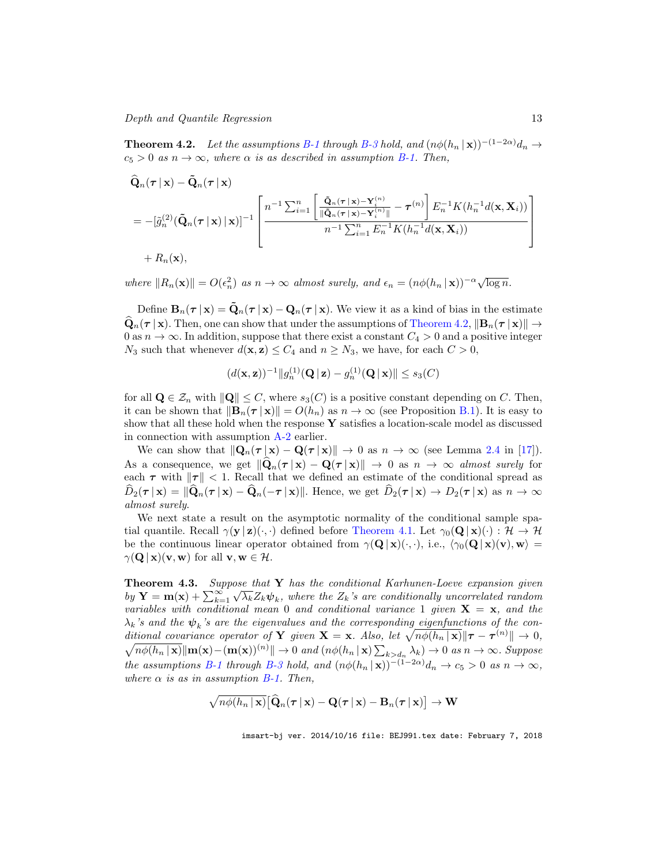Depth and Quantile Regression 13

**Theorem 4.2.** Let the assumptions B-1 through B-3 hold, and  $(n\phi(h_n | \mathbf{x}))^{-(1-2\alpha)}$  d<sub>n</sub> →  $c_5 > 0$  as  $n \to \infty$ , where  $\alpha$  is as described in assumption B-1. Then,

$$
\hat{\mathbf{Q}}_n(\boldsymbol{\tau} \mid \mathbf{x}) - \tilde{\mathbf{Q}}_n(\boldsymbol{\tau} \mid \mathbf{x})
$$
\n
$$
= -[\tilde{g}_n^{(2)}(\tilde{\mathbf{Q}}_n(\boldsymbol{\tau} \mid \mathbf{x}) \mid \mathbf{x})]^{-1} \left[ n^{-1} \sum_{i=1}^n \left[ \frac{\tilde{\mathbf{Q}}_n(\boldsymbol{\tau} \mid \mathbf{x}) - \mathbf{Y}_i^{(n)}}{\|\tilde{\mathbf{Q}}_n(\boldsymbol{\tau} \mid \mathbf{x}) - \mathbf{Y}_i^{(n)}\|} - \boldsymbol{\tau}^{(n)} \right] E_n^{-1} K(h_n^{-1} d(\mathbf{x}, \mathbf{X}_i)) \right]
$$
\n
$$
+ R_n(\mathbf{x}),
$$

where  $||R_n(\mathbf{x})|| = O(\epsilon_n^2)$  as  $n \to \infty$  almost surely, and  $\epsilon_n = (n\phi(h_n | \mathbf{x}))^{-\alpha} \sqrt{\log n}$ .

Define  $B_n(\tau | x) = \tilde{Q}_n(\tau | x) - Q_n(\tau | x)$ . We view it as a kind of bias in the estimate  $\widehat{\mathbf{Q}}_n(\tau | \mathbf{x})$ . Then, one can show that under the assumptions of Theorem 4.2,  $\|\mathbf{B}_n(\tau | \mathbf{x})\| \to$ 0 as  $n \to \infty$ . In addition, suppose that there exist a constant  $C_4 > 0$  and a positive integer  $N_3$  such that whenever  $d(\mathbf{x}, \mathbf{z}) \leq C_4$  and  $n \geq N_3$ , we have, for each  $C > 0$ ,

$$
(d(\mathbf{x}, \mathbf{z}))^{-1} ||g_n^{(1)}(\mathbf{Q} \,|\, \mathbf{z}) - g_n^{(1)}(\mathbf{Q} \,|\, \mathbf{x})|| \le s_3(C)
$$

for all  $\mathbf{Q} \in \mathcal{Z}_n$  with  $\|\mathbf{Q}\| \leq C$ , where  $s_3(C)$  is a positive constant depending on C. Then, it can be shown that  $\|\mathbf{B}_n(\tau \mid \mathbf{x})\| = O(h_n)$  as  $n \to \infty$  (see Proposition B.1). It is easy to show that all these hold when the response  $\bf{Y}$  satisfies a location-scale model as discussed in connection with assumption A-2 earlier.

We can show that  $\|\mathbf{Q}_n(\tau | \mathbf{x}) - \mathbf{Q}(\tau | \mathbf{x})\| \to 0$  as  $n \to \infty$  (see Lemma 2.4 in [17]). As a consequence, we get  $\|\mathbf{Q}_n(\tau | \mathbf{x}) - \mathbf{Q}(\tau | \mathbf{x})\| \to 0$  as  $n \to \infty$  almost surely for each  $\tau$  with  $\|\tau\|$  < 1. Recall that we defined an estimate of the conditional spread as  $\widehat{D}_2(\boldsymbol{\tau}\,|\,\mathbf{x}) = \|\widehat{\mathbf{Q}}_n(\boldsymbol{\tau}\,|\,\mathbf{x}) - \widehat{\mathbf{Q}}_n(-\boldsymbol{\tau}\,|\,\mathbf{x})\|$ . Hence, we get  $\widehat{D}_2(\boldsymbol{\tau}\,|\,\mathbf{x}) \to D_2(\boldsymbol{\tau}\,|\,\mathbf{x})$  as  $n \to \infty$ almost surely.

We next state a result on the asymptotic normality of the conditional sample spatial quantile. Recall  $\gamma(\mathbf{y} | \mathbf{z})(\cdot, \cdot)$  defined before Theorem 4.1. Let  $\gamma_0(\mathbf{Q} | \mathbf{x})(\cdot) : \mathcal{H} \to \mathcal{H}$ be the continuous linear operator obtained from  $\gamma(Q | x)(\cdot, \cdot)$ , i.e.,  $\langle \gamma_0(Q | x)(v), w \rangle =$  $\gamma(\mathbf{Q} \mid \mathbf{x})(\mathbf{v}, \mathbf{w})$  for all  $\mathbf{v}, \mathbf{w} \in \mathcal{H}$ .

**Theorem 4.3.** Suppose that  $Y$  has the conditional Karhunen-Loeve expansion given by  $\mathbf{Y} = \mathbf{m}(\mathbf{x}) + \sum_{k=1}^{\infty} \sqrt{\lambda_k} Z_k \psi_k$ , where the  $Z_k$ 's are conditionally uncorrelated random variables with conditional mean 0 and conditional variance 1 given  $X = x$ , and the  $\lambda_k$ 's and the  $\boldsymbol{\psi}_k$ 's are the eigenvalues and the corresponding eigenfunctions of the conditional covariance operator of Y given  $X = x$ . Also, let  $\sqrt{n\phi(h_n | x)} || \tau - \tau^{(n)} || \to 0$ ,  $\sqrt{n\phi(h_n \mid \mathbf{x})}\|\mathbf{m}(\mathbf{x}) - (\mathbf{m}(\mathbf{x}))^{(n)}\| \to 0$  and  $(n\phi(h_n \mid \mathbf{x}))\sum_{k>d_n}\lambda_k) \to 0$  as  $n \to \infty$ . Suppose the assumptions B-1 through B-3 hold, and  $(n\phi(h_n \mid \mathbf{x}))^{-(1-2\alpha)}d_n \to c_5 > 0$  as  $n \to \infty$ , where  $\alpha$  is as in assumption B-1. Then,

$$
\sqrt{n\phi(h_n \,|\, \mathbf{x})} \big[ \widehat{\mathbf{Q}}_n(\boldsymbol{\tau} \,|\, \mathbf{x}) - \mathbf{Q}(\boldsymbol{\tau} \,|\, \mathbf{x}) - \mathbf{B}_n(\boldsymbol{\tau} \,|\, \mathbf{x}) \big] \rightarrow \mathbf{W}
$$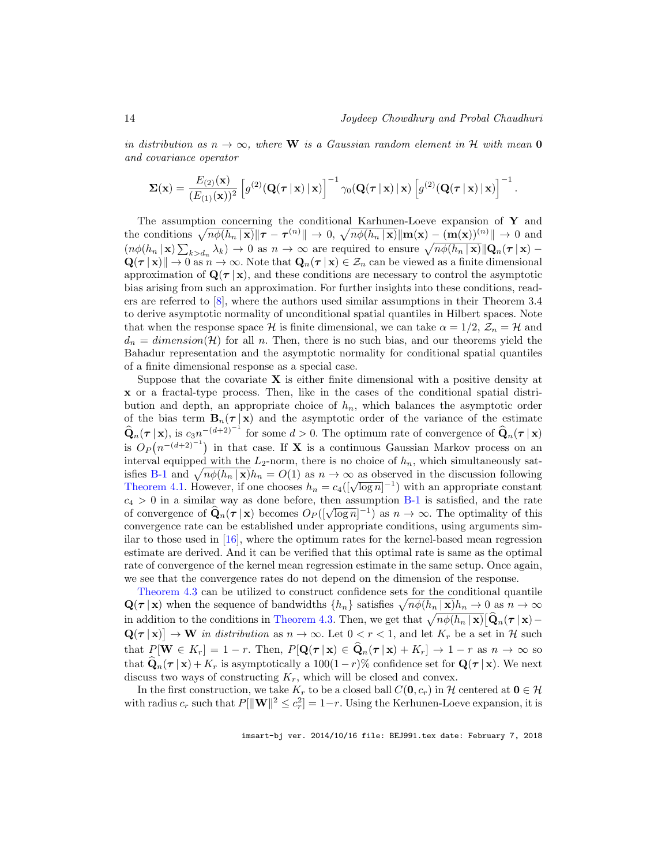in distribution as  $n \to \infty$ , where W is a Gaussian random element in H with mean O and covariance operator

$$
\mathbf{\Sigma}(\mathbf{x}) = \frac{E_{(2)}(\mathbf{x})}{(E_{(1)}(\mathbf{x}))^2} \left[ g^{(2)}(\mathbf{Q}(\boldsymbol{\tau} \,|\, \mathbf{x}) \,|\, \mathbf{x}) \right]^{-1} \gamma_0(\mathbf{Q}(\boldsymbol{\tau} \,|\, \mathbf{x}) \,|\, \mathbf{x}) \left[ g^{(2)}(\mathbf{Q}(\boldsymbol{\tau} \,|\, \mathbf{x}) \,|\, \mathbf{x}) \right]^{-1}.
$$

The assumption concerning the conditional Karhunen-Loeve expansion of  $\mathbf Y$  and the conditions  $\sqrt{n\phi(h_n | \mathbf{x})} || \boldsymbol{\tau} - \boldsymbol{\tau}^{(n)} || \to 0$ ,  $\sqrt{n\phi(h_n | \mathbf{x})} || \mathbf{m}(\mathbf{x}) - (\mathbf{m}(\mathbf{x}))^{(n)} || \to 0$  and  $(n\phi(h_n | \mathbf{x}) \sum_{k>d_n} \lambda_k) \to 0$  as  $n \to \infty$  are required to ensure  $\sqrt{n\phi(h_n | \mathbf{x})} ||\mathbf{Q}_n(\tau | \mathbf{x}) \mathbf{Q}(\tau | \mathbf{x})$   $\rightarrow$  0 as  $n \rightarrow \infty$ . Note that  $\mathbf{Q}_n(\tau | \mathbf{x}) \in \mathcal{Z}_n$  can be viewed as a finite dimensional approximation of  $\mathbf{Q}(\tau | \mathbf{x})$ , and these conditions are necessary to control the asymptotic bias arising from such an approximation. For further insights into these conditions, readers are referred to [8], where the authors used similar assumptions in their Theorem 3.4 to derive asymptotic normality of unconditional spatial quantiles in Hilbert spaces. Note that when the response space H is finite dimensional, we can take  $\alpha = 1/2$ ,  $\mathcal{Z}_n = \mathcal{H}$  and  $d_n = dimension(\mathcal{H})$  for all n. Then, there is no such bias, and our theorems yield the Bahadur representation and the asymptotic normality for conditional spatial quantiles of a finite dimensional response as a special case.

Suppose that the covariate  $X$  is either finite dimensional with a positive density at x or a fractal-type process. Then, like in the cases of the conditional spatial distribution and depth, an appropriate choice of  $h_n$ , which balances the asymptotic order of the bias term  $B_n(\tau | x)$  and the asymptotic order of the variance of the estimate  $\widehat{\mathbf{Q}}_n(\boldsymbol{\tau} \mid \mathbf{x})$ , is  $c_3 n^{-(d+2)^{-1}}$  for some  $d > 0$ . The optimum rate of convergence of  $\widehat{\mathbf{Q}}_n(\boldsymbol{\tau} \mid \mathbf{x})$ is  $O_P(n^{-(d+2)^{-1}})$  in that case. If **X** is a continuous Gaussian Markov process on an interval equipped with the  $L_2$ -norm, there is no choice of  $h_n$ , which simultaneously satisfies B-1 and  $\sqrt{n\phi(h_n | \mathbf{x})}h_n = O(1)$  as  $n \to \infty$  as observed in the discussion following Theorem 4.1. However, if one chooses  $h_n = c_4(\sqrt{\log n})^{-1}$  with an appropriate constant  $c_4 > 0$  in a similar way as done before, then assumption B-1 is satisfied, and the rate of convergence of  $\hat{\mathbf{Q}}_n(\tau | \mathbf{x})$  becomes  $O_P([\sqrt{\log n}]^{-1})$  as  $n \to \infty$ . The optimality of this convergence rate can be established under appropriate conditions, using arguments similar to those used in [16], where the optimum rates for the kernel-based mean regression estimate are derived. And it can be verified that this optimal rate is same as the optimal rate of convergence of the kernel mean regression estimate in the same setup. Once again, we see that the convergence rates do not depend on the dimension of the response.

Theorem 4.3 can be utilized to construct confidence sets for the conditional quantile  $\mathbf{Q}(\boldsymbol{\tau} | \mathbf{x})$  when the sequence of bandwidths  $\{h_n\}$  satisfies  $\sqrt{n\phi(h_n | \mathbf{x})}h_n \to 0$  as  $n \to \infty$ in addition to the conditions in Theorem 4.3. Then, we get that  $\sqrt{n\phi(h_n | \mathbf{x})} [\hat{\mathbf{Q}}_n(\tau | \mathbf{x}) \mathbf{Q}(\boldsymbol{\tau} | \mathbf{x})$   $\rightarrow$  W in distribution as  $n \rightarrow \infty$ . Let  $0 < r < 1$ , and let  $K_r$  be a set in H such that  $P[\mathbf{W} \in K_r] = 1 - r$ . Then,  $P[\mathbf{Q}(\tau | \mathbf{x}) \in \widehat{\mathbf{Q}}_n(\tau | \mathbf{x}) + K_r] \rightarrow 1 - r$  as  $n \rightarrow \infty$  so that  $\mathbf{Q}_n(\tau | \mathbf{x}) + K_r$  is asymptotically a 100(1 – r)% confidence set for  $\mathbf{Q}(\tau | \mathbf{x})$ . We next discuss two ways of constructing  $K_r$ , which will be closed and convex.

In the first construction, we take  $K_r$  to be a closed ball  $C(\mathbf{0}, c_r)$  in  $\mathcal{H}$  centered at  $\mathbf{0} \in \mathcal{H}$ with radius  $c_r$  such that  $P[\|\mathbf{W}\|^2 \leq c_r^2] = 1-r$ . Using the Kerhunen-Loeve expansion, it is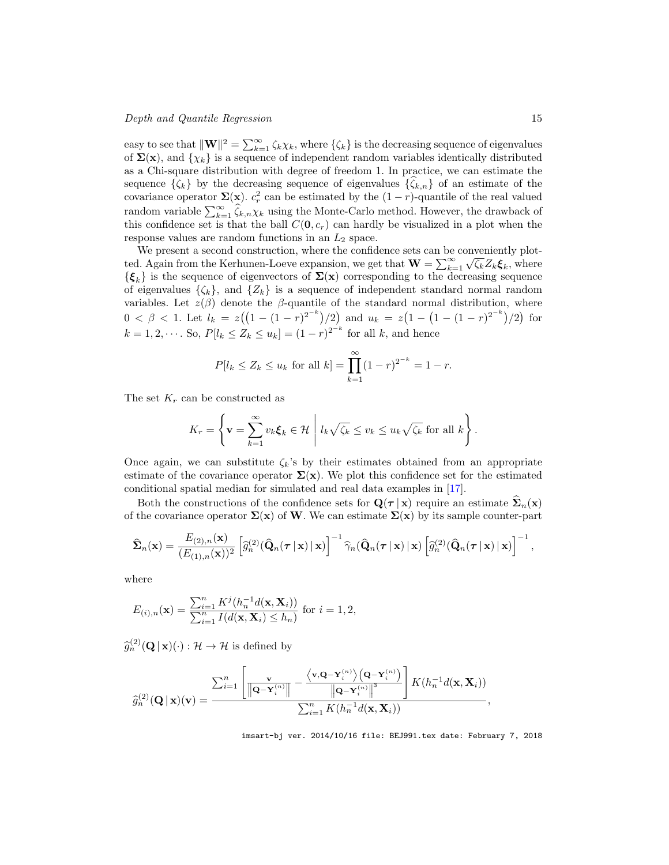easy to see that  $\|\mathbf{W}\|^2 = \sum_{k=1}^{\infty} \zeta_k \chi_k$ , where  $\{\zeta_k\}$  is the decreasing sequence of eigenvalues of  $\Sigma(\mathbf{x})$ , and  $\{\chi_k\}$  is a sequence of independent random variables identically distributed as a Chi-square distribution with degree of freedom 1. In practice, we can estimate the sequence  $\{\zeta_k\}$  by the decreasing sequence of eigenvalues  $\{\zeta_{k,n}\}$  of an estimate of the covariance operator  $\Sigma(\mathbf{x})$ .  $c_r^2$  can be estimated by the  $(1 - r)$ -quantile of the real valued random variable  $\sum_{k=1}^{\infty} \hat{\zeta}_{k,n} \chi_k$  using the Monte-Carlo method. However, the drawback of this confidence set is that the ball  $C(0, c_r)$  can hardly be visualized in a plot when the response values are random functions in an  $L_2$  space.

We present a second construction, where the confidence sets can be conveniently plotted. Again from the Kerhunen-Loeve expansion, we get that  $\mathbf{W} = \sum_{k=1}^{\infty} \sqrt{\zeta_k} Z_k \boldsymbol{\xi}_k$ , where  ${\{\boldsymbol{\xi}_k\}}$  is the sequence of eigenvectors of  $\Sigma(\mathbf{x})$  corresponding to the decreasing sequence of eigenvalues  $\{\zeta_k\}$ , and  $\{Z_k\}$  is a sequence of independent standard normal random variables. Let  $z(\beta)$  denote the  $\beta$ -quantile of the standard normal distribution, where  $0 < \beta < 1$ . Let  $l_k = z((1 - (1 - r)^{2^{-k}})/2)$  and  $u_k = z(1 - (1 - (1 - r)^{2^{-k}})/2)$  for  $k = 1, 2, \dots$ . So,  $P[l_k \le Z_k \le u_k] = (1 - r)^{2^{-k}}$  for all k, and hence

$$
P[l_k \le Z_k \le u_k \text{ for all } k] = \prod_{k=1}^{\infty} (1-r)^{2^{-k}} = 1-r.
$$

The set  $K_r$  can be constructed as

$$
K_r = \left\{ \mathbf{v} = \sum_{k=1}^{\infty} v_k \xi_k \in \mathcal{H} \middle| l_k \sqrt{\zeta_k} \le v_k \le u_k \sqrt{\zeta_k} \text{ for all } k \right\}.
$$

Once again, we can substitute  $\zeta_k$ 's by their estimates obtained from an appropriate estimate of the covariance operator  $\Sigma(\mathbf{x})$ . We plot this confidence set for the estimated conditional spatial median for simulated and real data examples in [17].

Both the constructions of the confidence sets for  $\mathbf{Q}(\tau | \mathbf{x})$  require an estimate  $\mathbf{\Sigma}_n(\mathbf{x})$ of the covariance operator  $\Sigma(x)$  of W. We can estimate  $\Sigma(x)$  by its sample counter-part

$$
\widehat{\mathbf{\Sigma}}_n(\mathbf{x}) = \frac{E_{(2),n}(\mathbf{x})}{(E_{(1),n}(\mathbf{x}))^2} \left[ \widehat{g}_n^{(2)}(\widehat{\mathbf{Q}}_n(\boldsymbol{\tau} \,|\, \mathbf{x}) \,|\, \mathbf{x}) \right]^{-1} \widehat{\gamma}_n(\widehat{\mathbf{Q}}_n(\boldsymbol{\tau} \,|\, \mathbf{x}) \,|\, \mathbf{x}) \left[ \widehat{g}_n^{(2)}(\widehat{\mathbf{Q}}_n(\boldsymbol{\tau} \,|\, \mathbf{x}) \,|\, \mathbf{x}) \right]^{-1},
$$

where

$$
E_{(i),n}(\mathbf{x}) = \frac{\sum_{i=1}^{n} K^j(h_n^{-1}d(\mathbf{x}, \mathbf{X}_i))}{\sum_{i=1}^{n} I(d(\mathbf{x}, \mathbf{X}_i) \le h_n)} \text{ for } i = 1, 2,
$$

 $\widehat{g}_n^{(2)}(\mathbf{Q} \,|\, \mathbf{x})(\cdot) : \mathcal{H} \to \mathcal{H}$  is defined by

$$
\widehat{g}_n^{(2)}(\mathbf{Q}\,|\,\mathbf{x})(\mathbf{v})=\frac{\sum_{i=1}^n\left[\frac{\mathbf{v}}{\left\|\mathbf{Q}-\mathbf{Y}_i^{(n)}\right\|}-\frac{\left\langle \mathbf{v},\mathbf{Q}-\mathbf{Y}_i^{(n)}\right\rangle \left(\mathbf{Q}-\mathbf{Y}_i^{(n)}\right)}{\left\|\mathbf{Q}-\mathbf{Y}_i^{(n)}\right\|^3}\right]K(h_n^{-1}d(\mathbf{x},\mathbf{X}_i))}{\sum_{i=1}^nK(h_n^{-1}d(\mathbf{x},\mathbf{X}_i))}
$$

imsart-bj ver. 2014/10/16 file: BEJ991.tex date: February 7, 2018

,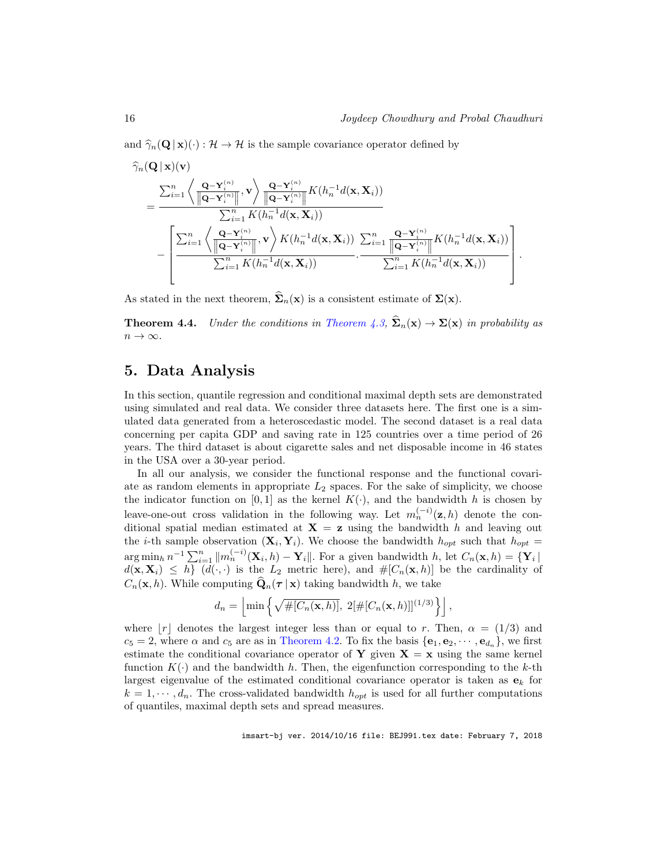and  $\hat{\gamma}_n(\mathbf{Q} | \mathbf{x})(\cdot) : \mathcal{H} \to \mathcal{H}$  is the sample covariance operator defined by

$$
\hat{\gamma}_n(\mathbf{Q}|\mathbf{x})(\mathbf{v}) = \frac{\sum_{i=1}^n \left\langle \frac{\mathbf{Q}-\mathbf{Y}_i^{(n)}}{\|\mathbf{Q}-\mathbf{Y}_i^{(n)}\|}, \mathbf{v} \right\rangle \frac{\mathbf{Q}-\mathbf{Y}_i^{(n)}}{\|\mathbf{Q}-\mathbf{Y}_i^{(n)}\|} K(h_n^{-1}d(\mathbf{x}, \mathbf{X}_i))}{\sum_{i=1}^n K(h_n^{-1}d(\mathbf{x}, \mathbf{X}_i))} - \frac{\left[\sum_{i=1}^n \left\langle \frac{\mathbf{Q}-\mathbf{Y}_i^{(n)}}{\|\mathbf{Q}-\mathbf{Y}_i^{(n)}\|}, \mathbf{v}\right\rangle K(h_n^{-1}d(\mathbf{x}, \mathbf{X}_i)) \sum_{i=1}^n \frac{\mathbf{Q}-\mathbf{Y}_i^{(n)}}{\|\mathbf{Q}-\mathbf{Y}_i^{(n)}\|} K(h_n^{-1}d(\mathbf{x}, \mathbf{X}_i))\right]}{\sum_{i=1}^n K(h_n^{-1}d(\mathbf{x}, \mathbf{X}_i))} \cdot \frac{\sum_{i=1}^n K(h_n^{-1}d(\mathbf{x}, \mathbf{X}_i))}{\sum_{i=1}^n K(h_n^{-1}d(\mathbf{x}, \mathbf{X}_i))}\right].
$$

As stated in the next theorem,  $\hat{\Sigma}_n(\mathbf{x})$  is a consistent estimate of  $\Sigma(\mathbf{x})$ .

**Theorem 4.4.** Under the conditions in Theorem 4.3,  $\hat{\Sigma}_n(\mathbf{x}) \to \Sigma(\mathbf{x})$  in probability as  $n \to \infty$ .

## 5. Data Analysis

In this section, quantile regression and conditional maximal depth sets are demonstrated using simulated and real data. We consider three datasets here. The first one is a simulated data generated from a heteroscedastic model. The second dataset is a real data concerning per capita GDP and saving rate in 125 countries over a time period of 26 years. The third dataset is about cigarette sales and net disposable income in 46 states in the USA over a 30-year period.

In all our analysis, we consider the functional response and the functional covariate as random elements in appropriate  $L_2$  spaces. For the sake of simplicity, we choose the indicator function on [0, 1] as the kernel  $K(\cdot)$ , and the bandwidth h is chosen by leave-one-out cross validation in the following way. Let  $m_n^{(-i)}(z, h)$  denote the conditional spatial median estimated at  $X = z$  using the bandwidth h and leaving out the *i*-th sample observation  $(X_i, Y_i)$ . We choose the bandwidth  $h_{opt}$  such that  $h_{opt}$  $\arg \min_h n^{-1} \sum_{i=1}^n ||m_n^{(-i)}(\mathbf{X}_i, h) - \mathbf{Y}_i||.$  For a given bandwidth h, let  $C_n(\mathbf{x}, h) = {\mathbf{Y}_i}$  $d(\mathbf{x}, \mathbf{X}_i) \leq h \overline{\int d(\cdot, \cdot)}$  is the  $L_2$  metric here), and  $\#[C_n(\mathbf{x}, h)]$  be the cardinality of  $C_n(\mathbf{x}, h)$ . While computing  $\widehat{\mathbf{Q}}_n(\tau | \mathbf{x})$  taking bandwidth h, we take

$$
d_n = \left\lfloor \min\left\{ \sqrt{\#[C_n(\mathbf{x},h)]}, \ 2[\#[C_n(\mathbf{x},h)]]^{(1/3)} \right\} \right\rfloor,
$$

where r denotes the largest integer less than or equal to r. Then,  $\alpha = (1/3)$  and  $c_5 = 2$ , where  $\alpha$  and  $c_5$  are as in Theorem 4.2. To fix the basis  $\{e_1, e_2, \dots, e_{d_n}\}$ , we first estimate the conditional covariance operator of Y given  $X = x$  using the same kernel function  $K(\cdot)$  and the bandwidth h. Then, the eigenfunction corresponding to the k-th largest eigenvalue of the estimated conditional covariance operator is taken as  $\mathbf{e}_k$  for  $k = 1, \dots, d_n$ . The cross-validated bandwidth  $h_{opt}$  is used for all further computations of quantiles, maximal depth sets and spread measures.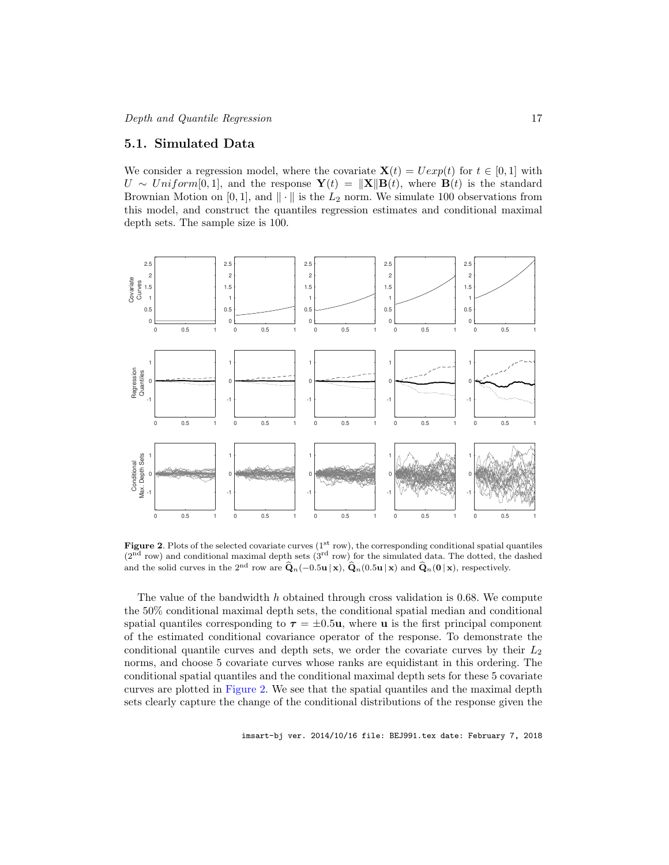#### 5.1. Simulated Data

We consider a regression model, where the covariate  $\mathbf{X}(t) = U \exp(t)$  for  $t \in [0, 1]$  with  $U \sim Uniform[0,1],$  and the response  $\mathbf{Y}(t) = ||\mathbf{X}|| \mathbf{B}(t)$ , where  $\mathbf{B}(t)$  is the standard Brownian Motion on [0, 1], and  $\|\cdot\|$  is the  $L_2$  norm. We simulate 100 observations from this model, and construct the quantiles regression estimates and conditional maximal depth sets. The sample size is 100.



Figure 2. Plots of the selected covariate curves  $(1<sup>st</sup> row)$ , the corresponding conditional spatial quantiles  $(2<sup>nd</sup> row)$  and conditional maximal depth sets  $(3<sup>rd</sup> row)$  for the simulated data. The dotted, the dashed and the solid curves in the 2<sup>nd</sup> row are  $\hat{\mathbf{Q}}_n(-0.5\mathbf{u} | \mathbf{x})$ ,  $\hat{\mathbf{Q}}_n(0.5\mathbf{u} | \mathbf{x})$  and  $\hat{\mathbf{Q}}_n(\mathbf{0} | \mathbf{x})$ , respectively.

The value of the bandwidth  $h$  obtained through cross validation is 0.68. We compute the 50% conditional maximal depth sets, the conditional spatial median and conditional spatial quantiles corresponding to  $\tau = \pm 0.5u$ , where **u** is the first principal component of the estimated conditional covariance operator of the response. To demonstrate the conditional quantile curves and depth sets, we order the covariate curves by their  $L_2$ norms, and choose 5 covariate curves whose ranks are equidistant in this ordering. The conditional spatial quantiles and the conditional maximal depth sets for these 5 covariate curves are plotted in Figure 2. We see that the spatial quantiles and the maximal depth sets clearly capture the change of the conditional distributions of the response given the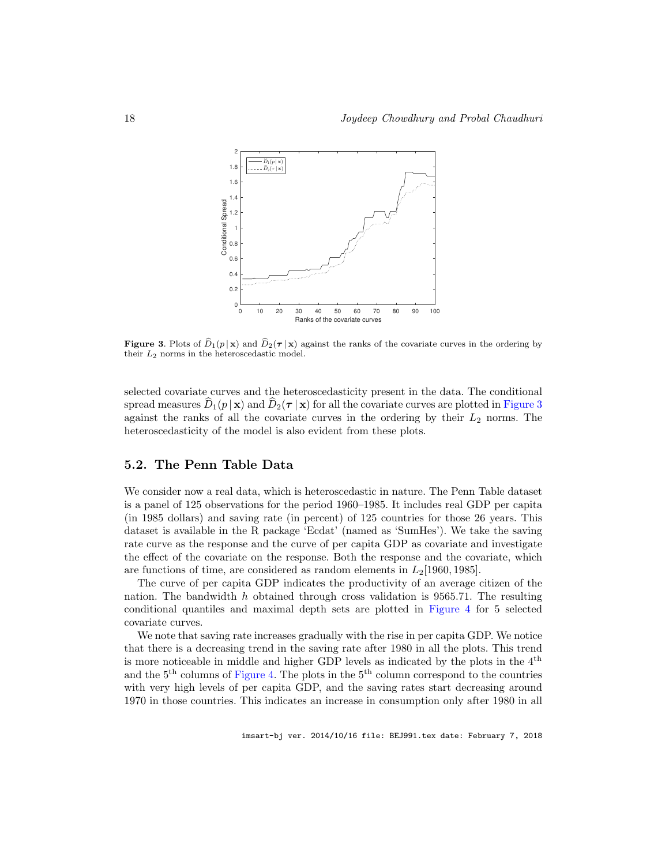

**Figure 3.** Plots of  $\widehat{D}_1(p | \mathbf{x})$  and  $\widehat{D}_2(\boldsymbol{\tau} | \mathbf{x})$  against the ranks of the covariate curves in the ordering by their  $L_2$  norms in the heteroscedastic model.

selected covariate curves and the heteroscedasticity present in the data. The conditional spread measures  $\hat{D}_1(p | \mathbf{x})$  and  $\hat{D}_2(\tau | \mathbf{x})$  for all the covariate curves are plotted in Figure 3 against the ranks of all the covariate curves in the ordering by their  $L_2$  norms. The heteroscedasticity of the model is also evident from these plots.

### 5.2. The Penn Table Data

We consider now a real data, which is heteroscedastic in nature. The Penn Table dataset is a panel of 125 observations for the period 1960–1985. It includes real GDP per capita (in 1985 dollars) and saving rate (in percent) of 125 countries for those 26 years. This dataset is available in the R package 'Ecdat' (named as 'SumHes'). We take the saving rate curve as the response and the curve of per capita GDP as covariate and investigate the effect of the covariate on the response. Both the response and the covariate, which are functions of time, are considered as random elements in  $L_2$ [1960, 1985].

The curve of per capita GDP indicates the productivity of an average citizen of the nation. The bandwidth h obtained through cross validation is  $9565.71$ . The resulting conditional quantiles and maximal depth sets are plotted in Figure 4 for 5 selected covariate curves.

We note that saving rate increases gradually with the rise in per capita GDP. We notice that there is a decreasing trend in the saving rate after 1980 in all the plots. This trend is more noticeable in middle and higher GDP levels as indicated by the plots in the 4th and the  $5<sup>th</sup>$  columns of Figure 4. The plots in the  $5<sup>th</sup>$  column correspond to the countries with very high levels of per capita GDP, and the saving rates start decreasing around 1970 in those countries. This indicates an increase in consumption only after 1980 in all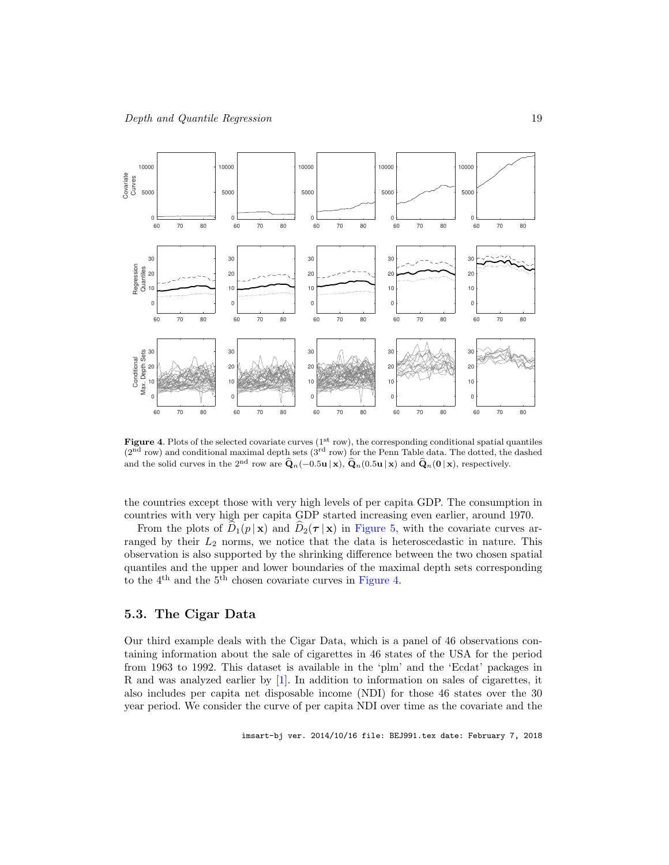

**Figure 4.** Plots of the selected covariate curves  $(1<sup>st</sup> row)$ , the corresponding conditional spatial quantiles (2nd row) and conditional maximal depth sets (3rd row) for the Penn Table data. The dotted, the dashed and the solid curves in the 2<sup>nd</sup> row are  $\hat{\mathbf{Q}}_n(-0.5\mathbf{u} | \mathbf{x})$ ,  $\hat{\mathbf{Q}}_n(0.5\mathbf{u} | \mathbf{x})$  and  $\hat{\mathbf{Q}}_n(\mathbf{0} | \mathbf{x})$ , respectively.

the countries except those with very high levels of per capita GDP. The consumption in countries with very high per capita GDP started increasing even earlier, around 1970.

From the plots of  $\hat{D}_1(p | x)$  and  $\hat{D}_2(\tau | x)$  in Figure 5, with the covariate curves arranged by their  $L_2$  norms, we notice that the data is heteroscedastic in nature. This observation is also supported by the shrinking difference between the two chosen spatial quantiles and the upper and lower boundaries of the maximal depth sets corresponding to the 4th and the 5th chosen covariate curves in Figure 4.

#### 5.3. The Cigar Data

Our third example deals with the Cigar Data, which is a panel of 46 observations containing information about the sale of cigarettes in 46 states of the USA for the period from 1963 to 1992. This dataset is available in the 'plm' and the 'Ecdat' packages in R and was analyzed earlier by [1]. In addition to information on sales of cigarettes, it also includes per capita net disposable income (NDI) for those 46 states over the 30 year period. We consider the curve of per capita NDI over time as the covariate and the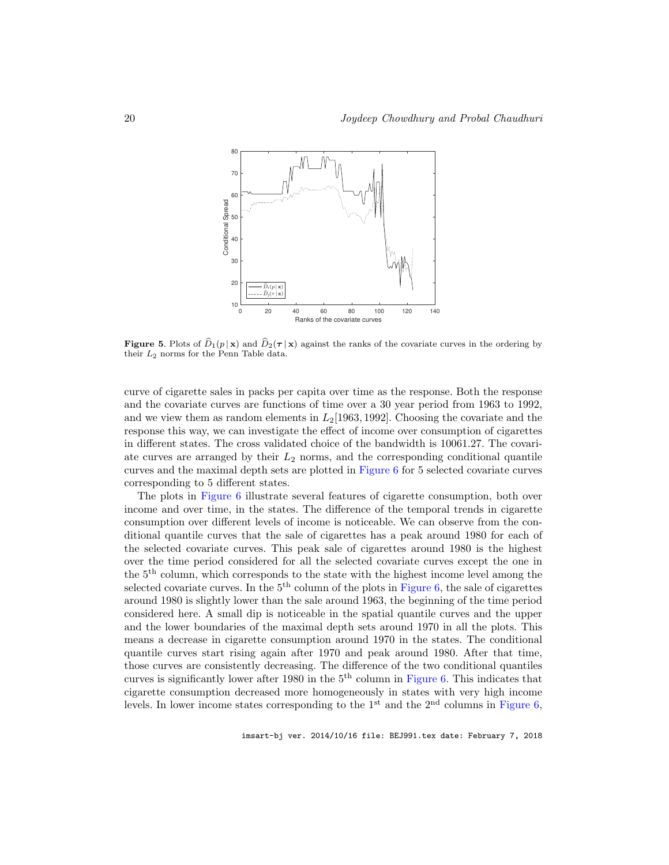

**Figure 5.** Plots of  $\hat{D}_1(p | \mathbf{x})$  and  $\hat{D}_2(\tau | \mathbf{x})$  against the ranks of the covariate curves in the ordering by their L<sup>2</sup> norms for the Penn Table data.

curve of cigarette sales in packs per capita over time as the response. Both the response and the covariate curves are functions of time over a 30 year period from 1963 to 1992, and we view them as random elements in  $L_2$ [1963, 1992]. Choosing the covariate and the response this way, we can investigate the effect of income over consumption of cigarettes in different states. The cross validated choice of the bandwidth is 10061.27. The covariate curves are arranged by their  $L_2$  norms, and the corresponding conditional quantile curves and the maximal depth sets are plotted in Figure 6 for 5 selected covariate curves corresponding to 5 different states.

The plots in Figure 6 illustrate several features of cigarette consumption, both over income and over time, in the states. The difference of the temporal trends in cigarette consumption over different levels of income is noticeable. We can observe from the conditional quantile curves that the sale of cigarettes has a peak around 1980 for each of the selected covariate curves. This peak sale of cigarettes around 1980 is the highest over the time period considered for all the selected covariate curves except the one in the 5th column, which corresponds to the state with the highest income level among the selected covariate curves. In the  $5<sup>th</sup>$  column of the plots in Figure 6, the sale of cigarettes around 1980 is slightly lower than the sale around 1963, the beginning of the time period considered here. A small dip is noticeable in the spatial quantile curves and the upper and the lower boundaries of the maximal depth sets around 1970 in all the plots. This means a decrease in cigarette consumption around 1970 in the states. The conditional quantile curves start rising again after 1970 and peak around 1980. After that time, those curves are consistently decreasing. The difference of the two conditional quantiles curves is significantly lower after 1980 in the  $5<sup>th</sup>$  column in Figure 6. This indicates that cigarette consumption decreased more homogeneously in states with very high income levels. In lower income states corresponding to the  $1<sup>st</sup>$  and the  $2<sup>nd</sup>$  columns in Figure 6,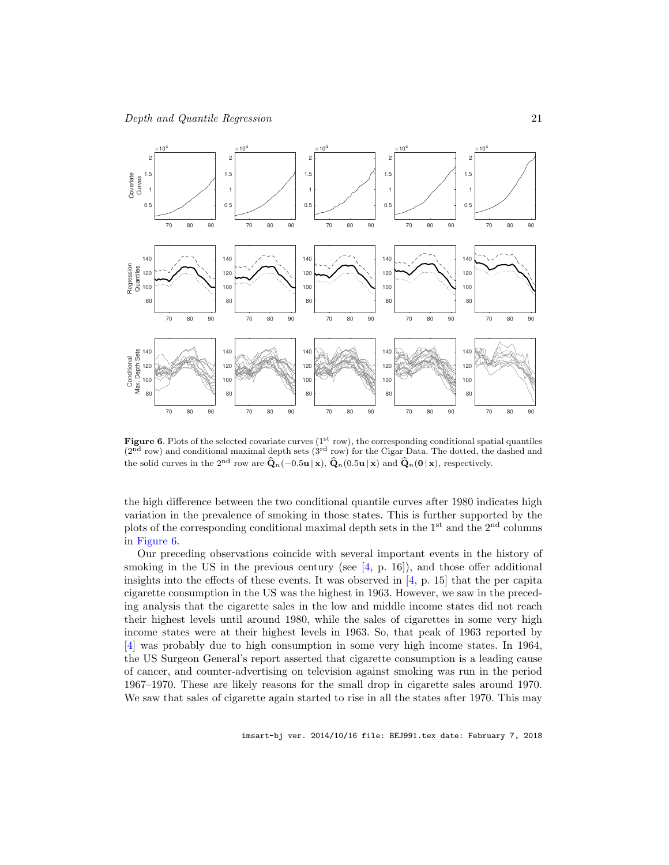

**Figure 6.** Plots of the selected covariate curves  $(1<sup>st</sup> row)$ , the corresponding conditional spatial quantiles  $(2<sup>nd</sup> row)$  and conditional maximal depth sets  $(3<sup>rd</sup> row)$  for the Cigar Data. The dotted, the dashed and the solid curves in the 2<sup>nd</sup> row are  $\hat{\mathbf{Q}}_n(-0.5\mathbf{u} | \mathbf{x})$ ,  $\hat{\mathbf{Q}}_n(0.5\mathbf{u} | \mathbf{x})$  and  $\hat{\mathbf{Q}}_n(\mathbf{0} | \mathbf{x})$ , respectively.

the high difference between the two conditional quantile curves after 1980 indicates high variation in the prevalence of smoking in those states. This is further supported by the plots of the corresponding conditional maximal depth sets in the  $1<sup>st</sup>$  and the  $2<sup>nd</sup>$  columns in Figure 6.

Our preceding observations coincide with several important events in the history of smoking in the US in the previous century (see  $(4, p. 16)$ ), and those offer additional insights into the effects of these events. It was observed in [4, p. 15] that the per capita cigarette consumption in the US was the highest in 1963. However, we saw in the preceding analysis that the cigarette sales in the low and middle income states did not reach their highest levels until around 1980, while the sales of cigarettes in some very high income states were at their highest levels in 1963. So, that peak of 1963 reported by [4] was probably due to high consumption in some very high income states. In 1964, the US Surgeon General's report asserted that cigarette consumption is a leading cause of cancer, and counter-advertising on television against smoking was run in the period 1967–1970. These are likely reasons for the small drop in cigarette sales around 1970. We saw that sales of cigarette again started to rise in all the states after 1970. This may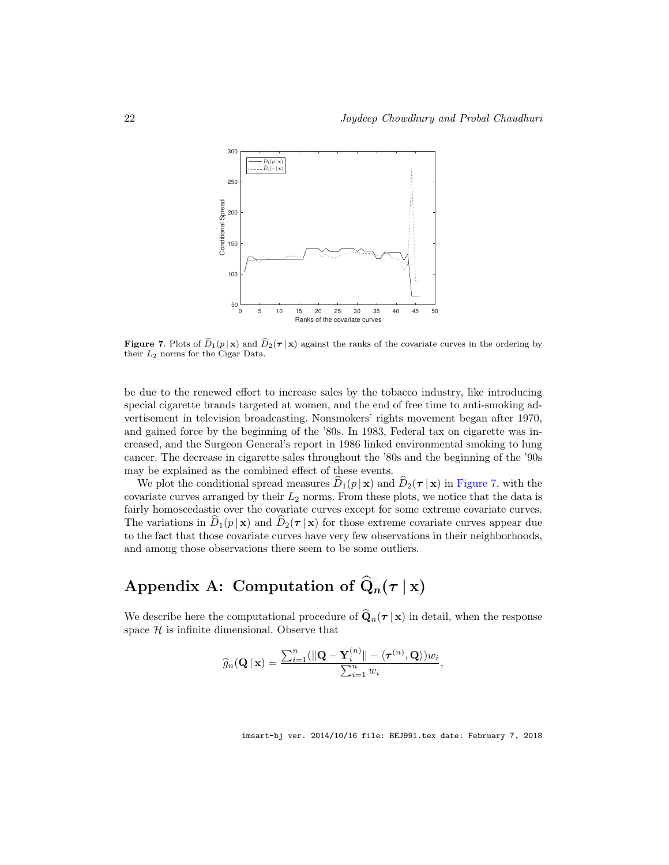

**Figure 7.** Plots of  $\hat{D}_1(p | \mathbf{x})$  and  $\hat{D}_2(\tau | \mathbf{x})$  against the ranks of the covariate curves in the ordering by their L<sup>2</sup> norms for the Cigar Data.

be due to the renewed effort to increase sales by the tobacco industry, like introducing special cigarette brands targeted at women, and the end of free time to anti-smoking advertisement in television broadcasting. Nonsmokers' rights movement began after 1970, and gained force by the beginning of the '80s. In 1983, Federal tax on cigarette was increased, and the Surgeon General's report in 1986 linked environmental smoking to lung cancer. The decrease in cigarette sales throughout the '80s and the beginning of the '90s may be explained as the combined effect of these events.

We plot the conditional spread measures  $D_1(p | \mathbf{x})$  and  $D_2(\tau | \mathbf{x})$  in Figure 7, with the covariate curves arranged by their  $L_2$  norms. From these plots, we notice that the data is fairly homoscedastic over the covariate curves except for some extreme covariate curves. The variations in  $\hat{D}_1(p | \mathbf{x})$  and  $\hat{D}_2(\tau | \mathbf{x})$  for those extreme covariate curves appear due to the fact that those covariate curves have very few observations in their neighborhoods, and among those observations there seem to be some outliers.

## Appendix A: Computation of  $\widehat{Q}_n(\tau | x)$

We describe here the computational procedure of  $\widehat{\mathbf{Q}}_n(\tau | \mathbf{x})$  in detail, when the response space  $H$  is infinite dimensional. Observe that

$$
\widehat{g}_n(\mathbf{Q} \,|\, \mathbf{x}) = \frac{\sum_{i=1}^n (\|\mathbf{Q} - \mathbf{Y}_i^{(n)}\| - \langle \boldsymbol{\tau}^{(n)}, \mathbf{Q} \rangle) w_i}{\sum_{i=1}^n w_i},
$$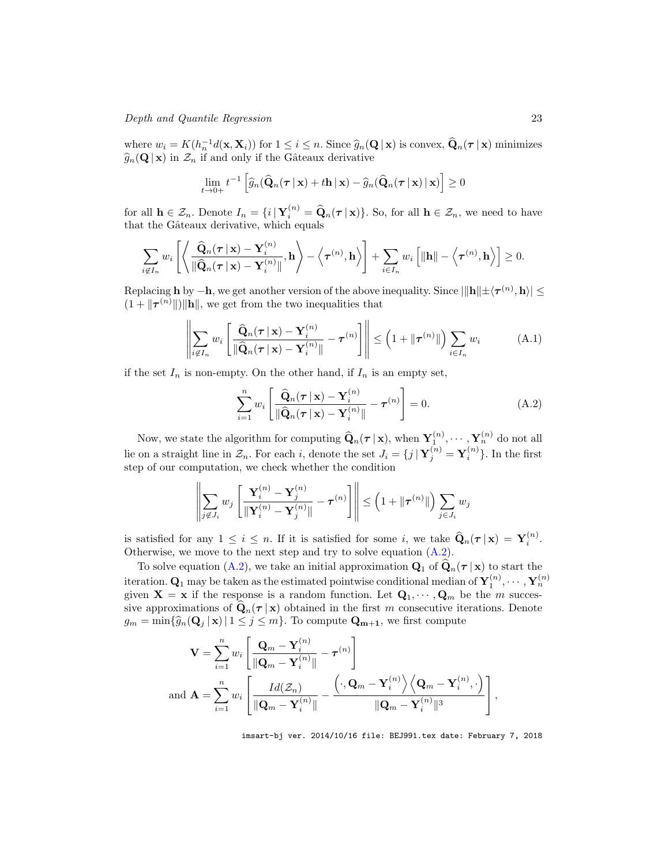Depth and Quantile Regression 23

where  $w_i = K(h_n^{-1}d(\mathbf{x}, \mathbf{X}_i))$  for  $1 \leq i \leq n$ . Since  $\widehat{g}_n(\mathbf{Q} | \mathbf{x})$  is convex,  $\widehat{\mathbf{Q}}_n(\boldsymbol{\tau} | \mathbf{x})$  minimizes  $\widehat{g}_n(\mathbf{Q} | \mathbf{x})$  in  $\mathcal{Z}_n$  if and only if the Gâteaux derivative

$$
\lim_{t\to 0+} t^{-1}\left[\widehat{g}_n(\widehat{\mathbf{Q}}_n(\boldsymbol{\tau} \,|\, \mathbf{x}) + t\mathbf{h}\,|\, \mathbf{x}) - \widehat{g}_n(\widehat{\mathbf{Q}}_n(\boldsymbol{\tau} \,|\, \mathbf{x}) \,|\, \mathbf{x})\right] \geq 0
$$

for all  $\mathbf{h} \in \mathcal{Z}_n$ . Denote  $I_n = \{i | \mathbf{Y}_i^{(n)} = \widehat{\mathbf{Q}}_n(\boldsymbol{\tau} | \mathbf{x})\}$ . So, for all  $\mathbf{h} \in \mathcal{Z}_n$ , we need to have that the Gâteaux derivative, which equals

$$
\sum_{i \notin I_n} w_i \left[ \left\langle \frac{\widehat{\mathbf{Q}}_n(\boldsymbol{\tau} \,|\, \mathbf{x}) - \mathbf{Y}_i^{(n)}}{\|\widehat{\mathbf{Q}}_n(\boldsymbol{\tau} \,|\, \mathbf{x}) - \mathbf{Y}_i^{(n)}\|} , \mathbf{h} \right\rangle - \left\langle \boldsymbol{\tau}^{(n)}, \mathbf{h} \right\rangle \right] + \sum_{i \in I_n} w_i \left[ \|\mathbf{h}\| - \left\langle \boldsymbol{\tau}^{(n)}, \mathbf{h} \right\rangle \right] \geq 0.
$$

Replacing **h** by  $-\mathbf{h}$ , we get another version of the above inequality. Since  $\|\mathbf{h}\| \pm \langle \boldsymbol{\tau}^{(n)}, \mathbf{h} \rangle \leq$  $(1 + ||\boldsymbol{\tau}^{(n)}||) ||\mathbf{h}||$ , we get from the two inequalities that

$$
\left\| \sum_{i \notin I_n} w_i \left[ \frac{\widehat{\mathbf{Q}}_n(\boldsymbol{\tau} \,|\, \mathbf{x}) - \mathbf{Y}_i^{(n)}}{\|\widehat{\mathbf{Q}}_n(\boldsymbol{\tau} \,|\, \mathbf{x}) - \mathbf{Y}_i^{(n)}\|} - \boldsymbol{\tau}^{(n)} \right] \right\| \leq \left( 1 + \|\boldsymbol{\tau}^{(n)}\| \right) \sum_{i \in I_n} w_i \tag{A.1}
$$

if the set  $I_n$  is non-empty. On the other hand, if  $I_n$  is an empty set,

$$
\sum_{i=1}^{n} w_i \left[ \frac{\widehat{\mathbf{Q}}_n(\boldsymbol{\tau} \,|\, \mathbf{x}) - \mathbf{Y}_i^{(n)}}{\|\widehat{\mathbf{Q}}_n(\boldsymbol{\tau} \,|\, \mathbf{x}) - \mathbf{Y}_i^{(n)}\|} - \boldsymbol{\tau}^{(n)} \right] = 0. \tag{A.2}
$$

Now, we state the algorithm for computing  $\widehat{Q}_n(\tau | x)$ , when  $Y_{1}^{(n)}, \cdots, Y_{n}^{(n)}$  do not all lie on a straight line in  $\mathcal{Z}_n$ . For each i, denote the set  $J_i = \{j | \mathbf{Y}_j^{(n)} = \mathbf{Y}_i^{(n)}\}$ . In the first step of our computation, we check whether the condition

$$
\left\| \sum_{j \notin J_i} w_j \left[ \frac{\mathbf{Y}_i^{(n)} - \mathbf{Y}_j^{(n)}}{\|\mathbf{Y}_i^{(n)} - \mathbf{Y}_j^{(n)}\|} - \tau^{(n)} \right] \right\| \le \left( 1 + \|\tau^{(n)}\| \right) \sum_{j \in J_i} w_j
$$

is satisfied for any  $1 \leq i \leq n$ . If it is satisfied for some i, we take  $\widehat{\mathbf{Q}}_n(\tau | \mathbf{x}) = \mathbf{Y}_i^{(n)}$ . Otherwise, we move to the next step and try to solve equation (A.2).

To solve equation (A.2), we take an initial approximation  $\mathbf{Q}_1$  of  $\mathbf{Q}_n(\tau | \mathbf{x})$  to start the iteration.  $\mathbf{Q}_1$  may be taken as the estimated pointwise conditional median of  $\mathbf{Y}_1^{(n)},\cdots,\mathbf{Y}_n^{(n)}$ given  $X = x$  if the response is a random function. Let  $Q_1, \dots, Q_m$  be the m successive approximations of  $\mathbf{Q}_n(\tau | \mathbf{x})$  obtained in the first m consecutive iterations. Denote  $g_m = \min\{\hat{g}_n(\mathbf{Q}_j \mid \mathbf{x}) \mid 1 \leq j \leq m\}$ . To compute  $\mathbf{Q}_{m+1}$ , we first compute

$$
\mathbf{V} = \sum_{i=1}^{n} w_i \left[ \frac{\mathbf{Q}_m - \mathbf{Y}_i^{(n)}}{\|\mathbf{Q}_m - \mathbf{Y}_i^{(n)}\|} - \boldsymbol{\tau}^{(n)} \right]
$$
  
and 
$$
\mathbf{A} = \sum_{i=1}^{n} w_i \left[ \frac{Id(\mathcal{Z}_n)}{\|\mathbf{Q}_m - \mathbf{Y}_i^{(n)}\|} - \frac{\left( \cdot, \mathbf{Q}_m - \mathbf{Y}_i^{(n)} \right) \left\langle \mathbf{Q}_m - \mathbf{Y}_i^{(n)}, \cdot \right\rangle}{\|\mathbf{Q}_m - \mathbf{Y}_i^{(n)}\|^3} \right],
$$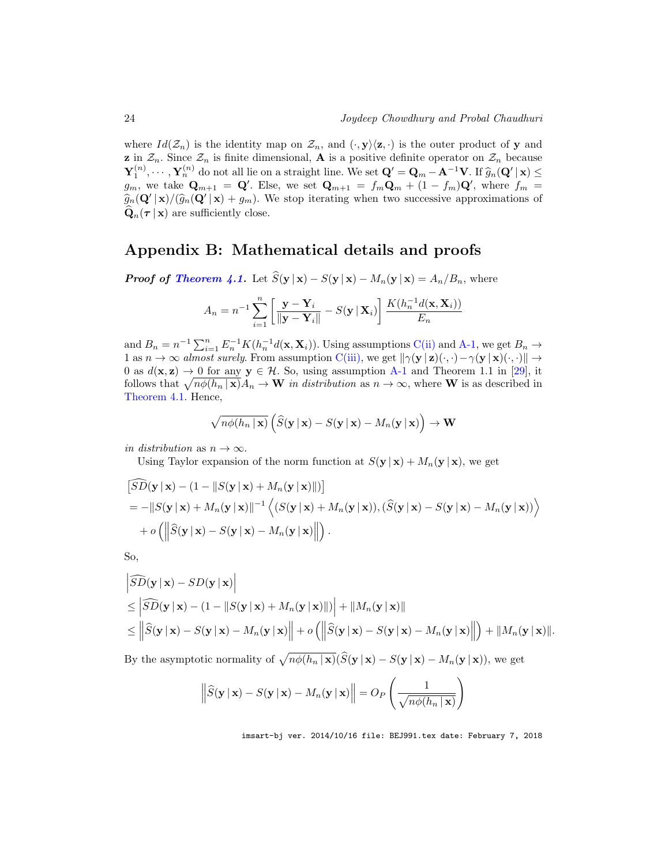where  $Id(\mathcal{Z}_n)$  is the identity map on  $\mathcal{Z}_n$ , and  $(\cdot, \mathbf{y})\langle \mathbf{z}, \cdot \rangle$  is the outer product of y and **z** in  $\mathcal{Z}_n$ . Since  $\mathcal{Z}_n$  is finite dimensional, **A** is a positive definite operator on  $\mathcal{Z}_n$  because  $\mathbf{Y}_1^{(n)}, \dots, \mathbf{Y}_n^{(n)}$  do not all lie on a straight line. We set  $\mathbf{Q}' = \mathbf{Q}_m - \mathbf{A}^{-1} \mathbf{V}$ . If  $\widehat{g}_n(\mathbf{Q}' | \mathbf{x}) \leq$  $g_m$ , we take  $\mathbf{Q}_{m+1} = \mathbf{Q}'$ . Else, we set  $\mathbf{Q}_{m+1} = f_m \mathbf{Q}_m + (1 - f_m) \mathbf{Q}'$ , where  $f_m =$  $\widehat{g}_n(\mathbf{Q}'|\mathbf{x})/(\widehat{g}_n(\mathbf{Q}'|\mathbf{x})+g_m)$ . We stop iterating when two successive approximations of  $\mathbf{Q}_n(\tau | \mathbf{x})$  are sufficiently close.

## Appendix B: Mathematical details and proofs

**Proof of Theorem 4.1.** Let  $\widehat{S}(\mathbf{y} | \mathbf{x}) - S(\mathbf{y} | \mathbf{x}) - M_n(\mathbf{y} | \mathbf{x}) = A_n/B_n$ , where

$$
A_n = n^{-1} \sum_{i=1}^n \left[ \frac{\mathbf{y} - \mathbf{Y}_i}{\|\mathbf{y} - \mathbf{Y}_i\|} - S(\mathbf{y} \,|\, \mathbf{X}_i) \right] \frac{K(h_n^{-1}d(\mathbf{x}, \mathbf{X}_i))}{E_n}
$$

and  $B_n = n^{-1} \sum_{i=1}^n E_n^{-1} K(h_n^{-1} d(\mathbf{x}, \mathbf{X}_i))$ . Using assumptions C(ii) and A-1, we get  $B_n \to$ 1 as  $n \to \infty$  almost surely. From assumption C(iii), we get  $\|\gamma(\mathbf{y} \mid \mathbf{z})(\cdot, \cdot) - \gamma(\mathbf{y} \mid \mathbf{x})(\cdot, \cdot)\|$ 0 as  $d(\mathbf{x}, \mathbf{z}) \to 0$  for any  $\mathbf{y} \in \mathcal{H}$ . So, using assumption A-1 and Theorem 1.1 in [29], it follows that  $\sqrt{n\phi(h_n | \mathbf{x})}A_n \to \mathbf{W}$  in distribution as  $n \to \infty$ , where **W** is as described in Theorem 4.1. Hence,

$$
\sqrt{n\phi(h_n \mid \mathbf{x})}\left(\widehat{S}(\mathbf{y} \mid \mathbf{x}) - S(\mathbf{y} \mid \mathbf{x}) - M_n(\mathbf{y} \mid \mathbf{x})\right) \to \mathbf{W}
$$

in distribution as  $n \to \infty$ .

Using Taylor expansion of the norm function at  $S(\mathbf{y} | \mathbf{x}) + M_n(\mathbf{y} | \mathbf{x})$ , we get

$$
\begin{aligned}\n\left[\widehat{SD}(\mathbf{y} \mid \mathbf{x}) - (1 - \|S(\mathbf{y} \mid \mathbf{x}) + M_n(\mathbf{y} \mid \mathbf{x})\|)\right] \\
&= -\|S(\mathbf{y} \mid \mathbf{x}) + M_n(\mathbf{y} \mid \mathbf{x})\|^{-1} \left\langle (S(\mathbf{y} \mid \mathbf{x}) + M_n(\mathbf{y} \mid \mathbf{x})), (\widehat{S}(\mathbf{y} \mid \mathbf{x}) - S(\mathbf{y} \mid \mathbf{x}) - M_n(\mathbf{y} \mid \mathbf{x})) \right\rangle \\
&\quad + o\left(\left\|\widehat{S}(\mathbf{y} \mid \mathbf{x}) - S(\mathbf{y} \mid \mathbf{x}) - M_n(\mathbf{y} \mid \mathbf{x})\right\|\right).\n\end{aligned}
$$

So,

$$
\begin{aligned}\n\left|\widehat{SD}(\mathbf{y} \mid \mathbf{x}) - SD(\mathbf{y} \mid \mathbf{x})\right| \\
&\leq \left|\widehat{SD}(\mathbf{y} \mid \mathbf{x}) - (1 - \|S(\mathbf{y} \mid \mathbf{x}) + M_n(\mathbf{y} \mid \mathbf{x})\|\right) + \|M_n(\mathbf{y} \mid \mathbf{x})\| \\
&\leq \left\|\widehat{S}(\mathbf{y} \mid \mathbf{x}) - S(\mathbf{y} \mid \mathbf{x}) - M_n(\mathbf{y} \mid \mathbf{x})\right\| + o\left(\left\|\widehat{S}(\mathbf{y} \mid \mathbf{x}) - S(\mathbf{y} \mid \mathbf{x}) - M_n(\mathbf{y} \mid \mathbf{x})\right\|\right) + \|M_n(\mathbf{y} \mid \mathbf{x})\|. \n\end{aligned}
$$

By the asymptotic normality of  $\sqrt{n\phi(h_n | \mathbf{x})}(\widehat{S}(\mathbf{y} | \mathbf{x}) - S(\mathbf{y} | \mathbf{x}) - M_n(\mathbf{y} | \mathbf{x}))$ , we get

$$
\left\|\widehat{S}(\mathbf{y} \mid \mathbf{x}) - S(\mathbf{y} \mid \mathbf{x}) - M_n(\mathbf{y} \mid \mathbf{x})\right\| = O_P\left(\frac{1}{\sqrt{n\phi(h_n \mid \mathbf{x})}}\right)
$$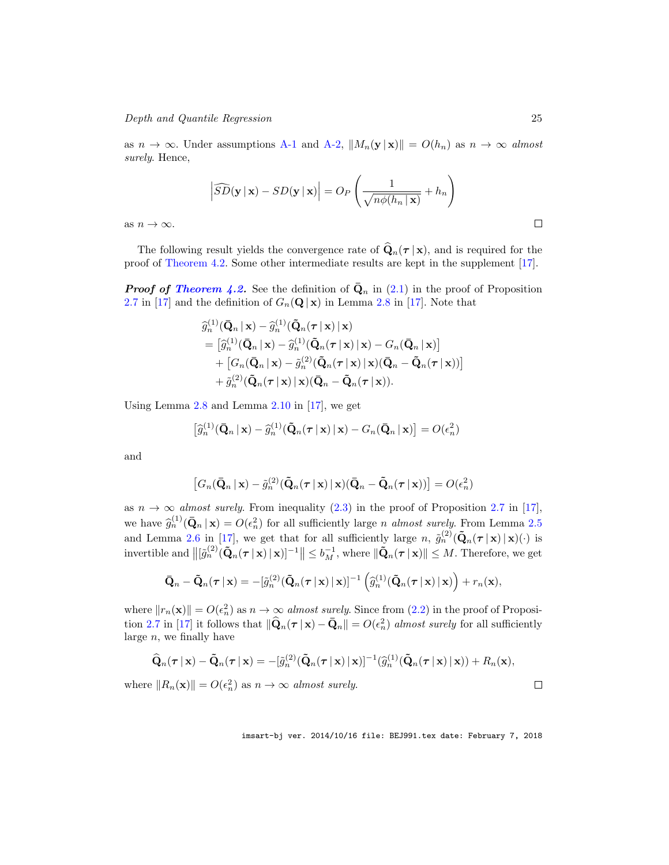as  $n \to \infty$ . Under assumptions A-1 and A-2,  $||M_n(\mathbf{y} \mid \mathbf{x})|| = O(h_n)$  as  $n \to \infty$  almost surely. Hence,

$$
\left| \widehat{SD}(\mathbf{y} \mid \mathbf{x}) - SD(\mathbf{y} \mid \mathbf{x}) \right| = O_P\left(\frac{1}{\sqrt{n\phi(h_n \mid \mathbf{x})}} + h_n\right)
$$

as  $n \to \infty$ .

The following result yields the convergence rate of  $\hat{\mathbf{Q}}_n(\tau | \mathbf{x})$ , and is required for the proof of Theorem 4.2. Some other intermediate results are kept in the supplement [17].

**Proof of Theorem 4.2.** See the definition of  $\bar{\mathbf{Q}}_n$  in (2.1) in the proof of Proposition 2.7 in [17] and the definition of  $G_n(\mathbf{Q} | \mathbf{x})$  in Lemma 2.8 in [17]. Note that

$$
\begin{split} \widehat{g}_n^{(1)}(\bar{\mathbf{Q}}_n \,|\, \mathbf{x}) &= \widehat{g}_n^{(1)}(\tilde{\mathbf{Q}}_n(\boldsymbol{\tau} \,|\, \mathbf{x}) \,|\, \mathbf{x}) \\ &= \big[\widehat{g}_n^{(1)}(\bar{\mathbf{Q}}_n \,|\, \mathbf{x}) - \widehat{g}_n^{(1)}(\tilde{\mathbf{Q}}_n(\boldsymbol{\tau} \,|\, \mathbf{x}) \,|\, \mathbf{x}) - G_n(\bar{\mathbf{Q}}_n \,|\, \mathbf{x})\big] \\ &+ \big[G_n(\bar{\mathbf{Q}}_n \,|\, \mathbf{x}) - \widetilde{g}_n^{(2)}(\tilde{\mathbf{Q}}_n(\boldsymbol{\tau} \,|\, \mathbf{x}) \,|\, \mathbf{x})(\bar{\mathbf{Q}}_n - \tilde{\mathbf{Q}}_n(\boldsymbol{\tau} \,|\, \mathbf{x}))\big] \\ &+ \widetilde{g}_n^{(2)}(\tilde{\mathbf{Q}}_n(\boldsymbol{\tau} \,|\, \mathbf{x}) \,|\, \mathbf{x})(\bar{\mathbf{Q}}_n - \tilde{\mathbf{Q}}_n(\boldsymbol{\tau} \,|\, \mathbf{x})). \end{split}
$$

Using Lemma 2.8 and Lemma 2.10 in [17], we get

$$
\left[\widehat{g}_n^{(1)}(\bar{\mathbf{Q}}_n \,|\, \mathbf{x}) - \widehat{g}_n^{(1)}(\tilde{\mathbf{Q}}_n(\boldsymbol{\tau} \,|\, \mathbf{x}) \,|\, \mathbf{x}) - G_n(\bar{\mathbf{Q}}_n \,|\, \mathbf{x})\right] = O(\epsilon_n^2)
$$

and

$$
[G_n(\bar{\mathbf{Q}}_n \,|\, \mathbf{x}) - \tilde{g}_n^{(2)}(\tilde{\mathbf{Q}}_n(\boldsymbol{\tau} \,|\, \mathbf{x}) \,|\, \mathbf{x})(\bar{\mathbf{Q}}_n - \tilde{\mathbf{Q}}_n(\boldsymbol{\tau} \,|\, \mathbf{x}))] = O(\epsilon_n^2)
$$

as  $n \to \infty$  almost surely. From inequality (2.3) in the proof of Proposition 2.7 in [17], we have  $\hat{g}_n^{(1)}(\bar{\mathbf{Q}}_n | \mathbf{x}) = O(\epsilon_n^2)$  for all sufficiently large *n almost surely*. From Lemma 2.5 n and Lemma 2.6 in [17], we get that for all sufficiently large n,  $\tilde{g}_n^{(2)}(\tilde{\mathbf{Q}}_n(\boldsymbol{\tau} \mid \mathbf{x}) \cdot (\cdot)$  is invertible and  $\left\| \left[ \tilde{g}_n^{(2)}(\tilde{\mathbf{Q}}_n(\boldsymbol{\tau} \,|\, \mathbf{x}) \,|\, \mathbf{x}) \right]^{-1} \right\| \leq b_M^{-1}$ , where  $\|\tilde{\mathbf{Q}}_n(\boldsymbol{\tau} \,|\, \mathbf{x})\| \leq M$ . Therefore, we get

$$
\bar{\mathbf{Q}}_n - \tilde{\mathbf{Q}}_n(\boldsymbol{\tau} \,|\, \mathbf{x}) = -[\tilde{g}_n^{(2)}(\tilde{\mathbf{Q}}_n(\boldsymbol{\tau} \,|\, \mathbf{x}) \,|\, \mathbf{x})]^{-1} (\hat{g}_n^{(1)}(\tilde{\mathbf{Q}}_n(\boldsymbol{\tau} \,|\, \mathbf{x}) \,|\, \mathbf{x})) + r_n(\mathbf{x}),
$$

where  $||r_n(\mathbf{x})|| = O(\epsilon_n^2)$  as  $n \to \infty$  almost surely. Since from (2.2) in the proof of Proposition 2.7 in [17] it follows that  $\|\widehat{\mathbf{Q}}_n(\boldsymbol{\tau} \mid \mathbf{x}) - \bar{\mathbf{Q}}_n\| = O(\epsilon_n^2)$  almost surely for all sufficiently large  $n$ , we finally have

$$
\widehat{\mathbf{Q}}_n(\boldsymbol{\tau} \,|\, \mathbf{x}) - \widetilde{\mathbf{Q}}_n(\boldsymbol{\tau} \,|\, \mathbf{x}) = -[\tilde{g}_n^{(2)}(\widetilde{\mathbf{Q}}_n(\boldsymbol{\tau} \,|\, \mathbf{x}) \,|\, \mathbf{x})]^{-1}(\widehat{g}_n^{(1)}(\widetilde{\mathbf{Q}}_n(\boldsymbol{\tau} \,|\, \mathbf{x}) \,|\, \mathbf{x})) + R_n(\mathbf{x}),
$$

where  $||R_n(\mathbf{x})|| = O(\epsilon_n^2)$  as  $n \to \infty$  almost surely.

imsart-bj ver. 2014/10/16 file: BEJ991.tex date: February 7, 2018

 $\Box$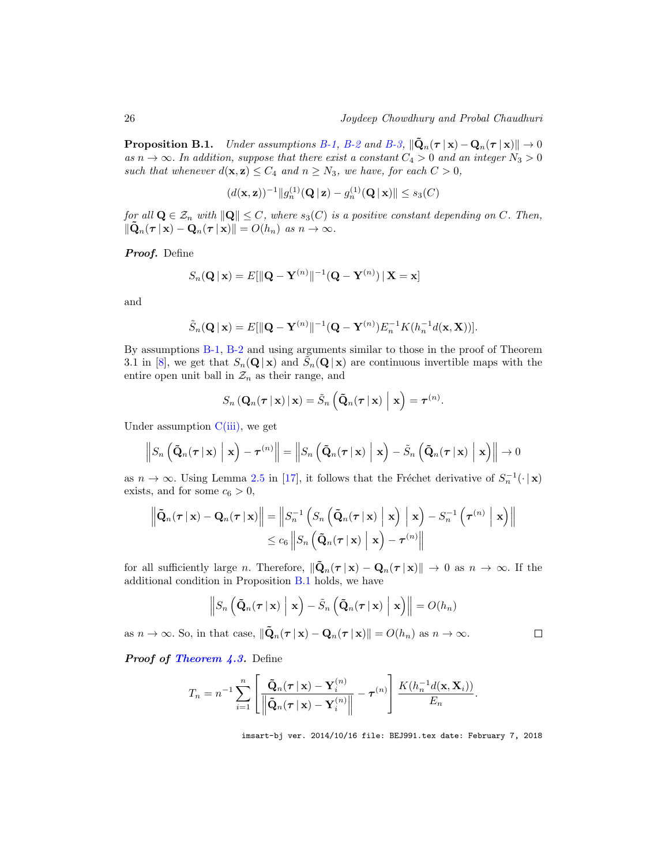**Proposition B.1.** Under assumptions B-1, B-2 and B-3,  $\|\tilde{\mathbf{Q}}_n(\boldsymbol{\tau} \mid \mathbf{x}) - \mathbf{Q}_n(\boldsymbol{\tau} \mid \mathbf{x})\| \to 0$ as  $n \to \infty$ . In addition, suppose that there exist a constant  $C_4 > 0$  and an integer  $N_3 > 0$ such that whenever  $d(\mathbf{x}, \mathbf{z}) \leq C_4$  and  $n \geq N_3$ , we have, for each  $C > 0$ ,

$$
(d(\mathbf{x}, \mathbf{z}))^{-1} ||g_n^{(1)}(\mathbf{Q} \,|\, \mathbf{z}) - g_n^{(1)}(\mathbf{Q} \,|\, \mathbf{x})|| \le s_3(C)
$$

for all  $\mathbf{Q} \in \mathcal{Z}_n$  with  $\|\mathbf{Q}\| \leq C$ , where  $s_3(C)$  is a positive constant depending on C. Then,  $\|\tilde{\mathbf{Q}}_n(\boldsymbol{\tau} \,|\, \mathbf{x}) - \mathbf{Q}_n(\boldsymbol{\tau} \,|\, \mathbf{x})\| = O(h_n) \text{ as } n \to \infty.$ 

Proof. Define

$$
S_n(\mathbf{Q} \mid \mathbf{x}) = E[\|\mathbf{Q} - \mathbf{Y}^{(n)}\|^{-1}(\mathbf{Q} - \mathbf{Y}^{(n)}) \mid \mathbf{X} = \mathbf{x}]
$$

and

$$
\tilde{S}_n(\mathbf{Q} \mid \mathbf{x}) = E[\|\mathbf{Q} - \mathbf{Y}^{(n)}\|^{-1}(\mathbf{Q} - \mathbf{Y}^{(n)})E_n^{-1}K(h_n^{-1}d(\mathbf{x}, \mathbf{X}))].
$$

By assumptions B-1, B-2 and using arguments similar to those in the proof of Theorem 3.1 in [8], we get that  $S_n(\mathbf{Q} | \mathbf{x})$  and  $\tilde{S}_n(\mathbf{Q} | \mathbf{x})$  are continuous invertible maps with the entire open unit ball in  $\mathcal{Z}_n$  as their range, and

$$
S_n\left(\mathbf{Q}_n(\boldsymbol{\tau} \,|\, \mathbf{x})\,|\, \mathbf{x}\right)=\tilde{S}_n\left(\tilde{\mathbf{Q}}_n(\boldsymbol{\tau} \,|\, \mathbf{x})\,\bigg|\, \mathbf{x}\right)=\boldsymbol{\tau}^{(n)}.
$$

Under assumption  $C(iii)$ , we get

$$
\left\|S_n\left(\tilde{\mathbf{Q}}_n(\boldsymbol{\tau} \,|\, \mathbf{x})\Bigm| \mathbf{x}\right) - \boldsymbol{\tau}^{(n)}\right\| = \left\|S_n\left(\tilde{\mathbf{Q}}_n(\boldsymbol{\tau} \,|\, \mathbf{x})\Bigm| \mathbf{x}\right) - \tilde{S}_n\left(\tilde{\mathbf{Q}}_n(\boldsymbol{\tau} \,|\, \mathbf{x})\Bigm| \mathbf{x}\right)\right\| \to 0
$$

as  $n \to \infty$ . Using Lemma 2.5 in [17], it follows that the Fréchet derivative of  $S_n^{-1}(\cdot | \mathbf{x})$ exists, and for some  $c_6 > 0$ ,

$$
\left\| \tilde{\mathbf{Q}}_n(\boldsymbol{\tau} \,|\, \mathbf{x}) - \mathbf{Q}_n(\boldsymbol{\tau} \,|\, \mathbf{x}) \right\| = \left\| S_n^{-1} \left( S_n \left( \tilde{\mathbf{Q}}_n(\boldsymbol{\tau} \,|\, \mathbf{x}) \, \Big| \, \mathbf{x} \right) - S_n^{-1} \left( \boldsymbol{\tau}^{(n)} \, \Big| \, \mathbf{x} \right) \right\| \right. \\ \left. \leq c_6 \left\| S_n \left( \tilde{\mathbf{Q}}_n(\boldsymbol{\tau} \,|\, \mathbf{x}) \, \Big| \, \mathbf{x} \right) - \boldsymbol{\tau}^{(n)} \right\|
$$

for all sufficiently large n. Therefore,  $\|\mathbf{Q}_n(\tau | \mathbf{x}) - \mathbf{Q}_n(\tau | \mathbf{x})\| \to 0$  as  $n \to \infty$ . If the additional condition in Proposition B.1 holds, we have

$$
\left\|S_n\left(\tilde{\mathbf{Q}}_n(\boldsymbol{\tau} \,|\, \mathbf{x})\Bigm| \mathbf{x}\right) - \tilde{S}_n\left(\tilde{\mathbf{Q}}_n(\boldsymbol{\tau} \,|\, \mathbf{x})\Bigm| \mathbf{x}\right)\right\| = O(h_n)
$$

as  $n \to \infty$ . So, in that case,  $\|\mathbf{Q}_n(\tau \mid \mathbf{x}) - \mathbf{Q}_n(\tau \mid \mathbf{x})\| = O(h_n)$  as  $n \to \infty$ .

Proof of Theorem 4.3. Define

$$
T_n = n^{-1} \sum_{i=1}^n \left[ \frac{\tilde{\mathbf{Q}}_n(\boldsymbol{\tau} \,|\, \mathbf{x}) - \mathbf{Y}_i^{(n)}}{\left\| \tilde{\mathbf{Q}}_n(\boldsymbol{\tau} \,|\, \mathbf{x}) - \mathbf{Y}_i^{(n)} \right\|} - \boldsymbol{\tau}^{(n)} \right] \frac{K(h_n^{-1}d(\mathbf{x}, \mathbf{X}_i))}{E_n}.
$$

imsart-bj ver. 2014/10/16 file: BEJ991.tex date: February 7, 2018

 $\Box$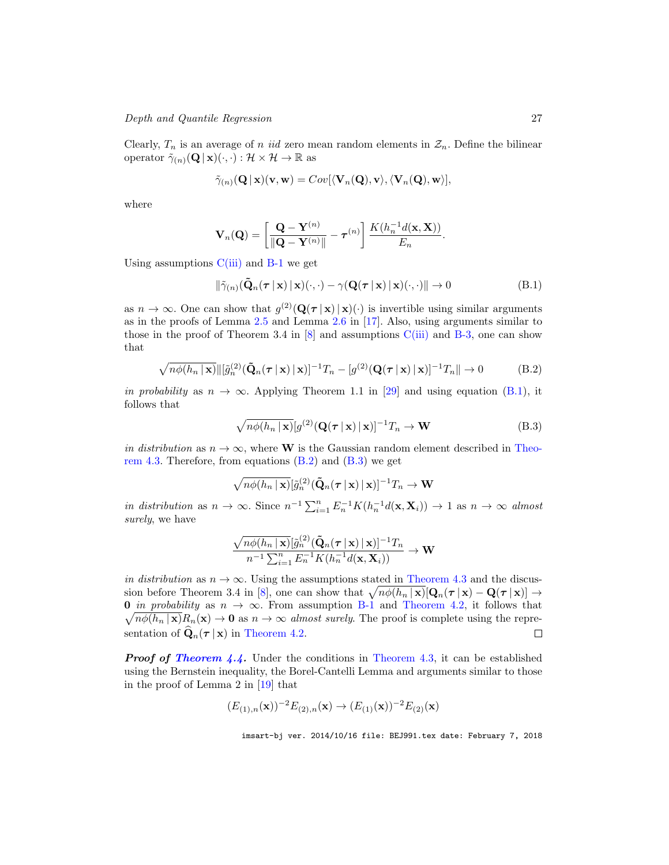Depth and Quantile Regression 27

Clearly,  $T_n$  is an average of n *iid* zero mean random elements in  $\mathcal{Z}_n$ . Define the bilinear operator  $\tilde{\gamma}_{(n)}(\mathbf{Q} \mid \mathbf{x})(\cdot, \cdot) : \mathcal{H} \times \mathcal{H} \to \mathbb{R}$  as

$$
\tilde{\gamma}_{(n)}(\mathbf{Q} \,|\, \mathbf{x})(\mathbf{v},\mathbf{w}) = Cov[\langle \mathbf{V}_n(\mathbf{Q}), \mathbf{v} \rangle, \langle \mathbf{V}_n(\mathbf{Q}), \mathbf{w} \rangle],
$$

where

$$
\mathbf{V}_n(\mathbf{Q}) = \left[ \frac{\mathbf{Q} - \mathbf{Y}^{(n)}}{\|\mathbf{Q} - \mathbf{Y}^{(n)}\|} - \boldsymbol{\tau}^{(n)} \right] \frac{K(h_n^{-1}d(\mathbf{x}, \mathbf{X}))}{E_n}.
$$

Using assumptions  $C(iii)$  and  $B-1$  we get

$$
\|\tilde{\gamma}_{(n)}(\tilde{\mathbf{Q}}_n(\boldsymbol{\tau} \mid \mathbf{x}) \mid \mathbf{x})(\cdot, \cdot) - \gamma(\mathbf{Q}(\boldsymbol{\tau} \mid \mathbf{x}) \mid \mathbf{x})(\cdot, \cdot)\| \to 0
$$
 (B.1)

as  $n \to \infty$ . One can show that  $g^{(2)}(\mathbf{Q}(\tau | \mathbf{x}) | \mathbf{x})(\cdot)$  is invertible using similar arguments as in the proofs of Lemma 2.5 and Lemma 2.6 in [17]. Also, using arguments similar to those in the proof of Theorem 3.4 in  $[8]$  and assumptions  $C(iii)$  and B-3, one can show that

$$
\sqrt{n\phi(h_n \mid \mathbf{x})} \Vert [\tilde{g}_n^{(2)}(\tilde{\mathbf{Q}}_n(\boldsymbol{\tau} \mid \mathbf{x}) \mid \mathbf{x})]^{-1} T_n - [g^{(2)}(\mathbf{Q}(\boldsymbol{\tau} \mid \mathbf{x}) \mid \mathbf{x})]^{-1} T_n \Vert \to 0 \tag{B.2}
$$

in probability as  $n \to \infty$ . Applying Theorem 1.1 in [29] and using equation (B.1), it follows that

$$
\sqrt{n\phi(h_n \mid \mathbf{x})} [g^{(2)}(\mathbf{Q}(\boldsymbol{\tau} \mid \mathbf{x}) \mid \mathbf{x})]^{-1} T_n \to \mathbf{W}
$$
(B.3)

in distribution as  $n \to \infty$ , where W is the Gaussian random element described in Theorem 4.3. Therefore, from equations  $(B.2)$  and  $(B.3)$  we get

$$
\sqrt{n\phi(h_n \,|\, \mathbf{x})} [\tilde{g}_n^{(2)}(\tilde{\mathbf{Q}}_n(\boldsymbol{\tau} \,|\, \mathbf{x}) \,|\, \mathbf{x})]^{-1} T_n \to \mathbf{W}
$$

in distribution as  $n \to \infty$ . Since  $n^{-1} \sum_{i=1}^{n} E_n^{-1} K(h_n^{-1} d(\mathbf{x}, \mathbf{X}_i)) \to 1$  as  $n \to \infty$  almost surely, we have

$$
\frac{\sqrt{n\phi(h_n \mid \mathbf{x})}[\tilde{g}_n^{(2)}(\tilde{\mathbf{Q}}_n(\boldsymbol{\tau} \mid \mathbf{x}) \mid \mathbf{x})]^{-1}T_n}{n^{-1}\sum_{i=1}^n E_n^{-1}K(h_n^{-1}d(\mathbf{x}, \mathbf{X}_i))} \rightarrow \mathbf{W}
$$

in distribution as  $n \to \infty$ . Using the assumptions stated in Theorem 4.3 and the discussion before Theorem 3.4 in [8], one can show that  $\sqrt{n\phi(h_n | \mathbf{x})}[\mathbf{Q}_n(\boldsymbol{\tau} | \mathbf{x}) - \mathbf{Q}(\boldsymbol{\tau} | \mathbf{x})] \rightarrow$ 0 in probability as  $n \to \infty$ . From assumption B-1 and Theorem 4.2, it follows that  $\sqrt{n\phi(h_n \mid \mathbf{x})}R_n(\mathbf{x}) \to \mathbf{0}$  as  $n \to \infty$  almost surely. The proof is complete using the representation of  $\widehat{\mathbf{Q}}_n(\tau | \mathbf{x})$  in Theorem 4.2.  $\Box$ 

**Proof of Theorem 4.4.** Under the conditions in Theorem 4.3, it can be established using the Bernstein inequality, the Borel-Cantelli Lemma and arguments similar to those in the proof of Lemma 2 in [19] that

$$
(E_{(1),n}(\mathbf{x}))^{-2}E_{(2),n}(\mathbf{x}) \to (E_{(1)}(\mathbf{x}))^{-2}E_{(2)}(\mathbf{x})
$$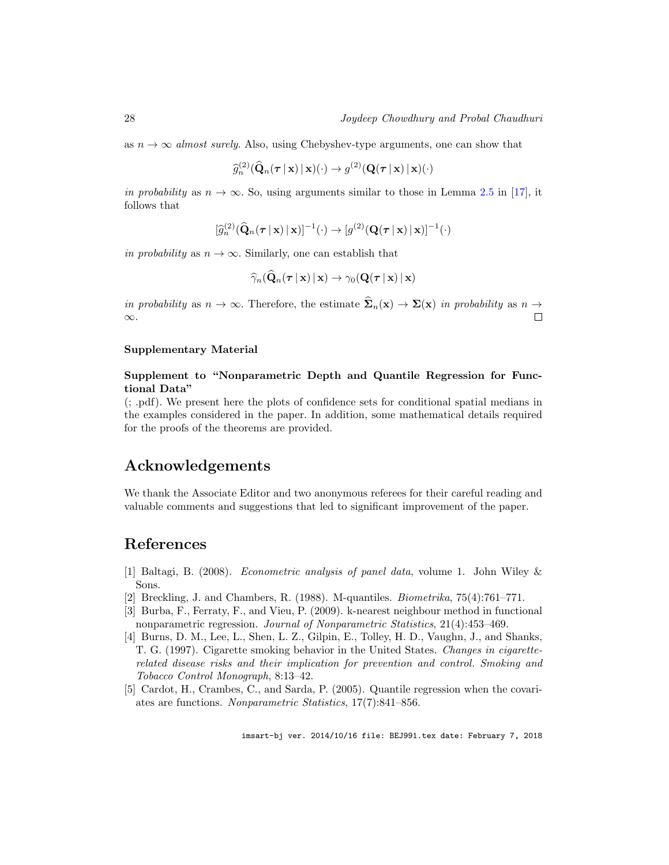as  $n \to \infty$  almost surely. Also, using Chebyshev-type arguments, one can show that

$$
\widehat{g}_n^{(2)}(\widehat{\mathbf{Q}}_n(\boldsymbol{\tau} \,|\, \mathbf{x}) \,|\, \mathbf{x})(\cdot) \rightarrow g^{(2)}(\mathbf{Q}(\boldsymbol{\tau} \,|\, \mathbf{x}) \,|\, \mathbf{x})(\cdot)
$$

in probability as  $n \to \infty$ . So, using arguments similar to those in Lemma 2.5 in [17], it follows that

$$
[\widehat{g}_n^{(2)}(\widehat{\mathbf{Q}}_n(\boldsymbol{\tau} \,|\, \mathbf{x}) \,|\, \mathbf{x})]^{-1}(\cdot) \to [g^{(2)}(\mathbf{Q}(\boldsymbol{\tau} \,|\, \mathbf{x}) \,|\, \mathbf{x})]^{-1}(\cdot)
$$

in probability as  $n \to \infty$ . Similarly, one can establish that

$$
\widehat{\gamma}_n(\bar{\mathbf{Q}}_n(\boldsymbol{\tau} \,|\, \mathbf{x}) \,|\, \mathbf{x}) \rightarrow \gamma_0(\mathbf{Q}(\boldsymbol{\tau} \,|\, \mathbf{x}) \,|\, \mathbf{x})
$$

in probability as  $n \to \infty$ . Therefore, the estimate  $\widehat{\Sigma}_n(\mathbf{x}) \to \Sigma(\mathbf{x})$  in probability as  $n \to \infty$ . ∞.

#### Supplementary Material

#### Supplement to "Nonparametric Depth and Quantile Regression for Functional Data"

(; .pdf). We present here the plots of confidence sets for conditional spatial medians in the examples considered in the paper. In addition, some mathematical details required for the proofs of the theorems are provided.

## Acknowledgements

We thank the Associate Editor and two anonymous referees for their careful reading and valuable comments and suggestions that led to significant improvement of the paper.

## References

- [1] Baltagi, B. (2008). Econometric analysis of panel data, volume 1. John Wiley & Sons.
- [2] Breckling, J. and Chambers, R. (1988). M-quantiles. Biometrika, 75(4):761–771.
- [3] Burba, F., Ferraty, F., and Vieu, P. (2009). k-nearest neighbour method in functional nonparametric regression. Journal of Nonparametric Statistics, 21(4):453–469.
- [4] Burns, D. M., Lee, L., Shen, L. Z., Gilpin, E., Tolley, H. D., Vaughn, J., and Shanks, T. G. (1997). Cigarette smoking behavior in the United States. Changes in cigaretterelated disease risks and their implication for prevention and control. Smoking and Tobacco Control Monograph, 8:13–42.
- [5] Cardot, H., Crambes, C., and Sarda, P. (2005). Quantile regression when the covariates are functions. Nonparametric Statistics, 17(7):841–856.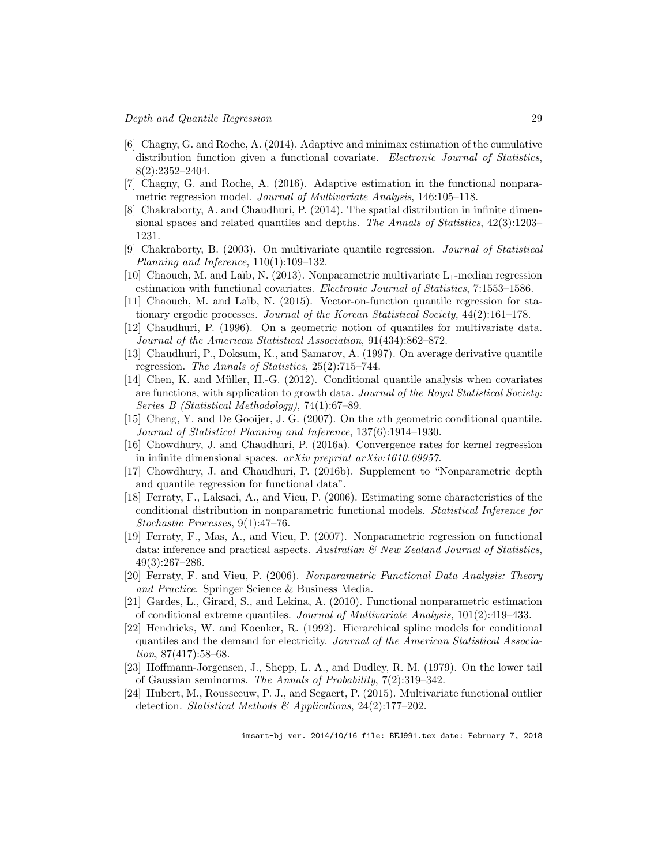- [6] Chagny, G. and Roche, A. (2014). Adaptive and minimax estimation of the cumulative distribution function given a functional covariate. *Electronic Journal of Statistics*, 8(2):2352–2404.
- [7] Chagny, G. and Roche, A. (2016). Adaptive estimation in the functional nonparametric regression model. Journal of Multivariate Analysis, 146:105–118.
- [8] Chakraborty, A. and Chaudhuri, P. (2014). The spatial distribution in infinite dimensional spaces and related quantiles and depths. The Annals of Statistics,  $42(3):1203-$ 1231.
- [9] Chakraborty, B. (2003). On multivariate quantile regression. Journal of Statistical Planning and Inference, 110(1):109–132.
- [10] Chaouch, M. and Laïb, N. (2013). Nonparametric multivariate  $L_1$ -median regression estimation with functional covariates. Electronic Journal of Statistics, 7:1553-1586.
- [11] Chaouch, M. and Laïb, N. (2015). Vector-on-function quantile regression for stationary ergodic processes. Journal of the Korean Statistical Society, 44(2):161–178.
- [12] Chaudhuri, P. (1996). On a geometric notion of quantiles for multivariate data. Journal of the American Statistical Association, 91(434):862–872.
- [13] Chaudhuri, P., Doksum, K., and Samarov, A. (1997). On average derivative quantile regression. The Annals of Statistics, 25(2):715–744.
- [14] Chen, K. and Müller, H.-G. (2012). Conditional quantile analysis when covariates are functions, with application to growth data. Journal of the Royal Statistical Society: Series B (Statistical Methodology), 74(1):67–89.
- [15] Cheng, Y. and De Gooijer, J. G. (2007). On the uth geometric conditional quantile. Journal of Statistical Planning and Inference, 137(6):1914–1930.
- [16] Chowdhury, J. and Chaudhuri, P. (2016a). Convergence rates for kernel regression in infinite dimensional spaces. arXiv preprint arXiv:1610.09957.
- [17] Chowdhury, J. and Chaudhuri, P. (2016b). Supplement to "Nonparametric depth and quantile regression for functional data".
- [18] Ferraty, F., Laksaci, A., and Vieu, P. (2006). Estimating some characteristics of the conditional distribution in nonparametric functional models. Statistical Inference for Stochastic Processes, 9(1):47–76.
- [19] Ferraty, F., Mas, A., and Vieu, P. (2007). Nonparametric regression on functional data: inference and practical aspects. Australian  $\mathcal{B}$  New Zealand Journal of Statistics, 49(3):267–286.
- [20] Ferraty, F. and Vieu, P. (2006). Nonparametric Functional Data Analysis: Theory and Practice. Springer Science & Business Media.
- [21] Gardes, L., Girard, S., and Lekina, A. (2010). Functional nonparametric estimation of conditional extreme quantiles. Journal of Multivariate Analysis, 101(2):419–433.
- [22] Hendricks, W. and Koenker, R. (1992). Hierarchical spline models for conditional quantiles and the demand for electricity. Journal of the American Statistical Association, 87(417):58–68.
- [23] Hoffmann-Jorgensen, J., Shepp, L. A., and Dudley, R. M. (1979). On the lower tail of Gaussian seminorms. The Annals of Probability, 7(2):319–342.
- [24] Hubert, M., Rousseeuw, P. J., and Segaert, P. (2015). Multivariate functional outlier detection. Statistical Methods & Applications,  $24(2):177-202$ .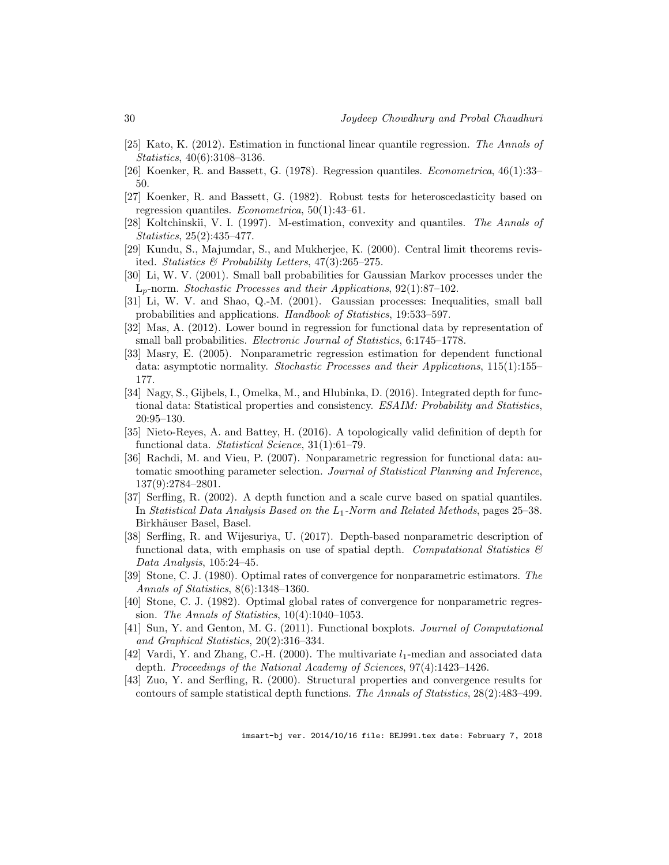- [25] Kato, K. (2012). Estimation in functional linear quantile regression. The Annals of Statistics, 40(6):3108–3136.
- [26] Koenker, R. and Bassett, G. (1978). Regression quantiles. Econometrica, 46(1):33– 50.
- [27] Koenker, R. and Bassett, G. (1982). Robust tests for heteroscedasticity based on regression quantiles. Econometrica, 50(1):43–61.
- [28] Koltchinskii, V. I. (1997). M-estimation, convexity and quantiles. The Annals of Statistics, 25(2):435–477.
- [29] Kundu, S., Majumdar, S., and Mukherjee, K. (2000). Central limit theorems revisited. Statistics & Probability Letters, 47(3):265–275.
- [30] Li, W. V. (2001). Small ball probabilities for Gaussian Markov processes under the  $L_n$ -norm. Stochastic Processes and their Applications, 92(1):87–102.
- [31] Li, W. V. and Shao, Q.-M. (2001). Gaussian processes: Inequalities, small ball probabilities and applications. Handbook of Statistics, 19:533–597.
- [32] Mas, A. (2012). Lower bound in regression for functional data by representation of small ball probabilities. Electronic Journal of Statistics, 6:1745–1778.
- [33] Masry, E. (2005). Nonparametric regression estimation for dependent functional data: asymptotic normality. Stochastic Processes and their Applications, 115(1):155– 177.
- [34] Nagy, S., Gijbels, I., Omelka, M., and Hlubinka, D. (2016). Integrated depth for functional data: Statistical properties and consistency. ESAIM: Probability and Statistics, 20:95–130.
- [35] Nieto-Reyes, A. and Battey, H. (2016). A topologically valid definition of depth for functional data. Statistical Science, 31(1):61–79.
- [36] Rachdi, M. and Vieu, P. (2007). Nonparametric regression for functional data: automatic smoothing parameter selection. Journal of Statistical Planning and Inference, 137(9):2784–2801.
- [37] Serfling, R. (2002). A depth function and a scale curve based on spatial quantiles. In Statistical Data Analysis Based on the L1-Norm and Related Methods, pages 25–38. Birkhäuser Basel, Basel.
- [38] Serfling, R. and Wijesuriya, U. (2017). Depth-based nonparametric description of functional data, with emphasis on use of spatial depth. Computational Statistics  $\mathscr B$ Data Analysis, 105:24–45.
- [39] Stone, C. J. (1980). Optimal rates of convergence for nonparametric estimators. The Annals of Statistics, 8(6):1348–1360.
- [40] Stone, C. J. (1982). Optimal global rates of convergence for nonparametric regression. The Annals of Statistics, 10(4):1040–1053.
- [41] Sun, Y. and Genton, M. G. (2011). Functional boxplots. Journal of Computational and Graphical Statistics, 20(2):316–334.
- [42] Vardi, Y. and Zhang, C.-H. (2000). The multivariate  $l_1$ -median and associated data depth. Proceedings of the National Academy of Sciences, 97(4):1423–1426.
- [43] Zuo, Y. and Serfling, R. (2000). Structural properties and convergence results for contours of sample statistical depth functions. The Annals of Statistics, 28(2):483–499.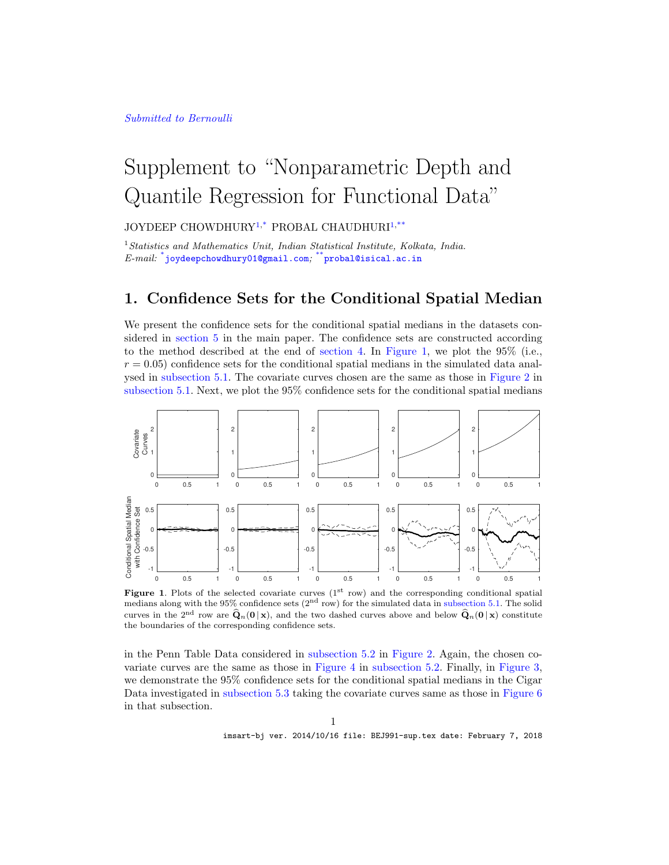#### Submitted to Bernoulli

# Supplement to "Nonparametric Depth and Quantile Regression for Functional Data"

JOYDEEP CHOWDHURY<sup>1,\*</sup> PROBAL CHAUDHURI<sup>1,\*\*</sup>

 $1$ Statistics and Mathematics Unit, Indian Statistical Institute, Kolkata, India.  $\emph{E-mail:}$  \*joydeepchowdhury01@gmail.com; \*\*probal@isical.ac.in

## 1. Confidence Sets for the Conditional Spatial Median

We present the confidence sets for the conditional spatial medians in the datasets considered in section 5 in the main paper. The confidence sets are constructed according to the method described at the end of section 4. In Figure 1, we plot the  $95\%$  (i.e.,  $r = 0.05$ ) confidence sets for the conditional spatial medians in the simulated data analysed in subsection 5.1. The covariate curves chosen are the same as those in Figure 2 in subsection 5.1. Next, we plot the 95% confidence sets for the conditional spatial medians



**Figure 1.** Plots of the selected covariate curves  $(1^{st} row)$  and the corresponding conditional spatial medians along with the 95% confidence sets  $(2<sup>nd</sup> row)$  for the simulated data in subsection 5.1. The solid curves in the 2<sup>nd</sup> row are  $\hat{\bf Q}_n({\bf 0} | {\bf x})$ , and the two dashed curves above and below  $\hat{\bf Q}_n({\bf 0} | {\bf x})$  constitute the boundaries of the corresponding confidence sets.

in the Penn Table Data considered in subsection 5.2 in Figure 2. Again, the chosen covariate curves are the same as those in Figure 4 in subsection 5.2. Finally, in Figure 3, we demonstrate the 95% confidence sets for the conditional spatial medians in the Cigar Data investigated in subsection 5.3 taking the covariate curves same as those in Figure 6 in that subsection.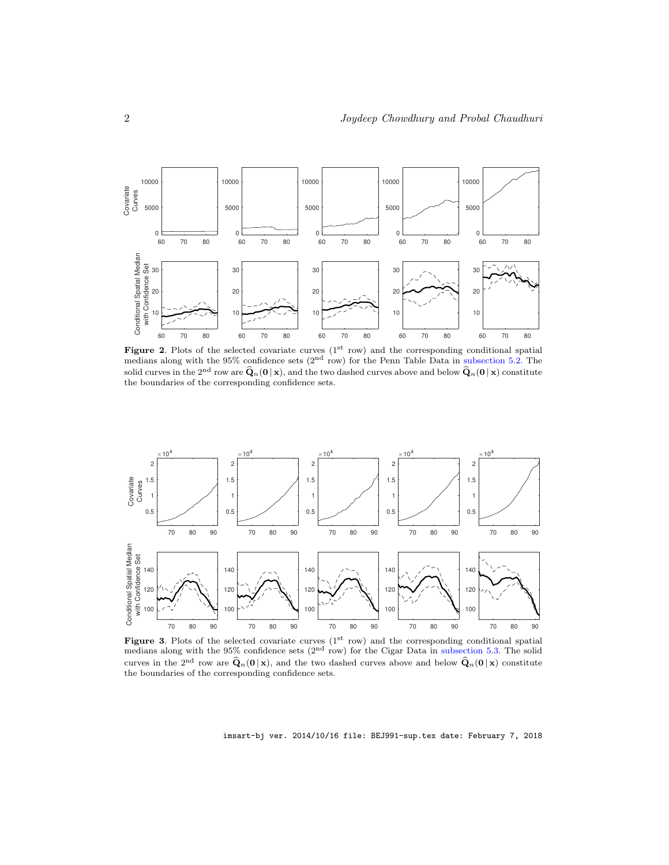

Figure 2. Plots of the selected covariate curves  $(1<sup>st</sup> row)$  and the corresponding conditional spatial medians along with the  $95\%$  confidence sets ( $2<sup>nd</sup>$  row) for the Penn Table Data in subsection 5.2. The solid curves in the 2<sup>nd</sup> row are  $\hat{Q}_n(0 | x)$ , and the two dashed curves above and below  $\hat{Q}_n(0 | x)$  constitute the boundaries of the corresponding confidence sets.



Figure 3. Plots of the selected covariate curves  $(1<sup>st</sup> row)$  and the corresponding conditional spatial medians along with the 95% confidence sets  $(2<sup>nd</sup> row)$  for the Cigar Data in subsection 5.3. The solid curves in the 2<sup>nd</sup> row are  $\hat{\mathbf{Q}}_n(\mathbf{0} | \mathbf{x})$ , and the two dashed curves above and below  $\hat{\mathbf{Q}}_n(\mathbf{0} | \mathbf{x})$  constitute the boundaries of the corresponding confidence sets.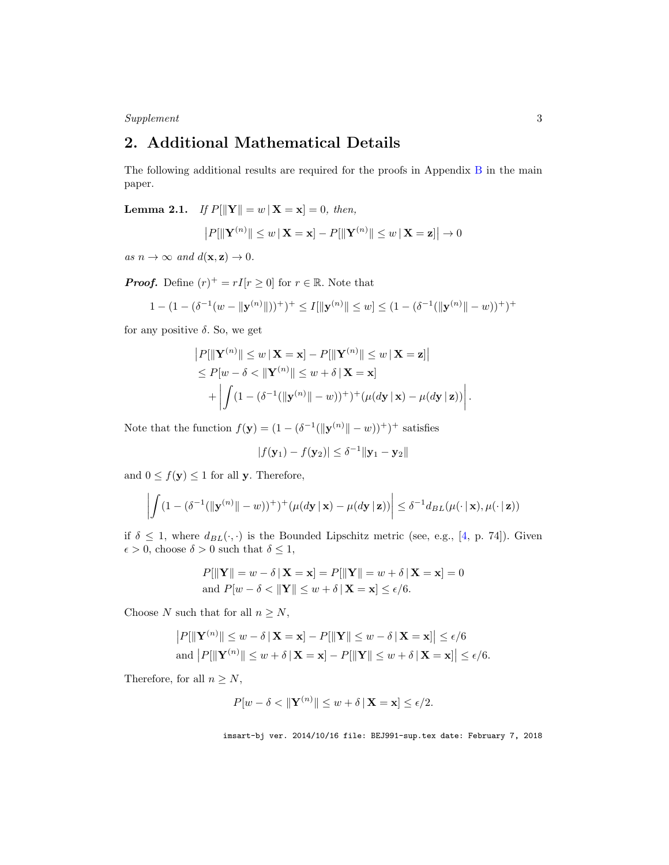$\label{ex2} \emph{Supplement} \qquad \qquad \mbox{3}$ 

## 2. Additional Mathematical Details

The following additional results are required for the proofs in Appendix B in the main paper.

**Lemma 2.1.** If  $P[\|\mathbf{Y}\| = w | \mathbf{X} = \mathbf{x}] = 0$ , then,

$$
P[\|\mathbf{Y}^{(n)}\| \le w \,|\,\mathbf{X} = \mathbf{x}] - P[\|\mathbf{Y}^{(n)}\| \le w \,|\,\mathbf{X} = \mathbf{z}]\n\rightarrow 0
$$

as  $n \to \infty$  and  $d(\mathbf{x}, \mathbf{z}) \to 0$ .

**Proof.** Define  $(r)^+ = rI[r \ge 0]$  for  $r \in \mathbb{R}$ . Note that

$$
1 - (1 - (\delta^{-1}(w - \|\mathbf{y}^{(n)}\|))^{+})^{+} \le I[\|\mathbf{y}^{(n)}\| \le w] \le (1 - (\delta^{-1}(\|\mathbf{y}^{(n)}\| - w))^{+})^{+}
$$

for any positive  $\delta$ . So, we get

$$
|P[\|\mathbf{Y}^{(n)}\| \le w \,|\, \mathbf{X} = \mathbf{x}] - P[\|\mathbf{Y}^{(n)}\| \le w \,|\, \mathbf{X} = \mathbf{z}]\n\le P[w - \delta < \|\mathbf{Y}^{(n)}\| \le w + \delta \,|\, \mathbf{X} = \mathbf{x}]\n+ \left| \int (1 - (\delta^{-1}(\|\mathbf{y}^{(n)}\| - w))^+) + (\mu(dy \,|\, \mathbf{x}) - \mu(dy \,|\, \mathbf{z})) \right|.
$$

Note that the function  $f(\mathbf{y}) = (1 - (\delta^{-1}(\|\mathbf{y}^{(n)}\| - w))^+)^\top$  satisfies

$$
|f(\mathbf{y}_1) - f(\mathbf{y}_2)| \le \delta^{-1} ||\mathbf{y}_1 - \mathbf{y}_2||
$$

and  $0 \leq f(\mathbf{y}) \leq 1$  for all y. Therefore,

$$
\left| \int (1 - (\delta^{-1}(\|\mathbf{y}^{(n)}\| - w))^+)^{+} (\mu(d\mathbf{y} \,|\, \mathbf{x}) - \mu(d\mathbf{y} \,|\, \mathbf{z})) \right| \leq \delta^{-1} d_{BL}(\mu(\cdot \,|\, \mathbf{x}), \mu(\cdot \,|\, \mathbf{z}))
$$

if  $\delta \leq 1$ , where  $d_{BL}(\cdot, \cdot)$  is the Bounded Lipschitz metric (see, e.g., [4, p. 74]). Given  $\epsilon > 0,$  choose  $\delta > 0$  such that  $\delta \leq 1,$ 

$$
P[\|\mathbf{Y}\| = w - \delta \,|\, \mathbf{X} = \mathbf{x}] = P[\|\mathbf{Y}\| = w + \delta \,|\, \mathbf{X} = \mathbf{x}] = 0
$$
  
and 
$$
P[w - \delta < \|\mathbf{Y}\| \le w + \delta \,|\, \mathbf{X} = \mathbf{x}] \le \epsilon/6.
$$

Choose N such that for all  $n \geq N$ ,

$$
|P[||\mathbf{Y}^{(n)}|| \le w - \delta \,|\, \mathbf{X} = \mathbf{x}] - P[||\mathbf{Y}|| \le w - \delta \,|\, \mathbf{X} = \mathbf{x}]| \le \epsilon/6
$$
  
and 
$$
|P[||\mathbf{Y}^{(n)}|| \le w + \delta \,|\, \mathbf{X} = \mathbf{x}] - P[||\mathbf{Y}|| \le w + \delta \,|\, \mathbf{X} = \mathbf{x}]| \le \epsilon/6.
$$

Therefore, for all  $n \geq N$ ,

$$
P[w - \delta < \|\mathbf{Y}^{(n)}\| \le w + \delta \|\mathbf{X} = \mathbf{x}\| \le \epsilon/2.
$$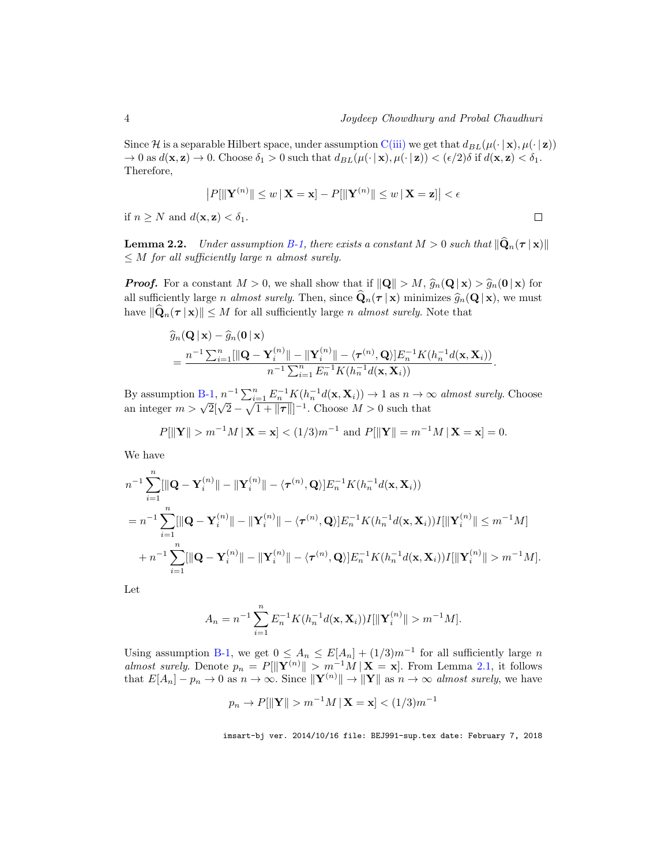Since H is a separable Hilbert space, under assumption C(iii) we get that  $d_{BL}(\mu(\cdot | \mathbf{x}), \mu(\cdot | \mathbf{z}))$  $\to 0$  as  $d(\mathbf{x}, \mathbf{z}) \to 0$ . Choose  $\delta_1 > 0$  such that  $d_{BL}(\mu(\cdot | \mathbf{x}), \mu(\cdot | \mathbf{z})) < (\epsilon/2)\delta$  if  $d(\mathbf{x}, \mathbf{z}) < \delta_1$ . Therefore,

$$
|P[\|\mathbf{Y}^{(n)}\| \le w \,|\, \mathbf{X} = \mathbf{x}] - P[\|\mathbf{Y}^{(n)}\| \le w \,|\, \mathbf{X} = \mathbf{z}]\big| < \epsilon
$$
\n, z) < \delta\_1.

if  $n \geq N$  and  $d(\mathbf{x}, \mathbf{z}) < \delta_1$ .

**Lemma 2.2.** Under assumption B-1, there exists a constant  $M > 0$  such that  $\|\mathbf{Q}_n(\tau \mid \mathbf{x})\|$  $\leq M$  for all sufficiently large n almost surely.

**Proof.** For a constant  $M > 0$ , we shall show that if  $\|\mathbf{Q}\| > M$ ,  $\widehat{g}_n(\mathbf{Q} | \mathbf{x}) > \widehat{g}_n(\mathbf{0} | \mathbf{x})$  for all sufficiently large *n almost surely*. Then, since  $\mathbf{Q}_n(\tau | \mathbf{x})$  minimizes  $\widehat{g}_n(\mathbf{Q} | \mathbf{x})$ , we must have  $\|\widehat{\mathbf{Q}}_n(\tau | \mathbf{x})\| \leq M$  for all sufficiently large n almost surely. Note that

$$
\begin{split} &\widehat{g}_n(\mathbf{Q} \,|\, \mathbf{x}) - \widehat{g}_n(\mathbf{0} \,|\, \mathbf{x}) \\ &= \frac{n^{-1} \sum_{i=1}^n [\|\mathbf{Q} - \mathbf{Y}_i^{(n)}\| - \|\mathbf{Y}_i^{(n)}\| - \langle \boldsymbol{\tau}^{(n)}, \mathbf{Q} \rangle] E_n^{-1} K(h_n^{-1} d(\mathbf{x}, \mathbf{X}_i))}{n^{-1} \sum_{i=1}^n E_n^{-1} K(h_n^{-1} d(\mathbf{x}, \mathbf{X}_i))} .\end{split}
$$

By assumption B-1,  $n^{-1} \sum_{i=1}^{n} E_n^{-1} K(h_n^{-1} d(\mathbf{x}, \mathbf{X}_i)) \to 1$  as  $n \to \infty$  almost surely. Choose an integer  $m > \sqrt{2}[\sqrt{2} - \sqrt{1 + ||\boldsymbol{\tau}||}]^{-1}$ . Choose  $M > 0$  such that

$$
P[\|\mathbf{Y}\| > m^{-1}M |\mathbf{X} = \mathbf{x}] < (1/3)m^{-1}
$$
 and  $P[\|\mathbf{Y}\| = m^{-1}M |\mathbf{X} = \mathbf{x}] = 0$ .

We have

$$
n^{-1} \sum_{i=1}^{n} [\|\mathbf{Q} - \mathbf{Y}_{i}^{(n)}\| - \|\mathbf{Y}_{i}^{(n)}\| - \langle \tau^{(n)}, \mathbf{Q} \rangle] E_{n}^{-1} K(h_{n}^{-1} d(\mathbf{x}, \mathbf{X}_{i}))
$$
  
\n
$$
= n^{-1} \sum_{i=1}^{n} [\|\mathbf{Q} - \mathbf{Y}_{i}^{(n)}\| - \|\mathbf{Y}_{i}^{(n)}\| - \langle \tau^{(n)}, \mathbf{Q} \rangle] E_{n}^{-1} K(h_{n}^{-1} d(\mathbf{x}, \mathbf{X}_{i})) I[\|\mathbf{Y}_{i}^{(n)}\| \leq m^{-1} M]
$$
  
\n
$$
+ n^{-1} \sum_{i=1}^{n} [\|\mathbf{Q} - \mathbf{Y}_{i}^{(n)}\| - \|\mathbf{Y}_{i}^{(n)}\| - \langle \tau^{(n)}, \mathbf{Q} \rangle] E_{n}^{-1} K(h_{n}^{-1} d(\mathbf{x}, \mathbf{X}_{i})) I[\|\mathbf{Y}_{i}^{(n)}\| > m^{-1} M].
$$

Let

$$
A_n = n^{-1} \sum_{i=1}^n E_n^{-1} K(h_n^{-1} d(\mathbf{x}, \mathbf{X}_i)) I[\|\mathbf{Y}_i^{(n)}\| > m^{-1} M].
$$

Using assumption B-1, we get  $0 \leq A_n \leq E[A_n] + (1/3)m^{-1}$  for all sufficiently large n almost surely. Denote  $p_n = P[\Vert \mathbf{Y}^{(n)} \Vert > m^{-1}M \Vert \mathbf{X} = \mathbf{x}]$ . From Lemma 2.1, it follows that  $E[A_n] - p_n \to 0$  as  $n \to \infty$ . Since  $\|\mathbf{Y}^{(n)}\| \to \|\mathbf{Y}\|$  as  $n \to \infty$  almost surely, we have

$$
p_n \to P[\|\mathbf{Y}\| > m^{-1}M \,|\,\mathbf{X} = \mathbf{x}] < (1/3)m^{-1}
$$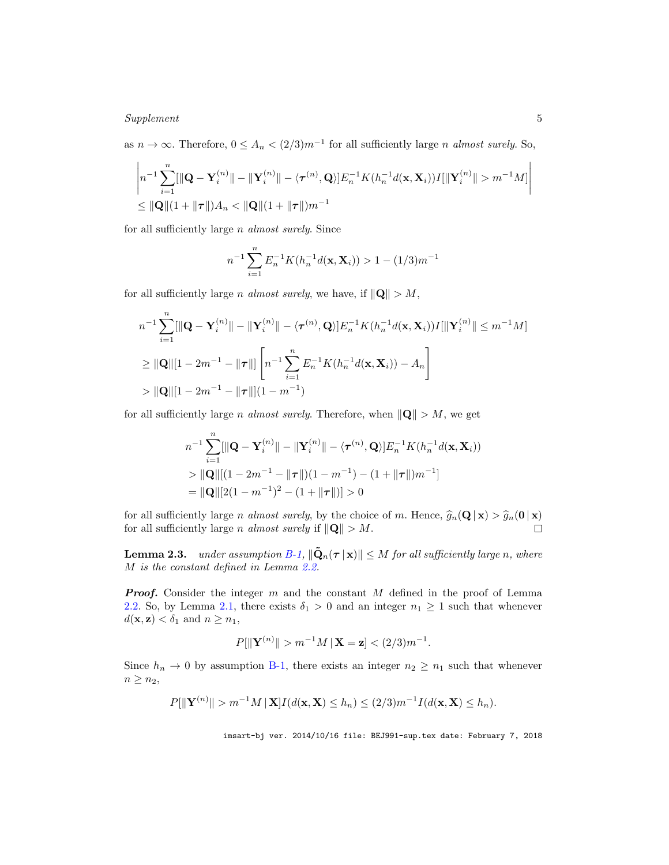#### Supplement 5

as  $n \to \infty$ . Therefore,  $0 \leq A_n < (2/3)m^{-1}$  for all sufficiently large *n* almost surely. So,

$$
\left| n^{-1} \sum_{i=1}^{n} [\|\mathbf{Q} - \mathbf{Y}_{i}^{(n)}\| - \|\mathbf{Y}_{i}^{(n)}\| - \langle \tau^{(n)}, \mathbf{Q} \rangle] E_{n}^{-1} K(h_{n}^{-1} d(\mathbf{x}, \mathbf{X}_{i})) I[\|\mathbf{Y}_{i}^{(n)}\| > m^{-1} M] \right|
$$
  
\n
$$
\leq \|\mathbf{Q}\|(1 + \|\tau\|)A_{n} < \|\mathbf{Q}\|(1 + \|\tau\|)m^{-1}
$$

for all sufficiently large n almost surely. Since

$$
n^{-1} \sum_{i=1}^{n} E_n^{-1} K(h_n^{-1} d(\mathbf{x}, \mathbf{X}_i)) > 1 - (1/3)m^{-1}
$$

for all sufficiently large *n* almost surely, we have, if  $\|\mathbf{Q}\| > M$ ,

$$
n^{-1} \sum_{i=1}^{n} [\|\mathbf{Q} - \mathbf{Y}_i^{(n)}\| - \|\mathbf{Y}_i^{(n)}\| - \langle \tau^{(n)}, \mathbf{Q} \rangle] E_n^{-1} K(h_n^{-1} d(\mathbf{x}, \mathbf{X}_i)) I[\|\mathbf{Y}_i^{(n)}\| \le m^{-1} M]
$$
  
\n
$$
\ge \|\mathbf{Q}\| [1 - 2m^{-1} - \|\tau\|] \left[ n^{-1} \sum_{i=1}^{n} E_n^{-1} K(h_n^{-1} d(\mathbf{x}, \mathbf{X}_i)) - A_n \right]
$$
  
\n
$$
> \|\mathbf{Q}\| [1 - 2m^{-1} - \|\tau\|] (1 - m^{-1})
$$

for all sufficiently large *n* almost surely. Therefore, when  $\|\mathbf{Q}\| > M$ , we get

$$
n^{-1} \sum_{i=1}^{n} [\|\mathbf{Q} - \mathbf{Y}_i^{(n)}\| - \|\mathbf{Y}_i^{(n)}\| - \langle \boldsymbol{\tau}^{(n)}, \mathbf{Q} \rangle] E_n^{-1} K(h_n^{-1} d(\mathbf{x}, \mathbf{X}_i))
$$
  
> 
$$
\|\mathbf{Q}\| [(1 - 2m^{-1} - \|\boldsymbol{\tau}\|)(1 - m^{-1}) - (1 + \|\boldsymbol{\tau}\|)m^{-1}]
$$
  
= 
$$
\|\mathbf{Q}\| [2(1 - m^{-1})^2 - (1 + \|\boldsymbol{\tau}\|)] > 0
$$

for all sufficiently large *n almost surely*, by the choice of *m*. Hence,  $\hat{g}_n(\mathbf{Q} | \mathbf{x}) > \hat{g}_n(\mathbf{0} | \mathbf{x})$  for all sufficiently large *n almost surely* if  $\|\mathbf{Q}\| > M$ . for all sufficiently large *n* almost surely if  $\|\mathbf{Q}\| > M$ .

**Lemma 2.3.** under assumption B-1,  $\|\tilde{\mathbf{Q}}_n(\boldsymbol{\tau} | \mathbf{x})\| \leq M$  for all sufficiently large n, where M is the constant defined in Lemma 2.2.

**Proof.** Consider the integer  $m$  and the constant  $M$  defined in the proof of Lemma 2.2. So, by Lemma 2.1, there exists  $\delta_1 > 0$  and an integer  $n_1 \geq 1$  such that whenever  $d(\mathbf{x}, \mathbf{z}) < \delta_1$  and  $n \geq n_1$ ,

$$
P[\|\mathbf{Y}^{(n)}\| > m^{-1}M \,|\,\mathbf{X} = \mathbf{z}] < (2/3)m^{-1}.
$$

Since  $h_n \to 0$  by assumption B-1, there exists an integer  $n_2 \geq n_1$  such that whenever  $n \geq n_2$ ,

$$
P[\|\mathbf{Y}^{(n)}\| > m^{-1}M\|\mathbf{X}\]I(d(\mathbf{x}, \mathbf{X}) \leq h_n) \leq (2/3)m^{-1}I(d(\mathbf{x}, \mathbf{X}) \leq h_n).
$$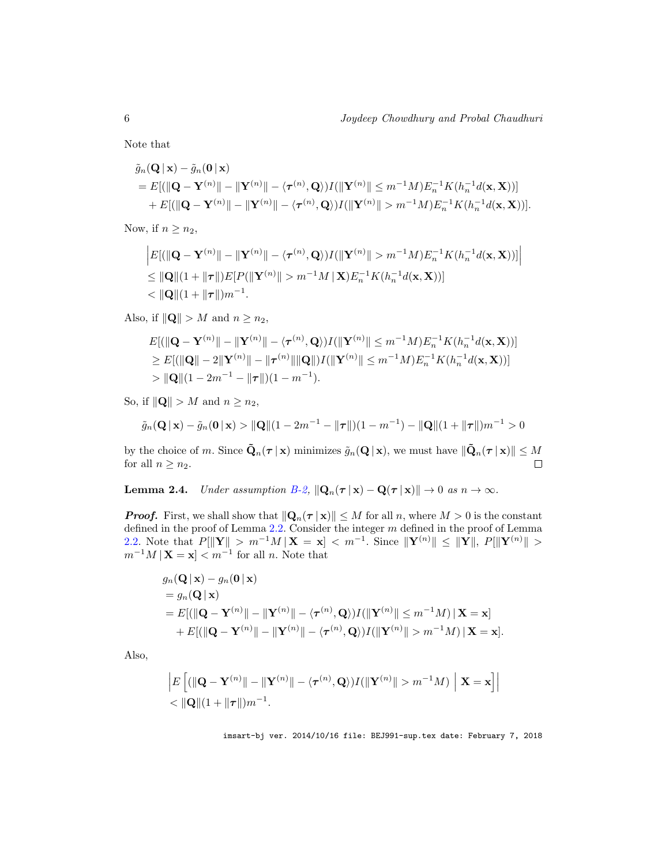Note that

$$
\tilde{g}_n(\mathbf{Q}|\mathbf{x}) - \tilde{g}_n(\mathbf{0}|\mathbf{x})
$$
\n
$$
= E[(\|\mathbf{Q} - \mathbf{Y}^{(n)}\| - \|\mathbf{Y}^{(n)}\| - \langle \tau^{(n)}, \mathbf{Q} \rangle)I(\|\mathbf{Y}^{(n)}\| \leq m^{-1}M)E_n^{-1}K(h_n^{-1}d(\mathbf{x}, \mathbf{X}))]
$$
\n
$$
+ E[(\|\mathbf{Q} - \mathbf{Y}^{(n)}\| - \|\mathbf{Y}^{(n)}\| - \langle \tau^{(n)}, \mathbf{Q} \rangle)I(\|\mathbf{Y}^{(n)}\| > m^{-1}M)E_n^{-1}K(h_n^{-1}d(\mathbf{x}, \mathbf{X}))].
$$

Now, if  $n \geq n_2$ ,

$$
\begin{aligned} &\left|E[(\|\mathbf{Q}-\mathbf{Y}^{(n)}\|-\|\mathbf{Y}^{(n)}\|-\langle\boldsymbol{\tau}^{(n)},\mathbf{Q}\rangle)I(\|\mathbf{Y}^{(n)}\|&>m^{-1}M)E_n^{-1}K(h_n^{-1}d(\mathbf{x},\mathbf{X}))]\right|\\ &\leq \|\mathbf{Q}\|(1+\|\boldsymbol{\tau}\|)E[P(\|\mathbf{Y}^{(n)}\|&>m^{-1}M\|\mathbf{X})E_n^{-1}K(h_n^{-1}d(\mathbf{x},\mathbf{X}))]\right|\\ &<\|\mathbf{Q}\|(1+\|\boldsymbol{\tau}\|)m^{-1}.\end{aligned}
$$

Also, if  $\|\mathbf{Q}\| > M$  and  $n \geq n_2$ ,

$$
E[(\|\mathbf{Q} - \mathbf{Y}^{(n)}\| - \|\mathbf{Y}^{(n)}\| - \langle \boldsymbol{\tau}^{(n)}, \mathbf{Q} \rangle)I(\|\mathbf{Y}^{(n)}\| \le m^{-1}M)E_n^{-1}K(h_n^{-1}d(\mathbf{x}, \mathbf{X}))]
$$
  
\n
$$
\ge E[(\|\mathbf{Q}\| - 2\|\mathbf{Y}^{(n)}\| - \|\boldsymbol{\tau}^{(n)}\| \|\mathbf{Q}\|)I(\|\mathbf{Y}^{(n)}\| \le m^{-1}M)E_n^{-1}K(h_n^{-1}d(\mathbf{x}, \mathbf{X}))]
$$
  
\n
$$
> \|\mathbf{Q}\|(1 - 2m^{-1} - \|\boldsymbol{\tau}\|)(1 - m^{-1}).
$$

So, if  $\|\mathbf{Q}\| > M$  and  $n \geq n_2$ ,

$$
\tilde{g}_n(\mathbf{Q} \mid \mathbf{x}) - \tilde{g}_n(\mathbf{0} \mid \mathbf{x}) > \|\mathbf{Q}\|(1 - 2m^{-1} - \|\boldsymbol{\tau}\|)(1 - m^{-1}) - \|\mathbf{Q}\|(1 + \|\boldsymbol{\tau}\|)m^{-1} > 0
$$

by the choice of m. Since  $\tilde{\mathbf{Q}}_n(\boldsymbol{\tau} | \mathbf{x})$  minimizes  $\tilde{g}_n(\mathbf{Q} | \mathbf{x})$ , we must have  $\|\tilde{\mathbf{Q}}_n(\boldsymbol{\tau} | \mathbf{x})\| \leq M$  for all  $n > n_2$ . for all  $n \geq n_2$ .

**Lemma 2.4.** Under assumption  $B-2$ ,  $\|\mathbf{Q}_n(\boldsymbol{\tau} \mid \mathbf{x}) - \mathbf{Q}(\boldsymbol{\tau} \mid \mathbf{x})\| \to 0$  as  $n \to \infty$ .

**Proof.** First, we shall show that  $\|\mathbf{Q}_n(\tau | \mathbf{x})\| \leq M$  for all n, where  $M > 0$  is the constant defined in the proof of Lemma 2.2. Consider the integer  $m$  defined in the proof of Lemma 2.2. Note that  $P[\|\mathbf{Y}\| > m^{-1}M|\mathbf{X} = \mathbf{x}] < m^{-1}$ . Since  $\|\mathbf{Y}^{(n)}\| \leq \|\mathbf{Y}\|$ ,  $P[\|\mathbf{Y}^{(n)}\| >$  $m^{-1}M | \mathbf{X} = \mathbf{x}$  |  $m^{-1}$  for all n. Note that

$$
g_n(\mathbf{Q}|\mathbf{x}) - g_n(\mathbf{0}|\mathbf{x})
$$
  
=  $g_n(\mathbf{Q}|\mathbf{x})$   
=  $E[(\|\mathbf{Q} - \mathbf{Y}^{(n)}\| - \|\mathbf{Y}^{(n)}\| - \langle \tau^{(n)}, \mathbf{Q} \rangle)I(\|\mathbf{Y}^{(n)}\| \le m^{-1}M)\|\mathbf{X} = \mathbf{x}]$   
+  $E[(\|\mathbf{Q} - \mathbf{Y}^{(n)}\| - \|\mathbf{Y}^{(n)}\| - \langle \tau^{(n)}, \mathbf{Q} \rangle)I(\|\mathbf{Y}^{(n)}\| > m^{-1}M)\|\mathbf{X} = \mathbf{x}].$ 

Also,

$$
\left| E\left[ (\|\mathbf{Q} - \mathbf{Y}^{(n)}\| - \|\mathbf{Y}^{(n)}\| - \langle \tau^{(n)}, \mathbf{Q} \rangle) I(\|\mathbf{Y}^{(n)}\| > m^{-1}M) \; \Big| \; \mathbf{X} = \mathbf{x} \right] \right|
$$
  

$$
< \|\mathbf{Q}\|(1 + \|\tau\|)m^{-1}.
$$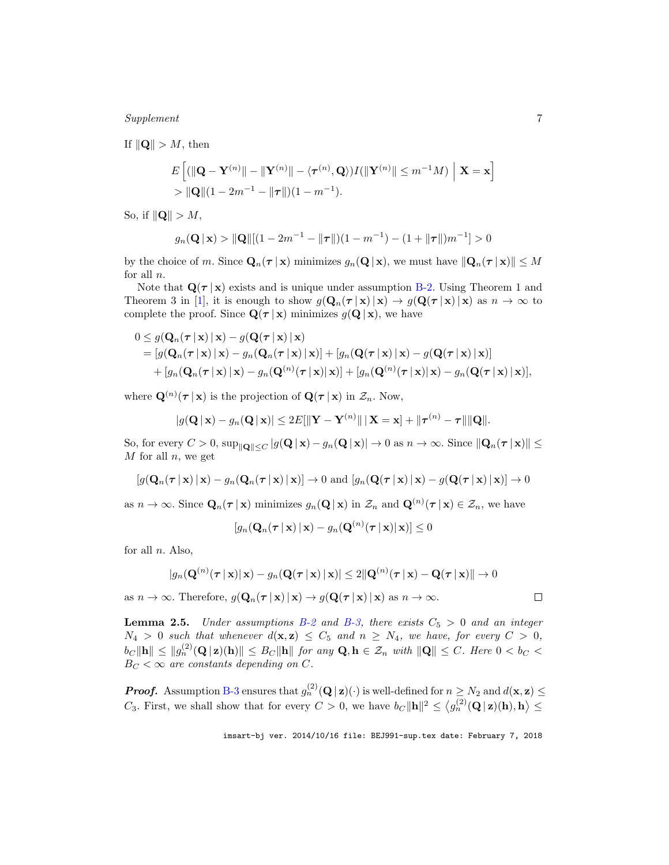Supplement 7

If  $\|\mathbf{Q}\| > M$ , then

$$
E\left[ (\|\mathbf{Q} - \mathbf{Y}^{(n)}\| - \|\mathbf{Y}^{(n)}\| - \langle \boldsymbol{\tau}^{(n)}, \mathbf{Q} \rangle) I(\|\mathbf{Y}^{(n)}\| \le m^{-1}M) \mid \mathbf{X} = \mathbf{x} \right]
$$
  
> 
$$
\|\mathbf{Q}\|(1 - 2m^{-1} - \|\boldsymbol{\tau}\|)(1 - m^{-1}).
$$

So, if  $\|\mathbf{Q}\| > M$ ,

$$
g_n(\mathbf{Q} \mid \mathbf{x}) > \|\mathbf{Q}\|[(1 - 2m^{-1} - \|\boldsymbol{\tau}\|)(1 - m^{-1}) - (1 + \|\boldsymbol{\tau}\|)m^{-1}] > 0
$$

by the choice of m. Since  $\mathbf{Q}_n(\tau | \mathbf{x})$  minimizes  $g_n(\mathbf{Q} | \mathbf{x})$ , we must have  $\|\mathbf{Q}_n(\tau | \mathbf{x})\| \leq M$ for all  $n$ .

Note that  $\mathbf{Q}(\tau | \mathbf{x})$  exists and is unique under assumption B-2. Using Theorem 1 and Theorem 3 in [1], it is enough to show  $g(\mathbf{Q}_n(\tau | \mathbf{x}) | \mathbf{x}) \to g(\mathbf{Q}(\tau | \mathbf{x}) | \mathbf{x})$  as  $n \to \infty$  to complete the proof. Since  $\mathbf{Q}(\tau | \mathbf{x})$  minimizes  $g(\mathbf{Q} | \mathbf{x})$ , we have

$$
0 \leq g(\mathbf{Q}_n(\boldsymbol{\tau} \mid \mathbf{x}) \mid \mathbf{x}) - g(\mathbf{Q}(\boldsymbol{\tau} \mid \mathbf{x}) \mid \mathbf{x})
$$
  
= 
$$
[g(\mathbf{Q}_n(\boldsymbol{\tau} \mid \mathbf{x}) \mid \mathbf{x}) - g_n(\mathbf{Q}_n(\boldsymbol{\tau} \mid \mathbf{x}) \mid \mathbf{x})] + [g_n(\mathbf{Q}(\boldsymbol{\tau} \mid \mathbf{x}) \mid \mathbf{x}) - g(\mathbf{Q}(\boldsymbol{\tau} \mid \mathbf{x}) \mid \mathbf{x})]
$$
  
+ 
$$
[g_n(\mathbf{Q}_n(\boldsymbol{\tau} \mid \mathbf{x}) \mid \mathbf{x}) - g_n(\mathbf{Q}^{(n)}(\boldsymbol{\tau} \mid \mathbf{x}) \mid \mathbf{x})] + [g_n(\mathbf{Q}^{(n)}(\boldsymbol{\tau} \mid \mathbf{x}) \mid \mathbf{x}) - g_n(\mathbf{Q}(\boldsymbol{\tau} \mid \mathbf{x}) \mid \mathbf{x})],
$$

where  $\mathbf{Q}^{(n)}(\tau | \mathbf{x})$  is the projection of  $\mathbf{Q}(\tau | \mathbf{x})$  in  $\mathcal{Z}_n$ . Now,

$$
|g(\mathbf{Q} \,|\, \mathbf{x}) - g_n(\mathbf{Q} \,|\, \mathbf{x})| \leq 2E[\|\mathbf{Y} - \mathbf{Y}^{(n)}\| \,|\, \mathbf{X} = \mathbf{x}] + \|\boldsymbol{\tau}^{(n)} - \boldsymbol{\tau}\| \|\mathbf{Q}\|.
$$

So, for every  $C > 0$ ,  $\sup_{\|\mathbf{Q}\| \leq C} |g(\mathbf{Q} \mid \mathbf{x}) - g_n(\mathbf{Q} \mid \mathbf{x})| \to 0$  as  $n \to \infty$ . Since  $\|\mathbf{Q}_n(\tau \mid \mathbf{x})\| \leq$  $M$  for all  $n$ , we get

$$
[g(\mathbf{Q}_n(\boldsymbol{\tau} \mid \mathbf{x}) \mid \mathbf{x}) - g_n(\mathbf{Q}_n(\boldsymbol{\tau} \mid \mathbf{x}) \mid \mathbf{x})] \rightarrow 0 \text{ and } [g_n(\mathbf{Q}(\boldsymbol{\tau} \mid \mathbf{x}) \mid \mathbf{x}) - g(\mathbf{Q}(\boldsymbol{\tau} \mid \mathbf{x}) \mid \mathbf{x})] \rightarrow 0
$$

as  $n \to \infty$ . Since  $\mathbf{Q}_n(\tau | \mathbf{x})$  minimizes  $g_n(\mathbf{Q} | \mathbf{x})$  in  $\mathcal{Z}_n$  and  $\mathbf{Q}^{(n)}(\tau | \mathbf{x}) \in \mathcal{Z}_n$ , we have

$$
[g_n(\mathbf{Q}_n(\boldsymbol{\tau} \,|\, \mathbf{x}) \,|\, \mathbf{x}) - g_n(\mathbf{Q}^{(n)}(\boldsymbol{\tau} \,|\, \mathbf{x}) \,|\, \mathbf{x})] \leq 0
$$

for all  $n$ . Also,

$$
|g_n(\mathbf{Q}^{(n)}(\boldsymbol{\tau} \,|\, \mathbf{x}) | \, \mathbf{x}) - g_n(\mathbf{Q}(\boldsymbol{\tau} \,|\, \mathbf{x}) \,|\, \mathbf{x})| \leq 2 \|\mathbf{Q}^{(n)}(\boldsymbol{\tau} \,|\, \mathbf{x}) - \mathbf{Q}(\boldsymbol{\tau} \,|\, \mathbf{x})\| \to 0
$$

as  $n \to \infty$ . Therefore,  $g(\mathbf{Q}_n(\tau | \mathbf{x}) | \mathbf{x}) \to g(\mathbf{Q}(\tau | \mathbf{x}) | \mathbf{x})$  as  $n \to \infty$ .

**Lemma 2.5.** Under assumptions B-2 and B-3, there exists  $C_5 > 0$  and an integer  $N_4 > 0$  such that whenever  $d(\mathbf{x}, \mathbf{z}) \leq C_5$  and  $n \geq N_4$ , we have, for every  $C > 0$ ,  $\|b_C\|\mathbf{h}\| \le \|g_n^{(2)}(\mathbf{Q}\,\vert\,\mathbf{z})(\mathbf{h})\| \le B_C \|\mathbf{h}\|$  for any  $\mathbf{Q}, \mathbf{h} \in \mathcal{Z}_n$  with  $\|\mathbf{Q}\| \le C$ . Here  $0 < b_C <$  $B_C < \infty$  are constants depending on C.

**Proof.** Assumption B-3 ensures that  $g_n^{(2)}(\mathbf{Q} | \mathbf{z})(\cdot)$  is well-defined for  $n \geq N_2$  and  $d(\mathbf{x}, \mathbf{z}) \leq$ C<sub>3</sub>. First, we shall show that for every  $C > 0$ , we have  $b_C \|\mathbf{h}\|^2 \leq \langle g_n^{(2)}(\mathbf{Q} \,|\, \mathbf{z})(\mathbf{h}), \mathbf{h} \rangle \leq$ 

imsart-bj ver. 2014/10/16 file: BEJ991-sup.tex date: February 7, 2018

 $\Box$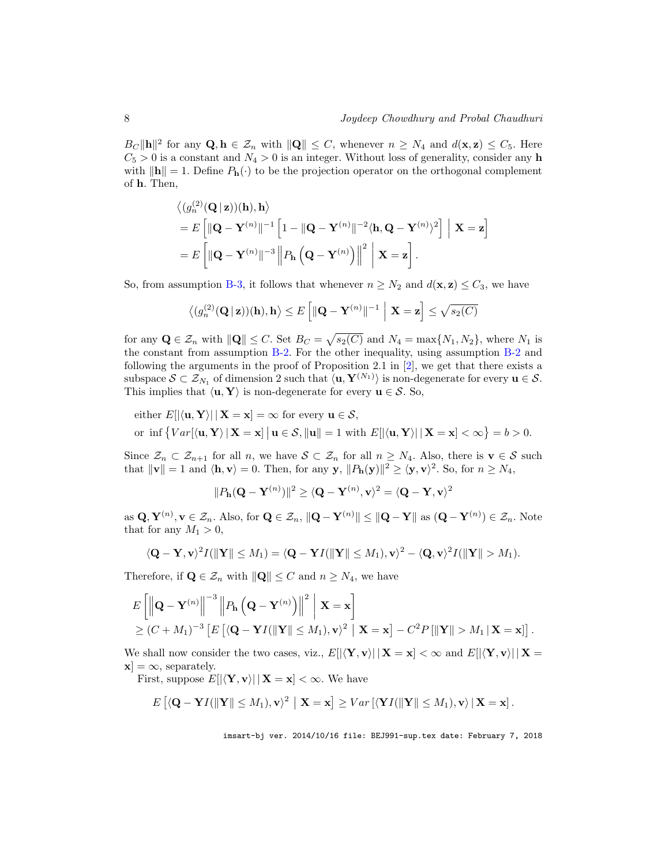$B_C \|\mathbf{h}\|^2$  for any  $\mathbf{Q}, \mathbf{h} \in \mathcal{Z}_n$  with  $\|\mathbf{Q}\| \leq C$ , whenever  $n \geq N_4$  and  $d(\mathbf{x}, \mathbf{z}) \leq C_5$ . Here  $C_5 > 0$  is a constant and  $N_4 > 0$  is an integer. Without loss of generality, consider any h with  $\|\mathbf{h}\| = 1$ . Define  $P_{\mathbf{h}}(\cdot)$  to be the projection operator on the orthogonal complement of h. Then,

$$
\langle (g_n^{(2)}(\mathbf{Q} \mid \mathbf{z}))( \mathbf{h}), \mathbf{h} \rangle
$$
  
=  $E \left[ \| \mathbf{Q} - \mathbf{Y}^{(n)} \|^{-1} \left[ 1 - \| \mathbf{Q} - \mathbf{Y}^{(n)} \|^{-2} \langle \mathbf{h}, \mathbf{Q} - \mathbf{Y}^{(n)} \rangle^2 \right] \mid \mathbf{X} = \mathbf{z} \right]$   
=  $E \left[ \| \mathbf{Q} - \mathbf{Y}^{(n)} \|^{-3} \| P_{\mathbf{h}} \left( \mathbf{Q} - \mathbf{Y}^{(n)} \right) \|^2 \mid \mathbf{X} = \mathbf{z} \right].$ 

So, from assumption B-3, it follows that whenever  $n \geq N_2$  and  $d(\mathbf{x}, \mathbf{z}) \leq C_3$ , we have

$$
\langle (g_n^{(2)}(\mathbf{Q} \mid \mathbf{z}))(\mathbf{h}), \mathbf{h} \rangle \le E \left[ ||\mathbf{Q} - \mathbf{Y}^{(n)}||^{-1} \mid \mathbf{X} = \mathbf{z} \right] \le \sqrt{s_2(C)}
$$

for any  $\mathbf{Q} \in \mathcal{Z}_n$  with  $\|\mathbf{Q}\| \leq C$ . Set  $B_C = \sqrt{s_2(C)}$  and  $N_4 = \max\{N_1, N_2\}$ , where  $N_1$  is the constant from assumption B-2. For the other inequality, using assumption B-2 and following the arguments in the proof of Proposition 2.1 in  $[2]$ , we get that there exists a subspace  $S \subset \mathcal{Z}_{N_1}$  of dimension 2 such that  $\langle \mathbf{u}, \mathbf{Y}^{(N_1)} \rangle$  is non-degenerate for every  $\mathbf{u} \in \mathcal{S}$ . This implies that  $\langle \mathbf{u}, \mathbf{Y} \rangle$  is non-degenerate for every  $\mathbf{u} \in \mathcal{S}$ . So,

either 
$$
E[|\langle \mathbf{u}, \mathbf{Y} \rangle| |\mathbf{X} = \mathbf{x}] = \infty
$$
 for every  $\mathbf{u} \in \mathcal{S}$ ,  
or inf  $\{Var[\langle \mathbf{u}, \mathbf{Y} \rangle | \mathbf{X} = \mathbf{x}] | \mathbf{u} \in \mathcal{S}, ||\mathbf{u}|| = 1$  with  $E[|\langle \mathbf{u}, \mathbf{Y} \rangle| | \mathbf{X} = \mathbf{x}] < \infty\} = b > 0$ .

Since  $\mathcal{Z}_n \subset \mathcal{Z}_{n+1}$  for all n, we have  $\mathcal{S} \subset \mathcal{Z}_n$  for all  $n \geq N_4$ . Also, there is  $\mathbf{v} \in \mathcal{S}$  such that  $\|\mathbf{v}\| = 1$  and  $\langle \mathbf{h}, \mathbf{v} \rangle = 0$ . Then, for any  $\mathbf{y}, \|P_{\mathbf{h}}(\mathbf{y})\|^2 \ge \langle \mathbf{y}, \mathbf{v} \rangle^2$ . So, for  $n \ge N_4$ ,

$$
||P_{\mathbf{h}}(\mathbf{Q}-\mathbf{Y}^{(n)})||^2 \geq \langle \mathbf{Q}-\mathbf{Y}^{(n)}, \mathbf{v} \rangle^2 = \langle \mathbf{Q}-\mathbf{Y}, \mathbf{v} \rangle^2
$$

as  $\mathbf{Q}, \mathbf{Y}^{(n)}, \mathbf{v} \in \mathcal{Z}_n$ . Also, for  $\mathbf{Q} \in \mathcal{Z}_n$ ,  $\|\mathbf{Q} - \mathbf{Y}^{(n)}\| \leq \|\mathbf{Q} - \mathbf{Y}\|$  as  $(\mathbf{Q} - \mathbf{Y}^{(n)}) \in \mathcal{Z}_n$ . Note that for any  $M_1 > 0$ ,

$$
\langle \mathbf{Q}-\mathbf{Y},\mathbf{v}\rangle^2 I(\|\mathbf{Y}\|\leq M_1)=\langle \mathbf{Q}-\mathbf{Y}I(\|\mathbf{Y}\|\leq M_1),\mathbf{v}\rangle^2-\langle \mathbf{Q},\mathbf{v}\rangle^2 I(\|\mathbf{Y}\|>M_1).
$$

Therefore, if  $\mathbf{Q} \in \mathcal{Z}_n$  with  $\|\mathbf{Q}\| \leq C$  and  $n \geq N_4$ , we have

$$
E\left[\left\|\mathbf{Q}-\mathbf{Y}^{(n)}\right\|^{-3}\left\|P_{\mathbf{h}}\left(\mathbf{Q}-\mathbf{Y}^{(n)}\right)\right\|^{2}\,\middle|\,\mathbf{X}=\mathbf{x}\right] \geq (C+M_{1})^{-3}\left[E\left[\langle\mathbf{Q}-\mathbf{Y}I(\|\mathbf{Y}\|\leq M_{1}),\mathbf{v}\rangle^{2}\,\middle|\,\mathbf{X}=\mathbf{x}\right]-C^{2}P\left[\|\mathbf{Y}\|>M_{1}\,|\,\mathbf{X}=\mathbf{x}\right]\right].
$$

We shall now consider the two cases, viz.,  $E[|\langle \mathbf{Y}, \mathbf{v} \rangle| \, | \mathbf{X} = \mathbf{x}] < \infty$  and  $E[|\langle \mathbf{Y}, \mathbf{v} \rangle| \, | \mathbf{X} = \mathbf{x}]$  $[\mathbf{x}] = \infty$ , separately.

First, suppose  $E[|\langle \mathbf{Y}, \mathbf{v} \rangle| \, | \mathbf{X} = \mathbf{x}] < \infty$ . We have

$$
E\left[\langle \mathbf{Q} - \mathbf{Y}I(\|\mathbf{Y}\| \leq M_1), \mathbf{v}\rangle^2 \mid \mathbf{X} = \mathbf{x}\right] \geq Var\left[\langle \mathbf{Y}I(\|\mathbf{Y}\| \leq M_1), \mathbf{v}\rangle \mid \mathbf{X} = \mathbf{x}\right].
$$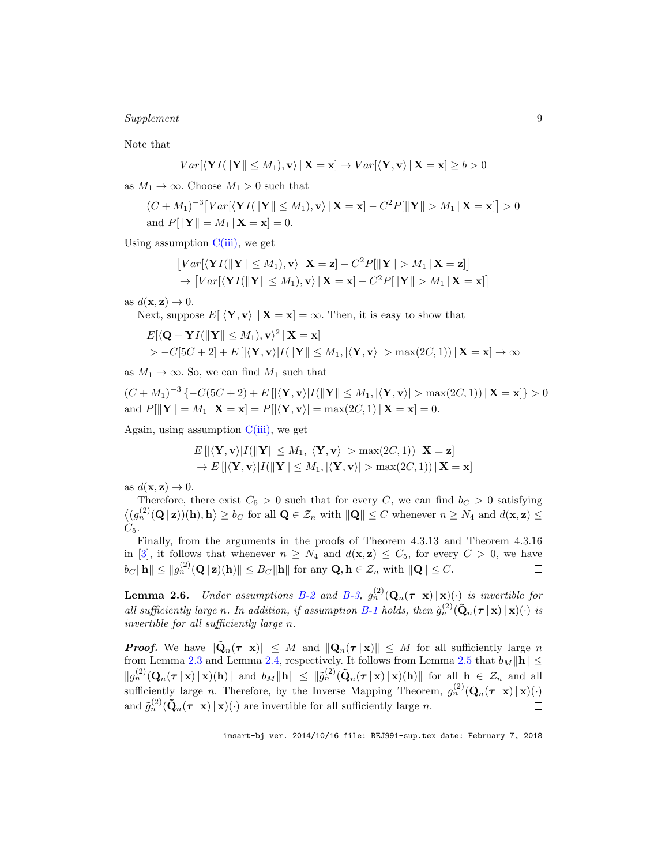#### Supplement 9

Note that

$$
Var[\langle \mathbf{Y}I(\|\mathbf{Y}\| \le M_1), \mathbf{v} \rangle \,|\, \mathbf{X} = \mathbf{x}] \to Var[\langle \mathbf{Y}, \mathbf{v} \rangle \,|\, \mathbf{X} = \mathbf{x}] \ge b > 0
$$

as  $M_1 \to \infty$ . Choose  $M_1 > 0$  such that

$$
(C+M_1)^{-3}\big[Var[\langle \mathbf{Y}I(\|\mathbf{Y}\|\leq M_1), \mathbf{v}\rangle \mid \mathbf{X}=\mathbf{x}\big] - C^2 P[\|\mathbf{Y}\| > M_1 \mid \mathbf{X}=\mathbf{x}\big] > 0
$$
  
and  $P[\|\mathbf{Y}\| = M_1 \mid \mathbf{X}=\mathbf{x}\big] = 0.$ 

Using assumption  $C(iii)$ , we get

$$
[Var[\langle \mathbf{Y}I(\|\mathbf{Y}\| \le M_1), \mathbf{v} \rangle | \mathbf{X} = \mathbf{z}] - C^2 P[\|\mathbf{Y}\| > M_1 | \mathbf{X} = \mathbf{z}]\]
$$
  
 
$$
\rightarrow [Var[\langle \mathbf{Y}I(\|\mathbf{Y}\| \le M_1), \mathbf{v} \rangle | \mathbf{X} = \mathbf{x}] - C^2 P[\|\mathbf{Y}\| > M_1 | \mathbf{X} = \mathbf{x}]\]
$$

as  $d(\mathbf{x}, \mathbf{z}) \to 0$ .

Next, suppose  $E[|\langle \mathbf{Y}, \mathbf{v} \rangle| \, | \mathbf{X} = \mathbf{x}] = \infty$ . Then, it is easy to show that

$$
E[\langle \mathbf{Q} - \mathbf{Y}I(\|\mathbf{Y}\| \le M_1), \mathbf{v}\rangle^2 | \mathbf{X} = \mathbf{x}]
$$
  
>  $-C[5C + 2] + E[|\langle \mathbf{Y}, \mathbf{v}\rangle|I(\|\mathbf{Y}\| \le M_1, |\langle \mathbf{Y}, \mathbf{v}\rangle| > \max(2C, 1)) | \mathbf{X} = \mathbf{x}] \rightarrow \infty$ 

as  $M_1 \to \infty$ . So, we can find  $M_1$  such that

$$
(C+M_1)^{-3}\{-C(5C+2)+E\left[|\langle \mathbf{Y}, \mathbf{v}\rangle|I(\|\mathbf{Y}\|\le M_1, |\langle \mathbf{Y}, \mathbf{v}\rangle| > \max(2C, 1))\,|\,\mathbf{X}=\mathbf{x}\right]\} > 0
$$
  
and  $P[\|\mathbf{Y}\| = M_1 \,|\,\mathbf{X}=\mathbf{x}] = P[\langle \mathbf{Y}, \mathbf{v}\rangle| = \max(2C, 1) \,|\,\mathbf{X}=\mathbf{x}] = 0.$ 

Again, using assumption  $C(iii)$ , we get

$$
E\left[\left|\langle \mathbf{Y}, \mathbf{v} \rangle | I(\|\mathbf{Y}\| \le M_1, |\langle \mathbf{Y}, \mathbf{v} \rangle| > \max(2C, 1)) \,|\, \mathbf{X} = \mathbf{z}\right]\right]
$$
  
\n
$$
\rightarrow E\left[\left|\langle \mathbf{Y}, \mathbf{v} \rangle | I(\|\mathbf{Y}\| \le M_1, |\langle \mathbf{Y}, \mathbf{v} \rangle| > \max(2C, 1)) \,|\, \mathbf{X} = \mathbf{x}\right]\right]
$$

as  $d(\mathbf{x}, \mathbf{z}) \to 0$ .

Therefore, there exist  $C_5 > 0$  such that for every C, we can find  $b_C > 0$  satisfying  $\langle (g_n^{(2)}(Q \mid z))(\mathbf{h}), \mathbf{h} \rangle \ge b_C$  for all  $Q \in \mathcal{Z}_n$  with  $||Q|| \le C$  whenever  $n \ge N_4$  and  $d(\mathbf{x}, \mathbf{z}) \le$  $C_5$ .

Finally, from the arguments in the proofs of Theorem 4.3.13 and Theorem 4.3.16 in [3], it follows that whenever  $n \geq N_4$  and  $d(\mathbf{x}, \mathbf{z}) \leq C_5$ , for every  $C > 0$ , we have  $b_C \|\mathbf{h}\| \le \|g_n^{(2)}(\mathbf{Q} \,|\, \mathbf{z})(\mathbf{h})\| \le B_C \|\mathbf{h}\|$  for any  $\mathbf{Q}, \mathbf{h} \in \mathcal{Z}_n$  with  $\|\mathbf{Q}\| \le C$ .  $\Box$ 

**Lemma 2.6.** Under assumptions B-2 and B-3,  $g_n^{(2)}(\mathbf{Q}_n(\boldsymbol{\tau} \mid \mathbf{x}) \mid \mathbf{x})$  is invertible for all sufficiently large n. In addition, if assumption B-1 holds, then  $\tilde{g}_n^{(2)}(\tilde{\mathbf{Q}}_n(\boldsymbol{\tau} \mid \mathbf{x}) \cdot (\cdot)$  is invertible for all sufficiently large n.

**Proof.** We have  $\|\tilde{\mathbf{Q}}_n(\tau | \mathbf{x})\| \leq M$  and  $\|\mathbf{Q}_n(\tau | \mathbf{x})\| \leq M$  for all sufficiently large n from Lemma 2.3 and Lemma 2.4, respectively. It follows from Lemma 2.5 that  $b_M \|\mathbf{h}\| \le$  $||g_n^{(2)}(\mathbf{Q}_n(\boldsymbol{\tau} \mid \mathbf{x}) \mid \mathbf{x})(\mathbf{h})||$  and  $b_M \|\mathbf{h}\| \leq ||\tilde{g}_n^{(2)}(\tilde{\mathbf{Q}}_n(\boldsymbol{\tau} \mid \mathbf{x}) \mid \mathbf{x})(\mathbf{h})||$  for all  $\mathbf{h} \in \mathcal{Z}_n$  and all sufficiently large *n*. Therefore, by the Inverse Mapping Theorem,  $g_n^{(2)}(\mathbf{Q}_n(\tau | \mathbf{x}) | \mathbf{x})(\cdot)$ and  $\tilde{g}_n^{(2)}(\tilde{\mathbf{Q}}_n(\boldsymbol{\tau} \mid \mathbf{x}) \mid \mathbf{x})(\cdot)$  are invertible for all sufficiently large n.  $\Box$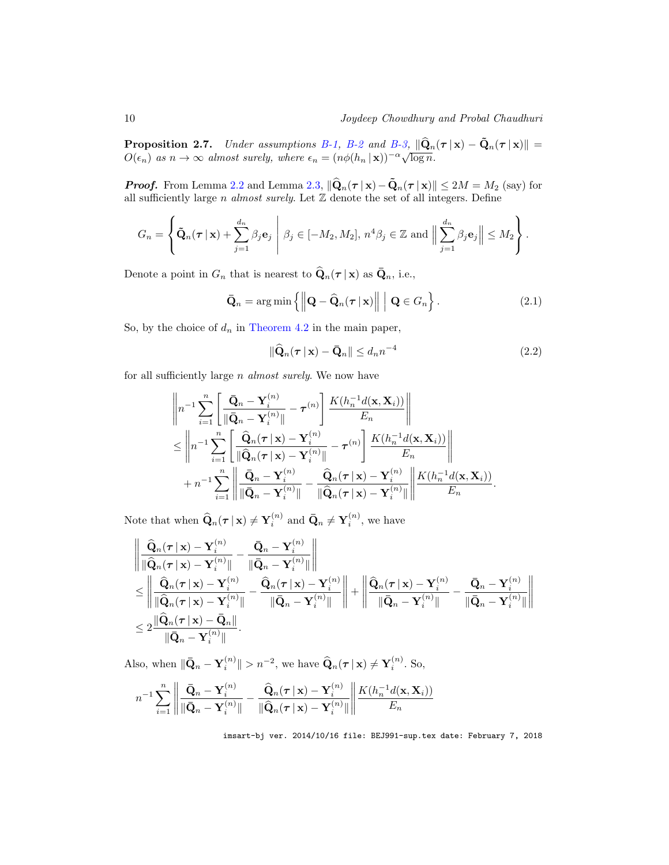10 Joydeep Chowdhury and Probal Chaudhuri

**Proposition 2.7.** Under assumptions B-1, B-2 and B-3,  $\|\hat{\mathbf{Q}}_n(\tau | \mathbf{x}) - \tilde{\mathbf{Q}}_n(\tau | \mathbf{x})\|$  =  $O(\epsilon_n)$  as  $n \to \infty$  almost surely, where  $\epsilon_n = (n\phi(h_n | \mathbf{x}))^{-\alpha} \sqrt{\log n}$ .

**Proof.** From Lemma 2.2 and Lemma 2.3,  $\|\hat{\mathbf{Q}}_n(\tau | \mathbf{x}) - \tilde{\mathbf{Q}}_n(\tau | \mathbf{x})\| \leq 2M = M_2$  (say) for all sufficiently large  $n$  almost surely. Let  $\mathbb Z$  denote the set of all integers. Define

$$
G_n = \left\{ \tilde{\mathbf{Q}}_n(\boldsymbol{\tau} \,|\, \mathbf{x}) + \sum_{j=1}^{d_n} \beta_j \mathbf{e}_j \; \middle\vert \; \beta_j \in [-M_2, M_2], \, n^4 \beta_j \in \mathbb{Z} \text{ and } \Big\| \sum_{j=1}^{d_n} \beta_j \mathbf{e}_j \Big\| \le M_2 \right\}.
$$

Denote a point in  $G_n$  that is nearest to  $\hat{\mathbf{Q}}_n(\tau | \mathbf{x})$  as  $\bar{\mathbf{Q}}_n$ , i.e.,

$$
\bar{\mathbf{Q}}_n = \arg\min \left\{ \left\| \mathbf{Q} - \widehat{\mathbf{Q}}_n(\boldsymbol{\tau} \,|\, \mathbf{x}) \right\| \, \middle| \, \mathbf{Q} \in G_n \right\}. \tag{2.1}
$$

So, by the choice of  $d_n$  in Theorem 4.2 in the main paper,

$$
\|\widehat{\mathbf{Q}}_n(\boldsymbol{\tau} \,|\, \mathbf{x}) - \bar{\mathbf{Q}}_n\| \leq d_n n^{-4} \tag{2.2}
$$

for all sufficiently large n almost surely. We now have

$$
\begin{split}\n&\left\|n^{-1}\sum_{i=1}^{n}\left[\frac{\bar{\mathbf{Q}}_n-\mathbf{Y}_i^{(n)}}{\|\bar{\mathbf{Q}}_n-\mathbf{Y}_i^{(n)}\|}-\boldsymbol{\tau}^{(n)}\right]\frac{K(h_n^{-1}d(\mathbf{x},\mathbf{X}_i))}{E_n}\right\| \\
&\leq \left\|n^{-1}\sum_{i=1}^{n}\left[\frac{\widehat{\mathbf{Q}}_n(\boldsymbol{\tau}|\mathbf{x})-\mathbf{Y}_i^{(n)}}{\|\widehat{\mathbf{Q}}_n(\boldsymbol{\tau}|\mathbf{x})-\mathbf{Y}_i^{(n)}\|}-\boldsymbol{\tau}^{(n)}\right]\frac{K(h_n^{-1}d(\mathbf{x},\mathbf{X}_i))}{E_n}\right\| \\
&+n^{-1}\sum_{i=1}^{n}\left\|\frac{\bar{\mathbf{Q}}_n-\mathbf{Y}_i^{(n)}}{\|\bar{\mathbf{Q}}_n-\mathbf{Y}_i^{(n)}\|}-\frac{\widehat{\mathbf{Q}}_n(\boldsymbol{\tau}|\mathbf{x})-\mathbf{Y}_i^{(n)}}{\|\widehat{\mathbf{Q}}_n(\boldsymbol{\tau}|\mathbf{x})-\mathbf{Y}_i^{(n)}\|}\right\| \frac{K(h_n^{-1}d(\mathbf{x},\mathbf{X}_i))}{E_n}.\n\end{split}
$$

Note that when  $\widehat{Q}_n(\tau | x) \neq Y_i^{(n)}$  and  $\bar{Q}_n \neq Y_i^{(n)}$ , we have

$$
\begin{aligned}&\left\|\frac{\widehat{\mathbf{Q}}_n(\boldsymbol{\tau}\,|\,\mathbf{x})-\mathbf{Y}_i^{(n)}}{\|\widehat{\mathbf{Q}}_n(\boldsymbol{\tau}\,|\,\mathbf{x})-\mathbf{Y}_i^{(n)}\|}-\frac{\bar{\mathbf{Q}}_n-\mathbf{Y}_i^{(n)}}{\|\bar{\mathbf{Q}}_n-\mathbf{Y}_i^{(n)}\|}\right\|\\&\leq\left\|\frac{\widehat{\mathbf{Q}}_n(\boldsymbol{\tau}\,|\,\mathbf{x})-\mathbf{Y}_i^{(n)}}{\|\widehat{\mathbf{Q}}_n(\boldsymbol{\tau}\,|\,\mathbf{x})-\mathbf{Y}_i^{(n)}\|}-\frac{\widehat{\mathbf{Q}}_n(\boldsymbol{\tau}\,|\,\mathbf{x})-\mathbf{Y}_i^{(n)}\|}{\|\bar{\mathbf{Q}}_n-\mathbf{Y}_i^{(n)}\|}\right\|+\left\|\frac{\widehat{\mathbf{Q}}_n(\boldsymbol{\tau}\,|\,\mathbf{x})-\mathbf{Y}_i^{(n)}}{\|\bar{\mathbf{Q}}_n-\mathbf{Y}_i^{(n)}\|}-\frac{\bar{\mathbf{Q}}_n-\mathbf{Y}_i^{(n)}}{\|\bar{\mathbf{Q}}_n-\mathbf{Y}_i^{(n)}\|}\right\|\\&\leq 2\frac{\|\widehat{\mathbf{Q}}_n(\boldsymbol{\tau}\,|\,\mathbf{x})-\bar{\mathbf{Q}}_n\|}{\|\bar{\mathbf{Q}}_n-\mathbf{Y}_i^{(n)}\|}. \end{aligned}
$$

Also, when  $\|\bar{\mathbf{Q}}_n - \mathbf{Y}_i^{(n)}\| > n^{-2}$ , we have  $\widehat{\mathbf{Q}}_n(\tau | \mathbf{x}) \neq \mathbf{Y}_i^{(n)}$ . So,

$$
n^{-1}\sum_{i=1}^n \left\| \frac{\bar{\mathbf{Q}}_n - \mathbf{Y}_i^{(n)}}{\|\bar{\mathbf{Q}}_n - \mathbf{Y}_i^{(n)}\|} - \frac{\widehat{\mathbf{Q}}_n(\boldsymbol{\tau} \,|\, \mathbf{x}) - \mathbf{Y}_i^{(n)}}{\|\widehat{\mathbf{Q}}_n(\boldsymbol{\tau} \,|\, \mathbf{x}) - \mathbf{Y}_i^{(n)}\|} \right\| \frac{K(h_n^{-1}d(\mathbf{x}, \mathbf{X}_i))}{E_n}
$$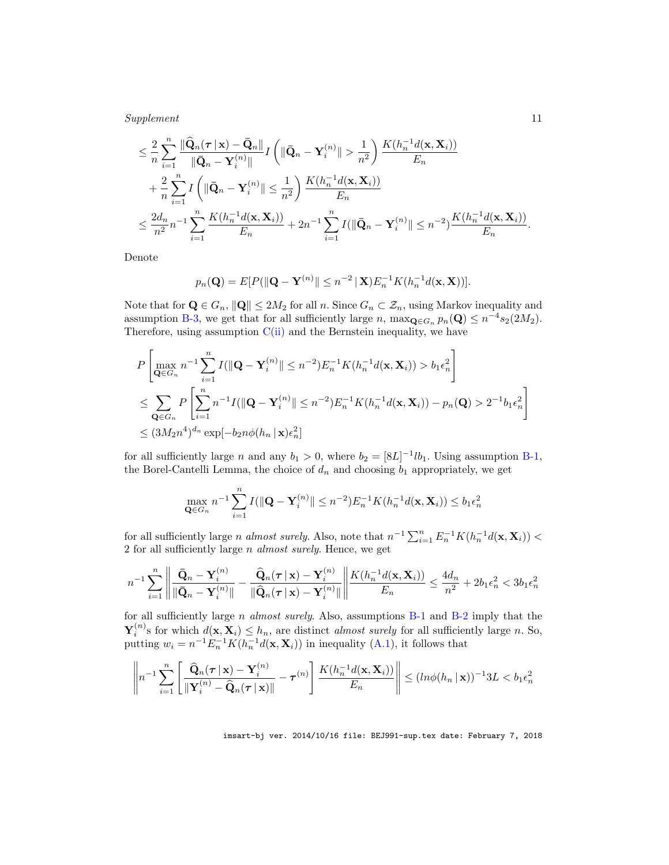Supplement 11

$$
\leq \frac{2}{n} \sum_{i=1}^{n} \frac{\|\widehat{\mathbf{Q}}_n(\boldsymbol{\tau} \mid \mathbf{x}) - \bar{\mathbf{Q}}_n\|}{\|\widehat{\mathbf{Q}}_n - \mathbf{Y}_i^{(n)}\|} I\left(\|\widehat{\mathbf{Q}}_n - \mathbf{Y}_i^{(n)}\| > \frac{1}{n^2}\right) \frac{K(h_n^{-1}d(\mathbf{x}, \mathbf{X}_i))}{E_n}
$$
  
+ 
$$
\frac{2}{n} \sum_{i=1}^{n} I\left(\|\bar{\mathbf{Q}}_n - \mathbf{Y}_i^{(n)}\| \leq \frac{1}{n^2}\right) \frac{K(h_n^{-1}d(\mathbf{x}, \mathbf{X}_i))}{E_n}
$$
  

$$
\leq \frac{2d_n}{n^2} n^{-1} \sum_{i=1}^{n} \frac{K(h_n^{-1}d(\mathbf{x}, \mathbf{X}_i))}{E_n} + 2n^{-1} \sum_{i=1}^{n} I(\|\widehat{\mathbf{Q}}_n - \mathbf{Y}_i^{(n)}\| \leq n^{-2}) \frac{K(h_n^{-1}d(\mathbf{x}, \mathbf{X}_i))}{E_n}.
$$

Denote

$$
p_n(\mathbf{Q}) = E[P(||\mathbf{Q} - \mathbf{Y}^{(n)}|| \leq n^{-2} | \mathbf{X}) E_n^{-1} K(h_n^{-1} d(\mathbf{x}, \mathbf{X}))].
$$

Note that for  $\mathbf{Q} \in G_n$ ,  $\|\mathbf{Q}\| \leq 2M_2$  for all n. Since  $G_n \subset \mathcal{Z}_n$ , using Markov inequality and assumption B-3, we get that for all sufficiently large n,  $\max_{\mathbf{Q} \in G_n} p_n(\mathbf{Q}) \leq n^{-4} s_2(2M_2)$ . Therefore, using assumption  $C(i)$  and the Bernstein inequality, we have

$$
P\left[\max_{\mathbf{Q}\in G_n} n^{-1} \sum_{i=1}^n I(||\mathbf{Q}-\mathbf{Y}_i^{(n)}|| \leq n^{-2}) E_n^{-1} K(h_n^{-1}d(\mathbf{x}, \mathbf{X}_i)) > b_1 \epsilon_n^2\right]
$$
  
\n
$$
\leq \sum_{\mathbf{Q}\in G_n} P\left[\sum_{i=1}^n n^{-1} I(||\mathbf{Q}-\mathbf{Y}_i^{(n)}|| \leq n^{-2}) E_n^{-1} K(h_n^{-1}d(\mathbf{x}, \mathbf{X}_i)) - p_n(\mathbf{Q}) > 2^{-1} b_1 \epsilon_n^2\right]
$$
  
\n
$$
\leq (3M_2 n^4)^{d_n} \exp[-b_2 n \phi(h_n|\mathbf{x}) \epsilon_n^2]
$$

for all sufficiently large n and any  $b_1 > 0$ , where  $b_2 = [8L]^{-1}lb_1$ . Using assumption B-1, the Borel-Cantelli Lemma, the choice of  $d_n$  and choosing  $b_1$  appropriately, we get

$$
\max_{\mathbf{Q}\in G_n} n^{-1} \sum_{i=1}^n I(\|\mathbf{Q} - \mathbf{Y}_i^{(n)}\| \le n^{-2}) E_n^{-1} K(h_n^{-1} d(\mathbf{x}, \mathbf{X}_i)) \le b_1 \epsilon_n^2
$$

for all sufficiently large *n* almost surely. Also, note that  $n^{-1} \sum_{i=1}^{n} E_n^{-1} K(h_n^{-1} d(\mathbf{x}, \mathbf{X}_i))$  < 2 for all sufficiently large n almost surely. Hence, we get

$$
n^{-1}\sum_{i=1}^n \left\| \frac{\bar{\mathbf{Q}}_n - \mathbf{Y}_i^{(n)}}{\|\bar{\mathbf{Q}}_n - \mathbf{Y}_i^{(n)}\|} - \frac{\widehat{\mathbf{Q}}_n(\boldsymbol{\tau} \,|\, \mathbf{x}) - \mathbf{Y}_i^{(n)}}{\|\widehat{\mathbf{Q}}_n(\boldsymbol{\tau} \,|\, \mathbf{x}) - \mathbf{Y}_i^{(n)}\|} \right\| \frac{K(h_n^{-1}d(\mathbf{x}, \mathbf{X}_i))}{E_n} \le \frac{4d_n}{n^2} + 2b_1 \epsilon_n^2 < 3b_1 \epsilon_n^2
$$

for all sufficiently large n almost surely. Also, assumptions  $B-1$  and  $B-2$  imply that the  $\mathbf{Y}_i^{(n)}$ s for which  $d(\mathbf{x}, \mathbf{X}_i) \leq h_n$ , are distinct *almost surely* for all sufficiently large n. So, putting  $w_i = n^{-1} E_n^{-1} K(h_n^{-1} d(\mathbf{x}, \mathbf{X}_i))$  in inequality (A.1), it follows that

$$
\left\|n^{-1}\sum_{i=1}^n\left[\frac{\widehat{\mathbf{Q}}_n(\boldsymbol{\tau} \,|\, \mathbf{x})-\mathbf{Y}_i^{(n)}}{\|\mathbf{Y}_i^{(n)}-\widehat{\mathbf{Q}}_n(\boldsymbol{\tau} \,|\, \mathbf{x})\|}-\boldsymbol{\tau}^{(n)}\right]\frac{K(h_n^{-1}d(\mathbf{x},\mathbf{X}_i))}{E_n}\right\| \leq (ln\phi(h_n\,|\, \mathbf{x}))^{-1}3L < b_1\epsilon_n^2
$$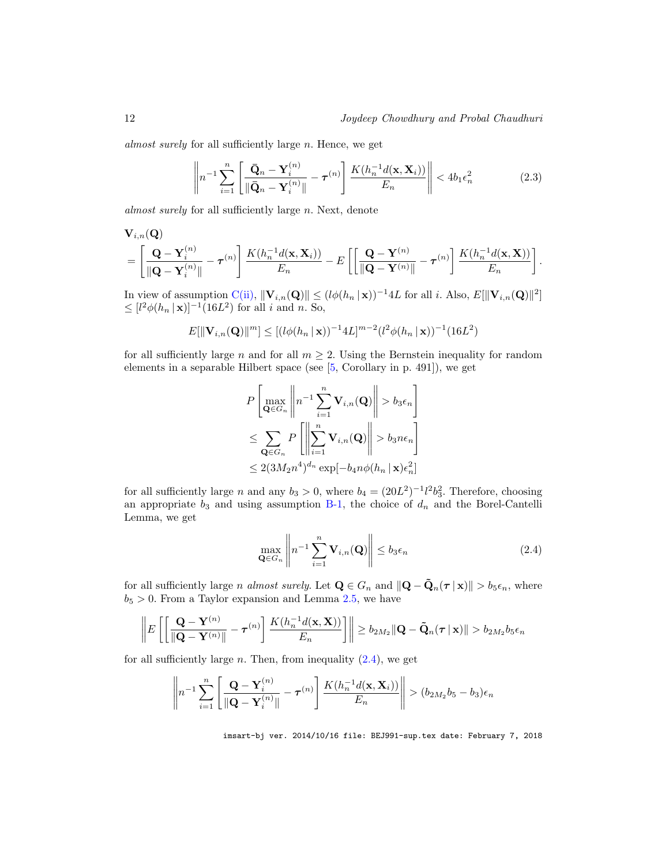almost surely for all sufficiently large n. Hence, we get

$$
\left\|n^{-1}\sum_{i=1}^n\left[\frac{\bar{\mathbf{Q}}_n-\mathbf{Y}_i^{(n)}}{\|\bar{\mathbf{Q}}_n-\mathbf{Y}_i^{(n)}\|}-\boldsymbol{\tau}^{(n)}\right]\frac{K(h_n^{-1}d(\mathbf{x},\mathbf{X}_i))}{E_n}\right\|<4b_1\epsilon_n^2\tag{2.3}
$$

almost surely for all sufficiently large n. Next, denote

$$
\mathbf{V}_{i,n}(\mathbf{Q}) = \left[\frac{\mathbf{Q} - \mathbf{Y}_i^{(n)}}{\|\mathbf{Q} - \mathbf{Y}_i^{(n)}\|} - \boldsymbol{\tau}^{(n)}\right] \frac{K(h_n^{-1}d(\mathbf{x}, \mathbf{X}_i))}{E_n} - E\left[\left[\frac{\mathbf{Q} - \mathbf{Y}^{(n)}}{\|\mathbf{Q} - \mathbf{Y}^{(n)}\|} - \boldsymbol{\tau}^{(n)}\right] \frac{K(h_n^{-1}d(\mathbf{x}, \mathbf{X}))}{E_n}\right].
$$

In view of assumption  $\mathbf{C}(\mathbf{ii}), \|\mathbf{V}_{i,n}(\mathbf{Q})\| \leq (l\phi(h_n \mid \mathbf{x}))^{-1} 4L$  for all i. Also,  $E[\|\mathbf{V}_{i,n}(\mathbf{Q})\|^2]$  $\leq [l^2 \phi(h_n \,|\, \mathbf{x})]^{-1} (16L^2)$  for all *i* and *n*. So,

$$
E[\|\mathbf{V}_{i,n}(\mathbf{Q})\|^m] \leq [(\ell\phi(h_n \mid \mathbf{x}))^{-1} 4L]^{m-2} (\ell^2\phi(h_n \mid \mathbf{x}))^{-1} (16L^2)
$$

for all sufficiently large n and for all  $m \geq 2$ . Using the Bernstein inequality for random elements in a separable Hilbert space (see [5, Corollary in p. 491]), we get

$$
P\left[\max_{\mathbf{Q}\in G_n} \left\| n^{-1} \sum_{i=1}^n \mathbf{V}_{i,n}(\mathbf{Q}) \right\| > b_3 \epsilon_n \right]
$$
  

$$
\leq \sum_{\mathbf{Q}\in G_n} P\left[ \left\| \sum_{i=1}^n \mathbf{V}_{i,n}(\mathbf{Q}) \right\| > b_3 n \epsilon_n \right]
$$
  

$$
\leq 2(3M_2 n^4)^{d_n} \exp[-b_4 n \phi(h_n \,|\, \mathbf{x}) \epsilon_n^2]
$$

for all sufficiently large *n* and any  $b_3 > 0$ , where  $b_4 = (20L^2)^{-1}l^2b_3^2$ . Therefore, choosing an appropriate  $b_3$  and using assumption B-1, the choice of  $d_n$  and the Borel-Cantelli Lemma, we get

$$
\max_{\mathbf{Q} \in G_n} \left\| n^{-1} \sum_{i=1}^n \mathbf{V}_{i,n}(\mathbf{Q}) \right\| \le b_3 \epsilon_n \tag{2.4}
$$

for all sufficiently large *n* almost surely. Let  $\mathbf{Q} \in G_n$  and  $\|\mathbf{Q} - \tilde{\mathbf{Q}}_n(\boldsymbol{\tau} \mid \mathbf{x})\| > b_5 \epsilon_n$ , where  $b_5 > 0$ . From a Taylor expansion and Lemma 2.5, we have

$$
\left\|E\left[\left\|\frac{\mathbf{Q}-\mathbf{Y}^{(n)}}{\|\mathbf{Q}-\mathbf{Y}^{(n)}\|}-\boldsymbol{\tau}^{(n)}\right]\frac{K(h_n^{-1}d(\mathbf{x},\mathbf{X}))}{E_n}\right]\right\| \ge b_{2M_2}\|\mathbf{Q}-\tilde{\mathbf{Q}}_n(\boldsymbol{\tau}\,|\,\mathbf{x})\| > b_{2M_2}b_5\epsilon_n
$$

for all sufficiently large  $n$ . Then, from inequality  $(2.4)$ , we get

$$
\left\|n^{-1}\sum_{i=1}^n\left[\frac{\mathbf{Q}-\mathbf{Y}_i^{(n)}}{\|\mathbf{Q}-\mathbf{Y}_i^{(n)}\|}-\boldsymbol{\tau}^{(n)}\right]\frac{K(h_n^{-1}d(\mathbf{x},\mathbf{X}_i))}{E_n}\right\|>(b_{2M_2}b_5-b_3)\epsilon_n
$$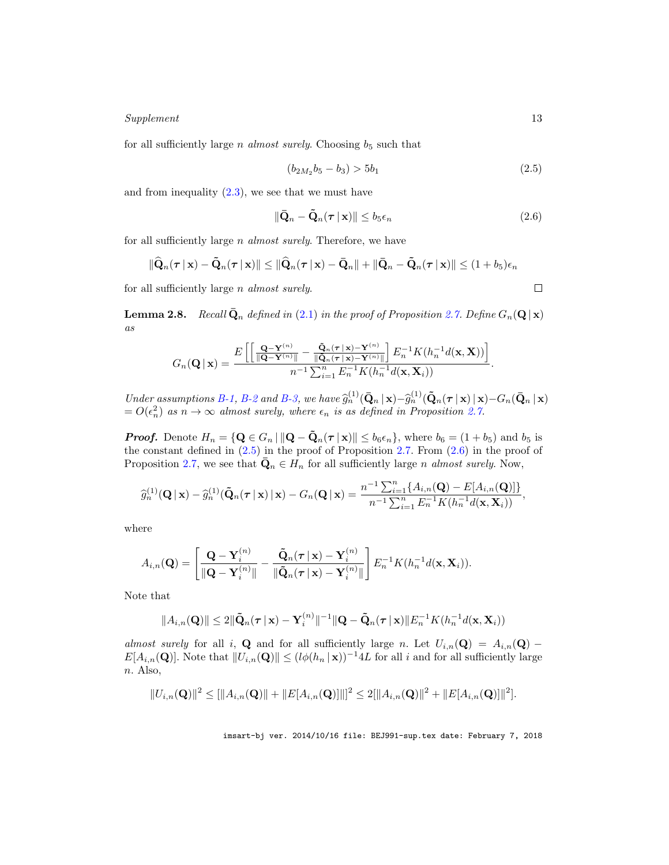#### Supplement 13

for all sufficiently large *n* almost surely. Choosing  $b_5$  such that

$$
(b_{2M_2}b_5 - b_3) > 5b_1
$$
\n(2.5)

and from inequality  $(2.3)$ , we see that we must have

$$
\|\bar{\mathbf{Q}}_n - \tilde{\mathbf{Q}}_n(\boldsymbol{\tau} \,|\, \mathbf{x})\| \le b_5 \epsilon_n \tag{2.6}
$$

for all sufficiently large *n almost surely*. Therefore, we have

$$
\|\widehat{\mathbf{Q}}_n(\boldsymbol{\tau} \,|\, \mathbf{x}) - \tilde{\mathbf{Q}}_n(\boldsymbol{\tau} \,|\, \mathbf{x})\| \le \|\widehat{\mathbf{Q}}_n(\boldsymbol{\tau} \,|\, \mathbf{x}) - \bar{\mathbf{Q}}_n\| + \|\bar{\mathbf{Q}}_n - \tilde{\mathbf{Q}}_n(\boldsymbol{\tau} \,|\, \mathbf{x})\| \le (1 + b_5)\epsilon_n
$$

for all sufficiently large n almost surely.

**Lemma 2.8.** Recall  $\bar{\mathbf{Q}}_n$  defined in (2.1) in the proof of Proposition 2.7. Define  $G_n(\mathbf{Q}|\mathbf{x})$ as

$$
G_n(\mathbf{Q} \mid \mathbf{x}) = \frac{E\left[\left[\frac{\mathbf{Q} - \mathbf{Y}^{(n)}}{\|\mathbf{Q} - \mathbf{Y}^{(n)}\|} - \frac{\tilde{\mathbf{Q}}_n(\boldsymbol{\tau} \mid \mathbf{x}) - \mathbf{Y}^{(n)}}{\|\tilde{\mathbf{Q}}_n(\boldsymbol{\tau} \mid \mathbf{x}) - \mathbf{Y}^{(n)}\|}\right] E_n^{-1} K(h_n^{-1} d(\mathbf{x}, \mathbf{X}))\right]}{n^{-1} \sum_{i=1}^n E_n^{-1} K(h_n^{-1} d(\mathbf{x}, \mathbf{X}_i))}
$$

Under assumptions B-1, B-2 and B-3, we have  $\hat{g}_n^{(1)}(\bar{\mathbf{Q}}_n|\mathbf{x})-\hat{g}_n^{(1)}(\tilde{\mathbf{Q}}_n(\boldsymbol{\tau}|\mathbf{x})|\mathbf{x})-G_n(\bar{\mathbf{Q}}_n|\mathbf{x})$  $= O(\epsilon_n^2)$  as  $n \to \infty$  almost surely, where  $\epsilon_n$  is as defined in Proposition 2.7.

**Proof.** Denote  $H_n = \{ \mathbf{Q} \in G_n \mid ||\mathbf{Q} - \mathbf{Q}_n(\boldsymbol{\tau} \mid \mathbf{x})|| \leq b_6 \epsilon_n \}$ , where  $b_6 = (1 + b_5)$  and  $b_5$  is the constant defined in  $(2.5)$  in the proof of Proposition 2.7. From  $(2.6)$  in the proof of Proposition 2.7, we see that  $\bar{\mathbf{Q}}_n \in H_n$  for all sufficiently large *n* almost surely. Now,

$$
\widehat{g}_n^{(1)}(\mathbf{Q} \mid \mathbf{x}) - \widehat{g}_n^{(1)}(\tilde{\mathbf{Q}}_n(\boldsymbol{\tau} \mid \mathbf{x}) \mid \mathbf{x}) - G_n(\mathbf{Q} \mid \mathbf{x}) = \frac{n^{-1} \sum_{i=1}^n \{A_{i,n}(\mathbf{Q}) - E[A_{i,n}(\mathbf{Q})]\}}{n^{-1} \sum_{i=1}^n E_n^{-1} K(h_n^{-1} d(\mathbf{x}, \mathbf{X}_i))},
$$

where

$$
A_{i,n}(\mathbf{Q}) = \left[ \frac{\mathbf{Q} - \mathbf{Y}_i^{(n)}}{\|\mathbf{Q} - \mathbf{Y}_i^{(n)}\|} - \frac{\tilde{\mathbf{Q}}_n(\boldsymbol{\tau} \,|\, \mathbf{x}) - \mathbf{Y}_i^{(n)}}{\|\tilde{\mathbf{Q}}_n(\boldsymbol{\tau} \,|\, \mathbf{x}) - \mathbf{Y}_i^{(n)}\|} \right] E_n^{-1} K(h_n^{-1} d(\mathbf{x}, \mathbf{X}_i)).
$$

Note that

$$
||A_{i,n}(\mathbf{Q})|| \leq 2||\tilde{\mathbf{Q}}_n(\boldsymbol{\tau} \mid \mathbf{x}) - \mathbf{Y}_i^{(n)}||^{-1}||\mathbf{Q} - \tilde{\mathbf{Q}}_n(\boldsymbol{\tau} \mid \mathbf{x})||E_n^{-1}K(h_n^{-1}d(\mathbf{x}, \mathbf{X}_i))
$$

almost surely for all i, Q and for all sufficiently large n. Let  $U_{i,n}(\mathbf{Q}) = A_{i,n}(\mathbf{Q}) E[A_{i,n}(\mathbf{Q})]$ . Note that  $||U_{i,n}(\mathbf{Q})|| \leq (l\phi(h_n | \mathbf{x}))^{-1}4L$  for all i and for all sufficiently large n. Also,

$$
||U_{i,n}(\mathbf{Q})||^2 \leq [||A_{i,n}(\mathbf{Q})|| + ||E[A_{i,n}(\mathbf{Q})]||^2 \leq 2[||A_{i,n}(\mathbf{Q})||^2 + ||E[A_{i,n}(\mathbf{Q})]||^2].
$$

imsart-bj ver. 2014/10/16 file: BEJ991-sup.tex date: February 7, 2018

 $\Box$ 

.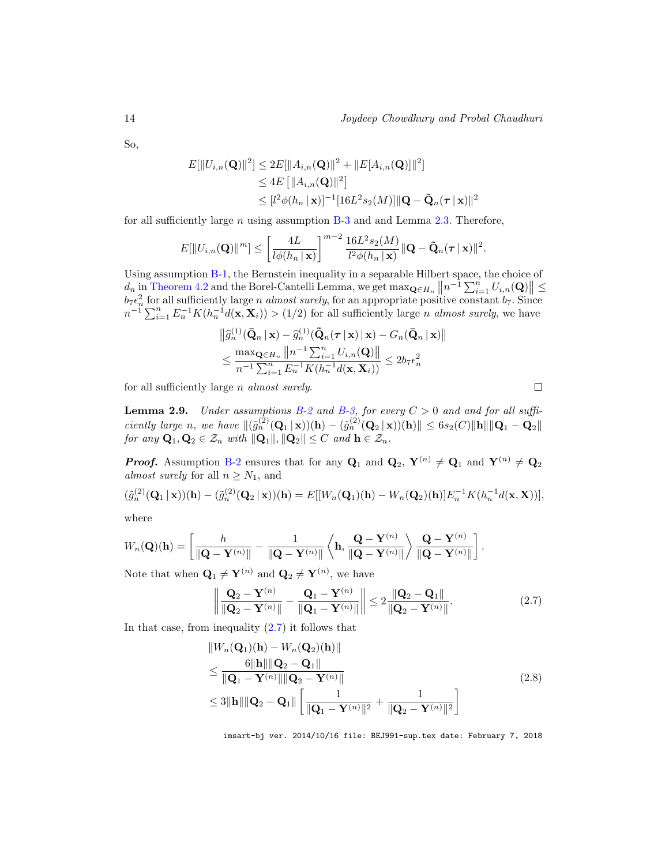$\Box$ 

So,

$$
E[\|U_{i,n}(\mathbf{Q})\|^2] \le 2E[\|A_{i,n}(\mathbf{Q})\|^2 + \|E[A_{i,n}(\mathbf{Q})]\|^2]
$$
  
\n
$$
\le 4E[\|A_{i,n}(\mathbf{Q})\|^2]
$$
  
\n
$$
\le [l^2\phi(h_n|\mathbf{x})]^{-1}[16L^2s_2(M)]\|\mathbf{Q} - \tilde{\mathbf{Q}}_n(\boldsymbol{\tau}|\mathbf{x})\|^2
$$

for all sufficiently large  $n$  using assumption  $B-3$  and and Lemma 2.3. Therefore,

$$
E[\|U_{i,n}(\mathbf{Q})\|^m] \le \left[\frac{4L}{l\phi(h_n \mid \mathbf{x})}\right]^{m-2} \frac{16L^2 s_2(M)}{l^2 \phi(h_n \mid \mathbf{x})} \|\mathbf{Q} - \tilde{\mathbf{Q}}_n(\boldsymbol{\tau} \mid \mathbf{x})\|^2.
$$

Using assumption B-1, the Bernstein inequality in a separable Hilbert space, the choice of  $d_n$  in Theorem 4.2 and the Borel-Cantelli Lemma, we get  $\max_{\mathbf{Q} \in H_n} ||n^{-1} \sum_{i=1}^n U_{i,n}(\mathbf{Q})|| \le$  $b_7\epsilon_n^2$  for all sufficiently large *n almost surely*, for an appropriate positive constant  $b_7$ . Since  $n^{-1}\sum_{i=1}^n E_n^{-1}K(h_n^{-1}d(\mathbf{x}, \mathbf{X}_i)) > (1/2)$  for all sufficiently large *n* almost surely, we have

$$
\|\widehat{g}_n^{(1)}(\bar{\mathbf{Q}}_n \mid \mathbf{x}) - \widehat{g}_n^{(1)}(\tilde{\mathbf{Q}}_n(\boldsymbol{\tau} \mid \mathbf{x}) \mid \mathbf{x}) - G_n(\bar{\mathbf{Q}}_n \mid \mathbf{x})\|
$$
  

$$
\leq \frac{\max_{\mathbf{Q} \in H_n} \|n^{-1} \sum_{i=1}^n U_{i,n}(\mathbf{Q})\|}{n^{-1} \sum_{i=1}^n E_n^{-1} K(h_n^{-1} d(\mathbf{x}, \mathbf{X}_i))} \leq 2b_7 \epsilon_n^2
$$

for all sufficiently large n almost surely.

**Lemma 2.9.** Under assumptions B-2 and B-3, for every  $C > 0$  and and for all sufficiently large n, we have  $\|(\tilde{g}_n^{(2)}(\mathbf{Q}_1 | \mathbf{x}))(\mathbf{h}) - (\tilde{g}_n^{(2)}(\mathbf{Q}_2 | \mathbf{x}))(\mathbf{h})\| \leq 6s_2(C)\|\mathbf{h}\|\|\mathbf{Q}_1 - \mathbf{Q}_2\|$ for any  $\mathbf{Q}_1, \mathbf{Q}_2 \in \mathcal{Z}_n$  with  $\|\mathbf{Q}_1\|, \|\mathbf{Q}_2\| \leq C$  and  $\mathbf{h} \in \mathcal{Z}_n$ .

**Proof.** Assumption B-2 ensures that for any  $\mathbf{Q}_1$  and  $\mathbf{Q}_2$ ,  $\mathbf{Y}^{(n)} \neq \mathbf{Q}_1$  and  $\mathbf{Y}^{(n)} \neq \mathbf{Q}_2$ almost surely for all  $n \geq N_1$ , and

$$
(\tilde{g}_n^{(2)}(\mathbf{Q}_1 | \mathbf{x}))(\mathbf{h}) - (\tilde{g}_n^{(2)}(\mathbf{Q}_2 | \mathbf{x}))(\mathbf{h}) = E[[W_n(\mathbf{Q}_1)(\mathbf{h}) - W_n(\mathbf{Q}_2)(\mathbf{h})]E_n^{-1}K(h_n^{-1}d(\mathbf{x}, \mathbf{X}))],
$$

where

$$
W_n(\mathbf{Q})(\mathbf{h}) = \left[ \frac{h}{\|\mathbf{Q} - \mathbf{Y}^{(n)}\|} - \frac{1}{\|\mathbf{Q} - \mathbf{Y}^{(n)}\|} \left\langle \mathbf{h}, \frac{\mathbf{Q} - \mathbf{Y}^{(n)}}{\|\mathbf{Q} - \mathbf{Y}^{(n)}\|} \right\rangle \frac{\mathbf{Q} - \mathbf{Y}^{(n)}}{\|\mathbf{Q} - \mathbf{Y}^{(n)}\|} \right].
$$

Note that when  $\mathbf{Q}_1 \neq \mathbf{Y}^{(n)}$  and  $\mathbf{Q}_2 \neq \mathbf{Y}^{(n)}$ , we have

$$
\left\| \frac{\mathbf{Q}_2 - \mathbf{Y}^{(n)}}{\|\mathbf{Q}_2 - \mathbf{Y}^{(n)}\|} - \frac{\mathbf{Q}_1 - \mathbf{Y}^{(n)}}{\|\mathbf{Q}_1 - \mathbf{Y}^{(n)}\|} \right\| \le 2 \frac{\|\mathbf{Q}_2 - \mathbf{Q}_1\|}{\|\mathbf{Q}_2 - \mathbf{Y}^{(n)}\|}.
$$
\n(2.7)

In that case, from inequality  $(2.7)$  it follows that

$$
||W_n(\mathbf{Q}_1)(\mathbf{h}) - W_n(\mathbf{Q}_2)(\mathbf{h})||
$$
  
\n
$$
\leq \frac{6||\mathbf{h}|| ||\mathbf{Q}_2 - \mathbf{Q}_1||}{||\mathbf{Q}_1 - \mathbf{Y}^{(n)}|| ||\mathbf{Q}_2 - \mathbf{Y}^{(n)}||}
$$
  
\n
$$
\leq 3||\mathbf{h}|| ||\mathbf{Q}_2 - \mathbf{Q}_1|| \left[ \frac{1}{||\mathbf{Q}_1 - \mathbf{Y}^{(n)}||^2} + \frac{1}{||\mathbf{Q}_2 - \mathbf{Y}^{(n)}||^2} \right]
$$
\n(2.8)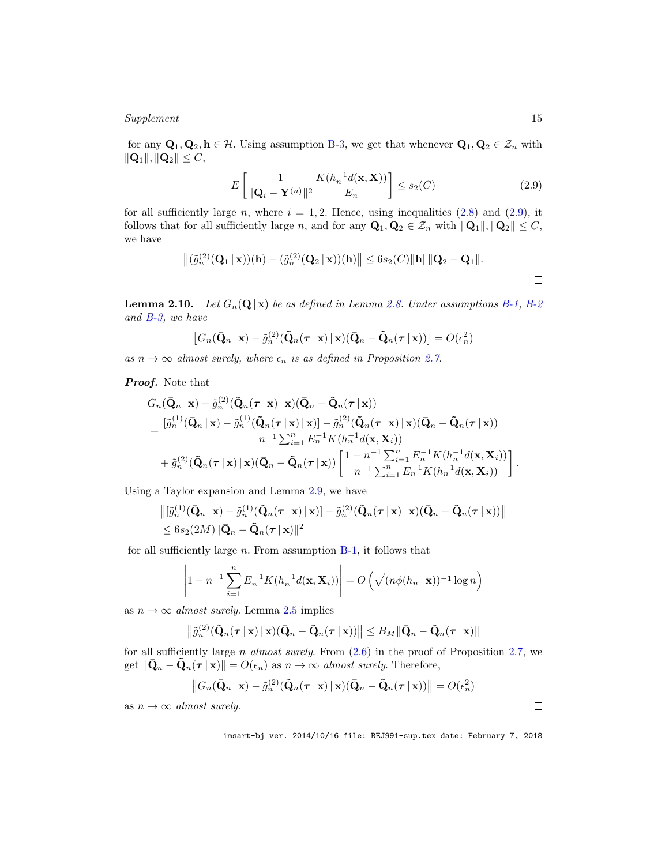#### Supplement 15

for any  $Q_1, Q_2, h \in \mathcal{H}$ . Using assumption B-3, we get that whenever  $Q_1, Q_2 \in \mathcal{Z}_n$  with  $\|\mathbf{Q}_1\|, \|\mathbf{Q}_2\| \leq C,$ 

$$
E\left[\frac{1}{\|\mathbf{Q}_i - \mathbf{Y}^{(n)}\|^2} \frac{K(h_n^{-1}d(\mathbf{x}, \mathbf{X}))}{E_n}\right] \le s_2(C) \tag{2.9}
$$

for all sufficiently large n, where  $i = 1, 2$ . Hence, using inequalities (2.8) and (2.9), it follows that for all sufficiently large n, and for any  $\mathbf{Q}_1, \mathbf{Q}_2 \in \mathcal{Z}_n$  with  $\|\mathbf{Q}_1\|, \|\mathbf{Q}_2\| \leq C$ , we have

$$
\left\| (\tilde{g}_n^{(2)}(\mathbf{Q}_1 \,|\, \mathbf{x}))(\mathbf{h}) - (\tilde{g}_n^{(2)}(\mathbf{Q}_2 \,|\, \mathbf{x}))(\mathbf{h}) \right\| \leq 6s_2(C) \|\mathbf{h}\| \|\mathbf{Q}_2 - \mathbf{Q}_1\|.
$$

**Lemma 2.10.** Let  $G_n(\mathbf{Q} | \mathbf{x})$  be as defined in Lemma 2.8. Under assumptions B-1, B-2 and B-3, we have

$$
[G_n(\bar{\mathbf{Q}}_n \,|\, \mathbf{x}) - \tilde{g}_n^{(2)}(\tilde{\mathbf{Q}}_n(\boldsymbol{\tau} \,|\, \mathbf{x}) \,|\, \mathbf{x})(\bar{\mathbf{Q}}_n - \tilde{\mathbf{Q}}_n(\boldsymbol{\tau} \,|\, \mathbf{x}))] = O(\epsilon_n^2)
$$

as  $n \to \infty$  almost surely, where  $\epsilon_n$  is as defined in Proposition 2.7.

#### **Proof.** Note that

$$
G_n(\bar{\mathbf{Q}}_n \mid \mathbf{x}) - \tilde{g}_n^{(2)}(\tilde{\mathbf{Q}}_n(\boldsymbol{\tau} \mid \mathbf{x}) \mid \mathbf{x})(\bar{\mathbf{Q}}_n - \tilde{\mathbf{Q}}_n(\boldsymbol{\tau} \mid \mathbf{x}))
$$
  
= 
$$
\frac{[\tilde{g}_n^{(1)}(\bar{\mathbf{Q}}_n \mid \mathbf{x}) - \tilde{g}_n^{(1)}(\tilde{\mathbf{Q}}_n(\boldsymbol{\tau} \mid \mathbf{x}) \mid \mathbf{x})] - \tilde{g}_n^{(2)}(\tilde{\mathbf{Q}}_n(\boldsymbol{\tau} \mid \mathbf{x}) \mid \mathbf{x})(\bar{\mathbf{Q}}_n - \tilde{\mathbf{Q}}_n(\boldsymbol{\tau} \mid \mathbf{x}))}{n^{-1} \sum_{i=1}^n E_n^{-1} K(h_n^{-1}d(\mathbf{x}, \mathbf{X}_i))}
$$
  
+ 
$$
\tilde{g}_n^{(2)}(\tilde{\mathbf{Q}}_n(\boldsymbol{\tau} \mid \mathbf{x}) \mid \mathbf{x})(\bar{\mathbf{Q}}_n - \tilde{\mathbf{Q}}_n(\boldsymbol{\tau} \mid \mathbf{x})) \left[ \frac{1 - n^{-1} \sum_{i=1}^n E_n^{-1} K(h_n^{-1}d(\mathbf{x}, \mathbf{X}_i))}{n^{-1} \sum_{i=1}^n E_n^{-1} K(h_n^{-1}d(\mathbf{x}, \mathbf{X}_i))} \right].
$$

Using a Taylor expansion and Lemma 2.9, we have

$$
\begin{aligned}\n\left\| \left[ \tilde{g}_n^{(1)}(\bar{\mathbf{Q}}_n \,|\, \mathbf{x}) - \tilde{g}_n^{(1)}(\tilde{\mathbf{Q}}_n(\boldsymbol{\tau} \,|\, \mathbf{x}) \,|\, \mathbf{x}) \right] - \tilde{g}_n^{(2)}(\tilde{\mathbf{Q}}_n(\boldsymbol{\tau} \,|\, \mathbf{x}) \,|\, \mathbf{x}) (\bar{\mathbf{Q}}_n - \tilde{\mathbf{Q}}_n(\boldsymbol{\tau} \,|\, \mathbf{x})) \right\| \\
&\leq 6s_2(2M) \|\bar{\mathbf{Q}}_n - \tilde{\mathbf{Q}}_n(\boldsymbol{\tau} \,|\, \mathbf{x}) \|^2\n\end{aligned}
$$

for all sufficiently large  $n$ . From assumption  $B-1$ , it follows that

$$
\left|1 - n^{-1} \sum_{i=1}^{n} E_n^{-1} K(h_n^{-1} d(\mathbf{x}, \mathbf{X}_i))\right| = O\left(\sqrt{(n\phi(h_n \mid \mathbf{x}))^{-1} \log n}\right)
$$

as  $n \to \infty$  almost surely. Lemma 2.5 implies

$$
\left\|\tilde{g}_n^{(2)}(\tilde{\mathbf{Q}}_n(\boldsymbol{\tau} \,|\, \mathbf{x}) \,|\, \mathbf{x})(\bar{\mathbf{Q}}_n - \tilde{\mathbf{Q}}_n(\boldsymbol{\tau} \,|\, \mathbf{x}))\right\| \leq B_M \|\bar{\mathbf{Q}}_n - \tilde{\mathbf{Q}}_n(\boldsymbol{\tau} \,|\, \mathbf{x})\|
$$

for all sufficiently large *n* almost surely. From  $(2.6)$  in the proof of Proposition 2.7, we get  $\|\bar{\mathbf{Q}}_n - \tilde{\mathbf{Q}}_n(\tau | \mathbf{x})\| = O(\epsilon_n)$  as  $n \to \infty$  almost surely. Therefore,

$$
||G_n(\bar{\mathbf{Q}}_n \,|\, \mathbf{x}) - \tilde{g}_n^{(2)}(\tilde{\mathbf{Q}}_n(\boldsymbol{\tau} \,|\, \mathbf{x}) \,|\, \mathbf{x})(\bar{\mathbf{Q}}_n - \tilde{\mathbf{Q}}_n(\boldsymbol{\tau} \,|\, \mathbf{x}))|| = O(\epsilon_n^2)
$$

as  $n \to \infty$  almost surely.

imsart-bj ver. 2014/10/16 file: BEJ991-sup.tex date: February 7, 2018

 $\Box$